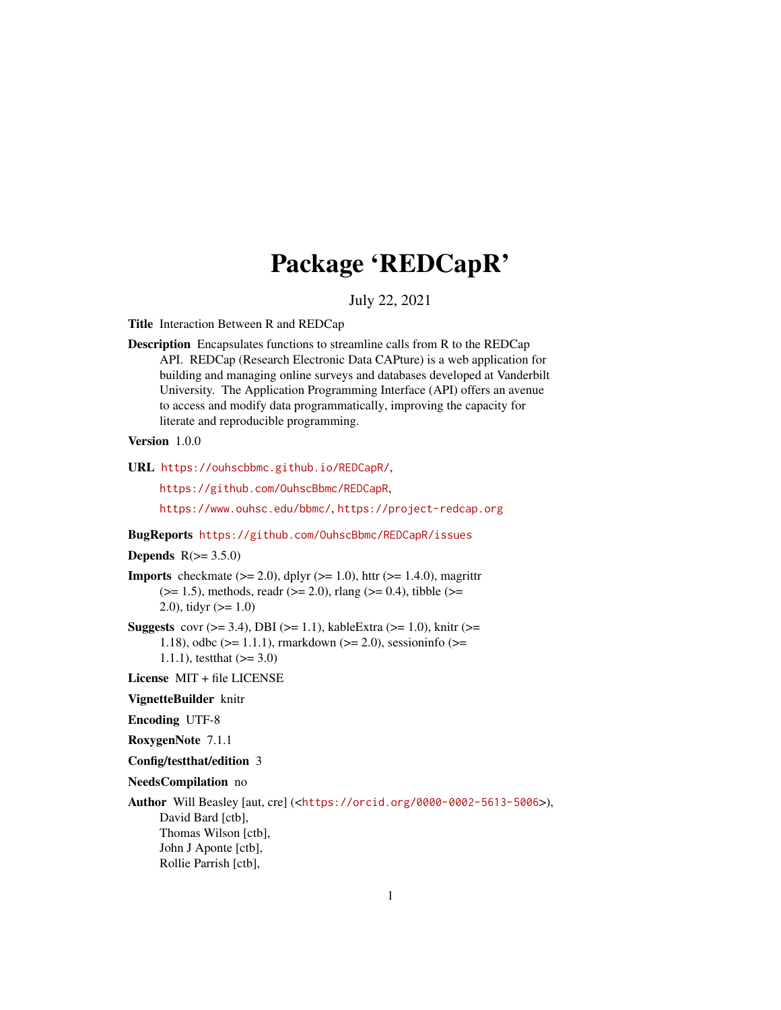# Package 'REDCapR'

## July 22, 2021

<span id="page-0-0"></span>Title Interaction Between R and REDCap

Description Encapsulates functions to streamline calls from R to the REDCap API. REDCap (Research Electronic Data CAPture) is a web application for building and managing online surveys and databases developed at Vanderbilt University. The Application Programming Interface (API) offers an avenue to access and modify data programmatically, improving the capacity for literate and reproducible programming.

## Version 1.0.0

URL <https://ouhscbbmc.github.io/REDCapR/>,

<https://github.com/OuhscBbmc/REDCapR>,

<https://www.ouhsc.edu/bbmc/>, <https://project-redcap.org>

#### BugReports <https://github.com/OuhscBbmc/REDCapR/issues>

## **Depends**  $R(>= 3.5.0)$

**Imports** checkmate  $(>= 2.0)$ , dplyr  $(>= 1.0)$ , httr  $(>= 1.4.0)$ , magrittr  $(>= 1.5)$ , methods, readr  $(>= 2.0)$ , rlang  $(>= 0.4)$ , tibble  $(>= 1.5)$ 2.0), tidyr  $(>= 1.0)$ 

**Suggests** covr ( $>= 3.4$ ), DBI ( $>= 1.1$ ), kableExtra ( $>= 1.0$ ), knitr ( $>= 1.0$ ) 1.18), odbc ( $>= 1.1.1$ ), rmarkdown ( $>= 2.0$ ), sessioninfo ( $>= 1.1.1$ ) 1.1.1), test that  $(>= 3.0)$ 

License MIT + file LICENSE

## VignetteBuilder knitr

Encoding UTF-8

RoxygenNote 7.1.1

Config/testthat/edition 3

NeedsCompilation no

Author Will Beasley [aut, cre] (<<https://orcid.org/0000-0002-5613-5006>>), David Bard [ctb], Thomas Wilson [ctb], John J Aponte [ctb], Rollie Parrish [ctb],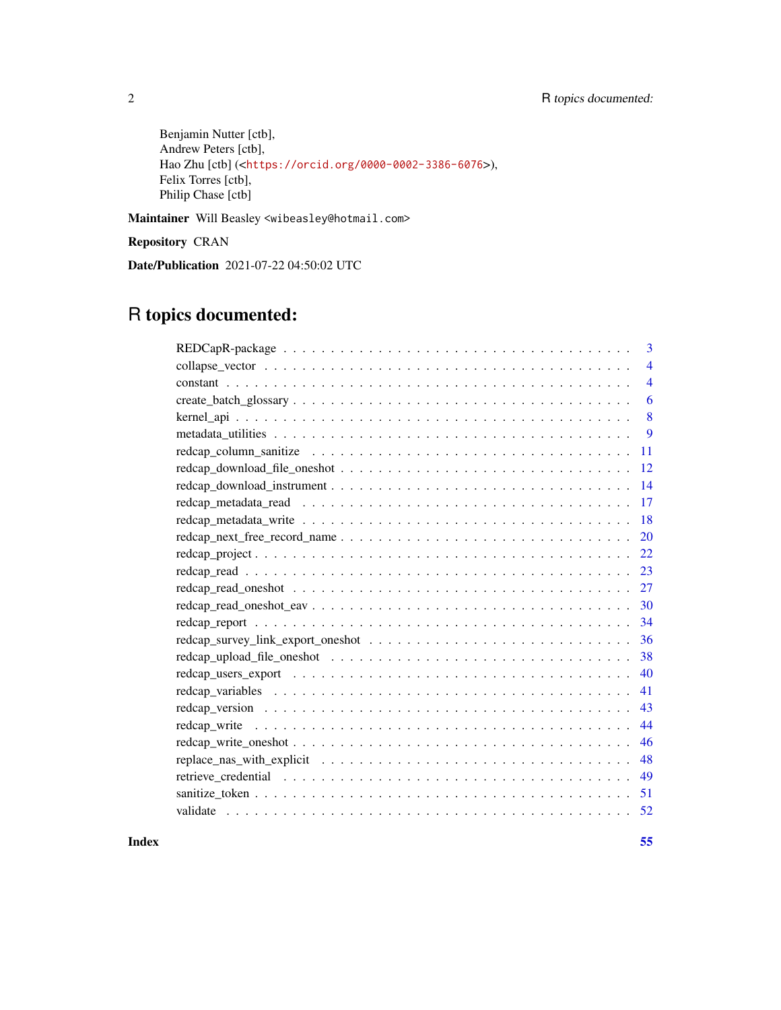Benjamin Nutter [ctb], Andrew Peters [ctb], Hao Zhu [ctb] (<<https://orcid.org/0000-0002-3386-6076>>), Felix Torres [ctb], Philip Chase [ctb]

Maintainer Will Beasley <wibeasley@hotmail.com>

Repository CRAN

Date/Publication 2021-07-22 04:50:02 UTC

# R topics documented:

**Index** [55](#page-54-0)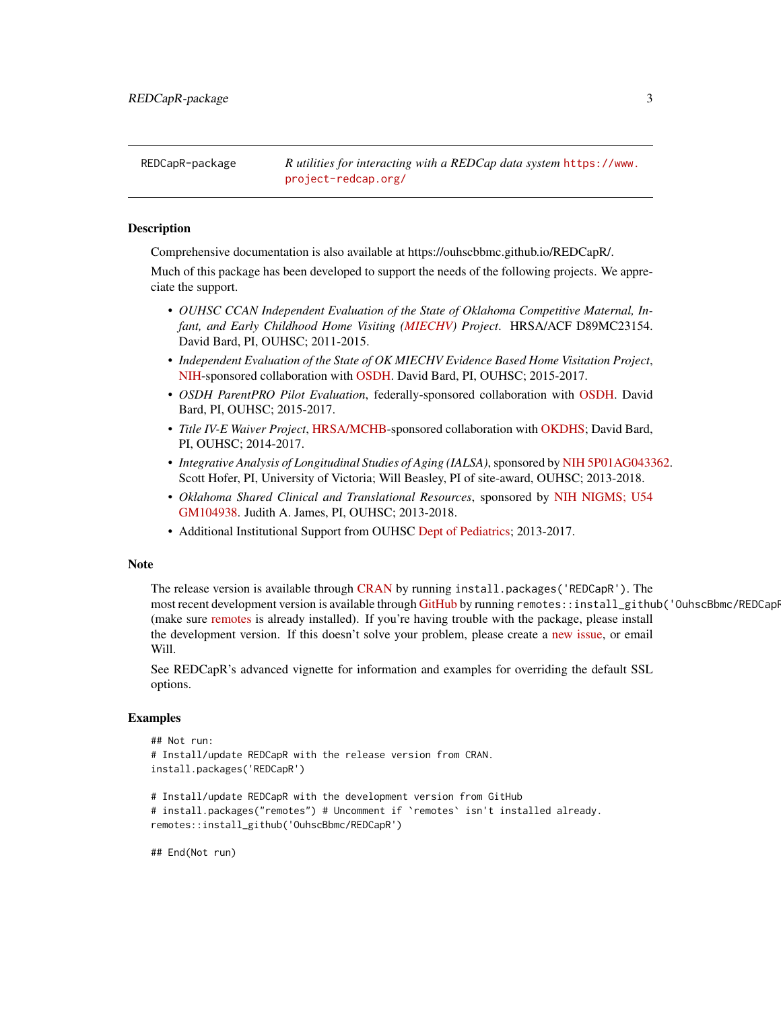<span id="page-2-0"></span>

#### Description

Comprehensive documentation is also available at https://ouhscbbmc.github.io/REDCapR/.

Much of this package has been developed to support the needs of the following projects. We appreciate the support.

- *OUHSC CCAN Independent Evaluation of the State of Oklahoma Competitive Maternal, Infant, and Early Childhood Home Visiting [\(MIECHV\)](https://mchb.hrsa.gov/maternal-child-health-initiatives/home-visiting-overview) Project*. HRSA/ACF D89MC23154. David Bard, PI, OUHSC; 2011-2015.
- *Independent Evaluation of the State of OK MIECHV Evidence Based Home Visitation Project*, [NIH-](https://www.nih.gov/)sponsored collaboration with [OSDH.](https://oklahoma.gov/health.html) David Bard, PI, OUHSC; 2015-2017.
- *OSDH ParentPRO Pilot Evaluation*, federally-sponsored collaboration with [OSDH.](https://oklahoma.gov/health.html) David Bard, PI, OUHSC; 2015-2017.
- *Title IV-E Waiver Project*, [HRSA/MCHB-](https://mchb.hrsa.gov/)sponsored collaboration with [OKDHS;](https://oklahoma.gov/okdhs.html) David Bard, PI, OUHSC; 2014-2017.
- *Integrative Analysis of Longitudinal Studies of Aging (IALSA)*, sponsored by [NIH 5P01AG043362.](https://grantome.com/grant/NIH/P01-AG043362) Scott Hofer, PI, University of Victoria; Will Beasley, PI of site-award, OUHSC; 2013-2018.
- *Oklahoma Shared Clinical and Translational Resources*, sponsored by [NIH NIGMS; U54](https://grantome.com/grant/NIH/U54-GM104938) [GM104938.](https://grantome.com/grant/NIH/U54-GM104938) Judith A. James, PI, OUHSC; 2013-2018.
- Additional Institutional Support from OUHSC [Dept of Pediatrics;](https://medicine.ouhsc.edu/Academic-Departments/Pediatrics) 2013-2017.

#### Note

The release version is available through [CRAN](https://cran.r-project.org/package=REDCapR) by running install.packages('REDCapR'). The most recent development version is available through [GitHub](https://github.com/OuhscBbmc/REDCapR) by running remotes::install\_github('OuhscBbmc/REDCapP (make sure [remotes](https://cran.r-project.org/package=remotes) is already installed). If you're having trouble with the package, please install the development version. If this doesn't solve your problem, please create a [new issue,](https://github.com/OuhscBbmc/REDCapR/issues) or email Will.

See REDCapR's advanced vignette for information and examples for overriding the default SSL options.

#### Examples

```
## Not run:
# Install/update REDCapR with the release version from CRAN.
install.packages('REDCapR')
# Install/update REDCapR with the development version from GitHub
# install.packages("remotes") # Uncomment if `remotes` isn't installed already.
remotes::install_github('OuhscBbmc/REDCapR')
```
## End(Not run)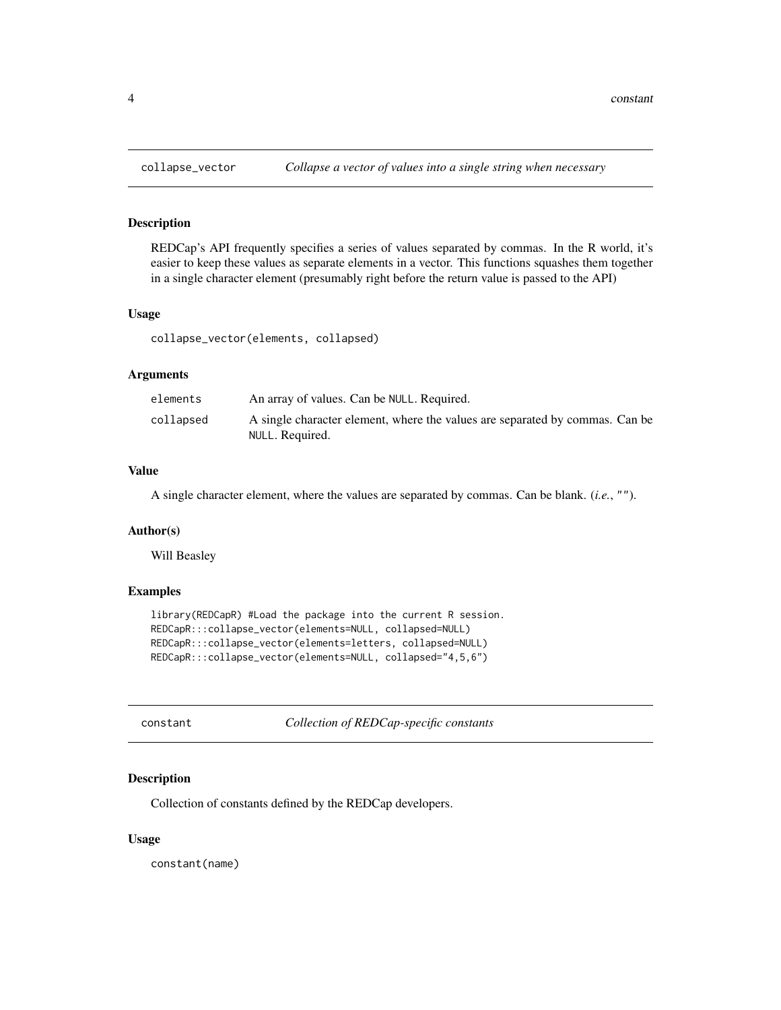## Description

REDCap's API frequently specifies a series of values separated by commas. In the R world, it's easier to keep these values as separate elements in a vector. This functions squashes them together in a single character element (presumably right before the return value is passed to the API)

## Usage

collapse\_vector(elements, collapsed)

#### Arguments

| elements  | An array of values. Can be NULL, Required.                                                      |
|-----------|-------------------------------------------------------------------------------------------------|
| collapsed | A single character element, where the values are separated by commas. Can be<br>NULL. Required. |

## Value

A single character element, where the values are separated by commas. Can be blank. (*i.e.*, "").

#### Author(s)

Will Beasley

#### Examples

```
library(REDCapR) #Load the package into the current R session.
REDCapR:::collapse_vector(elements=NULL, collapsed=NULL)
REDCapR:::collapse_vector(elements=letters, collapsed=NULL)
REDCapR:::collapse_vector(elements=NULL, collapsed="4,5,6")
```

| constant |  |
|----------|--|
|----------|--|

Collection of **REDCap-specific constants** 

## Description

Collection of constants defined by the REDCap developers.

### Usage

constant(name)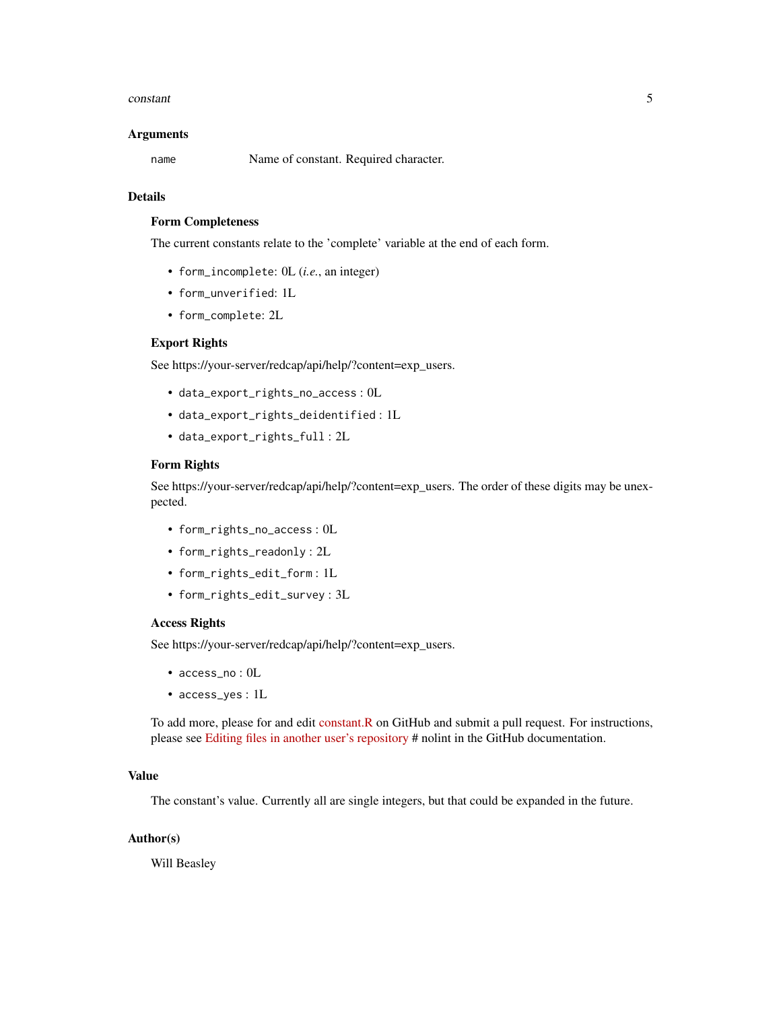#### constant 5

#### Arguments

name Name of constant. Required character.

## Details

## Form Completeness

The current constants relate to the 'complete' variable at the end of each form.

- form\_incomplete: 0L (*i.e.*, an integer)
- form\_unverified: 1L
- form\_complete: 2L

#### Export Rights

See https://your-server/redcap/api/help/?content=exp\_users.

- data\_export\_rights\_no\_access : 0L
- data\_export\_rights\_deidentified : 1L
- data\_export\_rights\_full : 2L

#### Form Rights

See https://your-server/redcap/api/help/?content=exp\_users. The order of these digits may be unexpected.

- form\_rights\_no\_access : 0L
- form\_rights\_readonly : 2L
- form\_rights\_edit\_form : 1L
- form\_rights\_edit\_survey : 3L

## Access Rights

See https://your-server/redcap/api/help/?content=exp\_users.

- access\_no : 0L
- access\_yes : 1L

To add more, please for and edit [constant.R](https://github.com/OuhscBbmc/REDCapR/blob/master/R/constant.R) on GitHub and submit a pull request. For instructions, please see [Editing files in another user's repository](https://help.github.com/articles/editing-files-in-another-user-s-repository/) # nolint in the GitHub documentation.

## Value

The constant's value. Currently all are single integers, but that could be expanded in the future.

## Author(s)

Will Beasley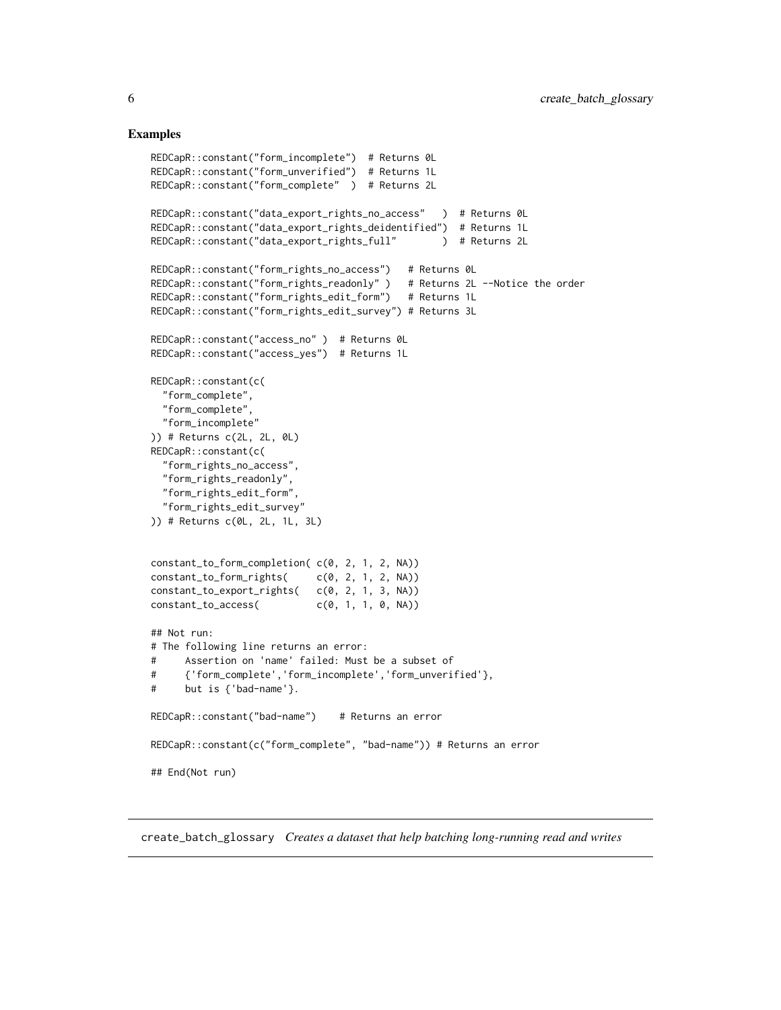## <span id="page-5-0"></span>Examples

```
REDCapR::constant("form_incomplete") # Returns 0L
REDCapR::constant("form_unverified") # Returns 1L
REDCapR::constant("form_complete" ) # Returns 2L
REDCapR::constant("data_export_rights_no_access" ) # Returns 0L
REDCapR::constant("data_export_rights_deidentified") # Returns 1L
REDCapR::constant("data_export_rights_full" ) # Returns 2L
REDCapR::constant("form_rights_no_access") # Returns 0L
REDCapR::constant("form_rights_readonly" ) # Returns 2L --Notice the order
REDCapR::constant("form_rights_edit_form") # Returns 1L
REDCapR::constant("form_rights_edit_survey") # Returns 3L
REDCapR::constant("access_no" ) # Returns 0L
REDCapR::constant("access_yes") # Returns 1L
REDCapR::constant(c(
 "form_complete",
 "form_complete",
 "form_incomplete"
)) # Returns c(2L, 2L, 0L)
REDCapR::constant(c(
 "form_rights_no_access",
 "form_rights_readonly",
 "form_rights_edit_form",
 "form_rights_edit_survey"
)) # Returns c(0L, 2L, 1L, 3L)
constant_to_form_completion( c(0, 2, 1, 2, NA))
constant_to_form_rights( c(0, 2, 1, 2, NA))
constant_to_export_rights( c(0, 2, 1, 3, NA))
constant_to_access c(0, 1, 1, 0, NA)## Not run:
# The following line returns an error:
# Assertion on 'name' failed: Must be a subset of
# {'form_complete','form_incomplete','form_unverified'},
# but is {'bad-name'}.
REDCapR::constant("bad-name") # Returns an error
REDCapR::constant(c("form_complete", "bad-name")) # Returns an error
## End(Not run)
```
create\_batch\_glossary *Creates a dataset that help batching long-running read and writes*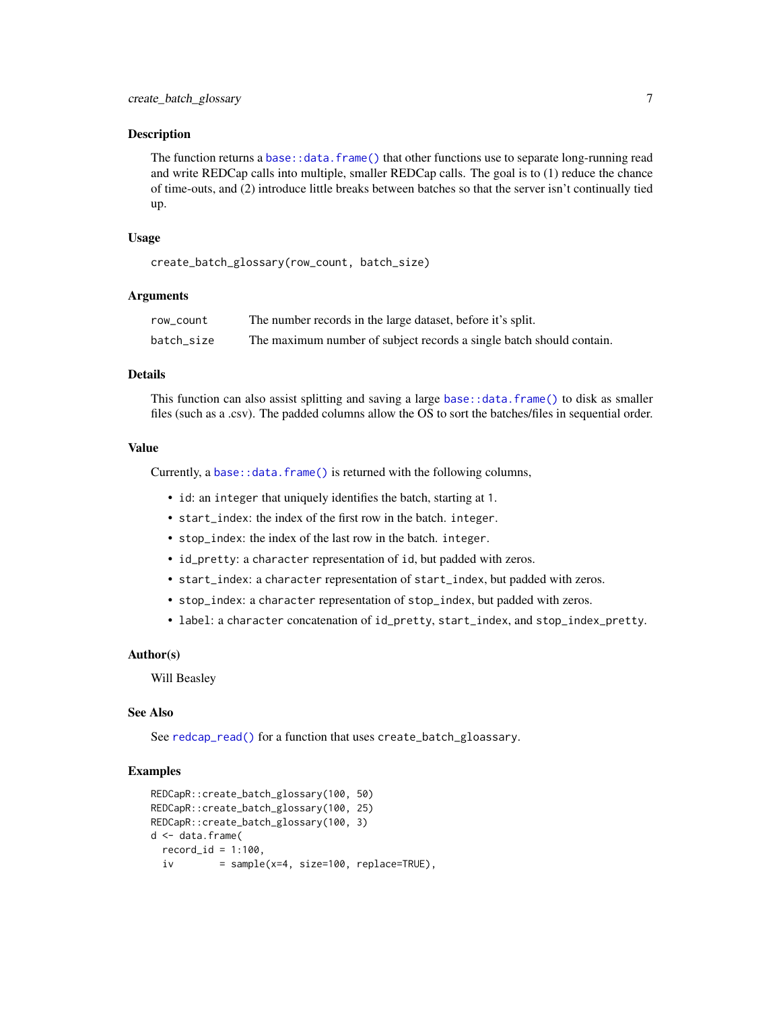## <span id="page-6-0"></span>Description

The function returns a [base::data.frame\(\)](#page-0-0) that other functions use to separate long-running read and write REDCap calls into multiple, smaller REDCap calls. The goal is to (1) reduce the chance of time-outs, and (2) introduce little breaks between batches so that the server isn't continually tied up.

#### Usage

create\_batch\_glossary(row\_count, batch\_size)

#### Arguments

| row_count  | The number records in the large dataset, before it's split.          |
|------------|----------------------------------------------------------------------|
| batch size | The maximum number of subject records a single batch should contain. |

## Details

This function can also assist splitting and saving a large [base::data.frame\(\)](#page-0-0) to disk as smaller files (such as a .csv). The padded columns allow the OS to sort the batches/files in sequential order.

## Value

Currently, a [base::data.frame\(\)](#page-0-0) is returned with the following columns,

- id: an integer that uniquely identifies the batch, starting at 1.
- start\_index: the index of the first row in the batch. integer.
- stop\_index: the index of the last row in the batch. integer.
- id\_pretty: a character representation of id, but padded with zeros.
- start\_index: a character representation of start\_index, but padded with zeros.
- stop\_index: a character representation of stop\_index, but padded with zeros.
- label: a character concatenation of id\_pretty, start\_index, and stop\_index\_pretty.

#### Author(s)

Will Beasley

#### See Also

See [redcap\\_read\(\)](#page-22-1) for a function that uses create\_batch\_gloassary.

#### Examples

```
REDCapR::create_batch_glossary(100, 50)
REDCapR::create_batch_glossary(100, 25)
REDCapR::create_batch_glossary(100, 3)
d <- data.frame(
 record_id = 1:100,iv = sample(x=4, size=100, replace=TRUE),
```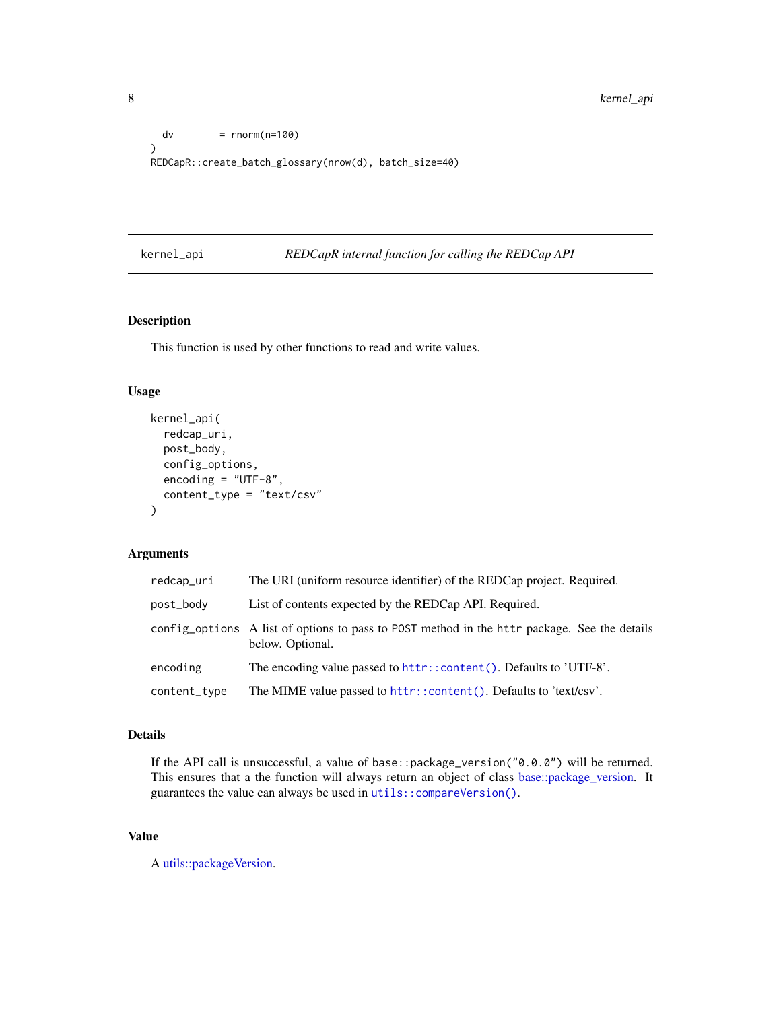```
dv = rnorm(n=100)\mathcal{L}REDCapR::create_batch_glossary(nrow(d), batch_size=40)
```
## kernel\_api *REDCapR internal function for calling the REDCap API*

## Description

This function is used by other functions to read and write values.

## Usage

```
kernel_api(
  redcap_uri,
  post_body,
  config_options,
  encoding = "UTF-8",
  content_type = "text/csv"
\mathcal{L}
```
## Arguments

| redcap_uri   | The URI (uniform resource identifier) of the REDCap project. Required.                                           |
|--------------|------------------------------------------------------------------------------------------------------------------|
| post_body    | List of contents expected by the REDCap API. Required.                                                           |
|              | config_options A list of options to pass to POST method in the httr package. See the details<br>below. Optional. |
| encoding     | The encoding value passed to httr::content(). Defaults to 'UTF-8'.                                               |
| content_type | The MIME value passed to httr::content(). Defaults to 'text/csv'.                                                |

## Details

If the API call is unsuccessful, a value of base::package\_version("0.0.0") will be returned. This ensures that a the function will always return an object of class [base::package\\_version.](#page-0-0) It guarantees the value can always be used in [utils::compareVersion\(\)](#page-0-0).

## Value

A [utils::packageVersion.](#page-0-0)

<span id="page-7-0"></span>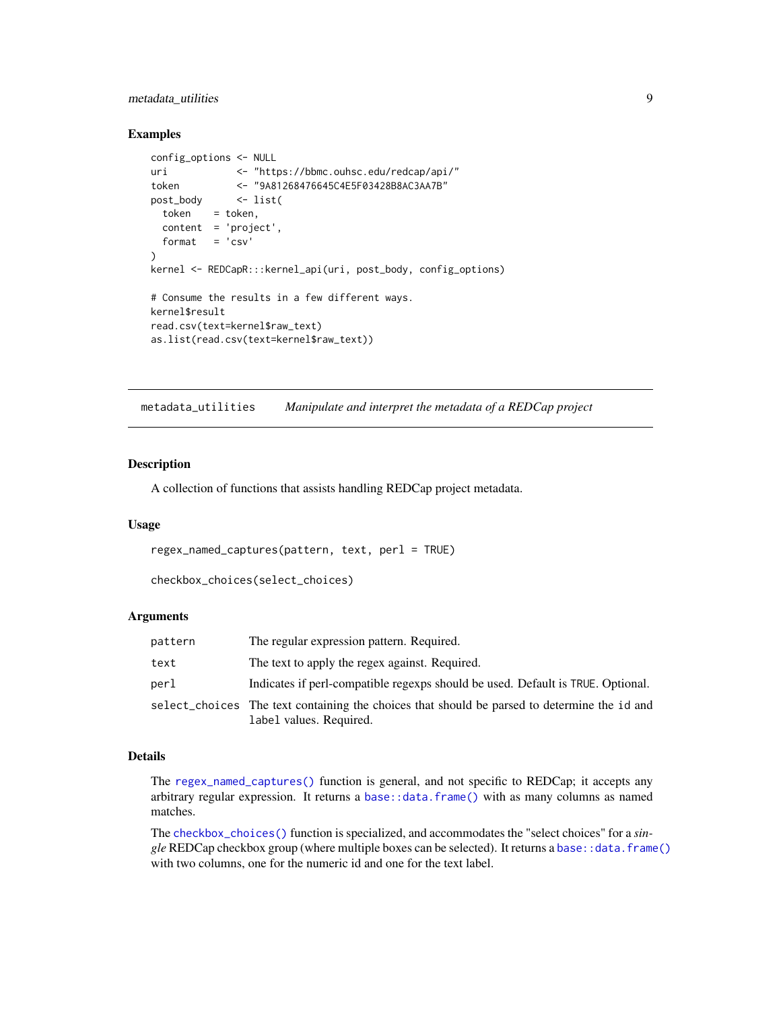## <span id="page-8-0"></span>metadata\_utilities 9

#### Examples

```
config_options <- NULL
uri <- "https://bbmc.ouhsc.edu/redcap/api/"
token <- "9A81268476645C4E5F03428B8AC3AA7B"
post_body <- list(
 token = token,
 content = 'project',
 format = 'csv')
kernel <- REDCapR:::kernel_api(uri, post_body, config_options)
# Consume the results in a few different ways.
kernel$result
read.csv(text=kernel$raw_text)
as.list(read.csv(text=kernel$raw_text))
```
metadata\_utilities *Manipulate and interpret the metadata of a REDCap project*

## <span id="page-8-1"></span>Description

A collection of functions that assists handling REDCap project metadata.

## Usage

```
regex_named_captures(pattern, text, perl = TRUE)
```

```
checkbox_choices(select_choices)
```
## Arguments

| pattern | The regular expression pattern. Required.                                                                               |
|---------|-------------------------------------------------------------------------------------------------------------------------|
| text    | The text to apply the regex against. Required.                                                                          |
| perl    | Indicates if perl-compatible regexps should be used. Default is TRUE. Optional.                                         |
|         | select_choices The text containing the choices that should be parsed to determine the id and<br>label values. Required. |

## Details

The [regex\\_named\\_captures\(\)](#page-8-1) function is general, and not specific to REDCap; it accepts any arbitrary regular expression. It returns a [base::data.frame\(\)](#page-0-0) with as many columns as named matches.

The [checkbox\\_choices\(\)](#page-8-1) function is specialized, and accommodates the "select choices" for a *single* REDCap checkbox group (where multiple boxes can be selected). It returns a [base::data.frame\(\)](#page-0-0) with two columns, one for the numeric id and one for the text label.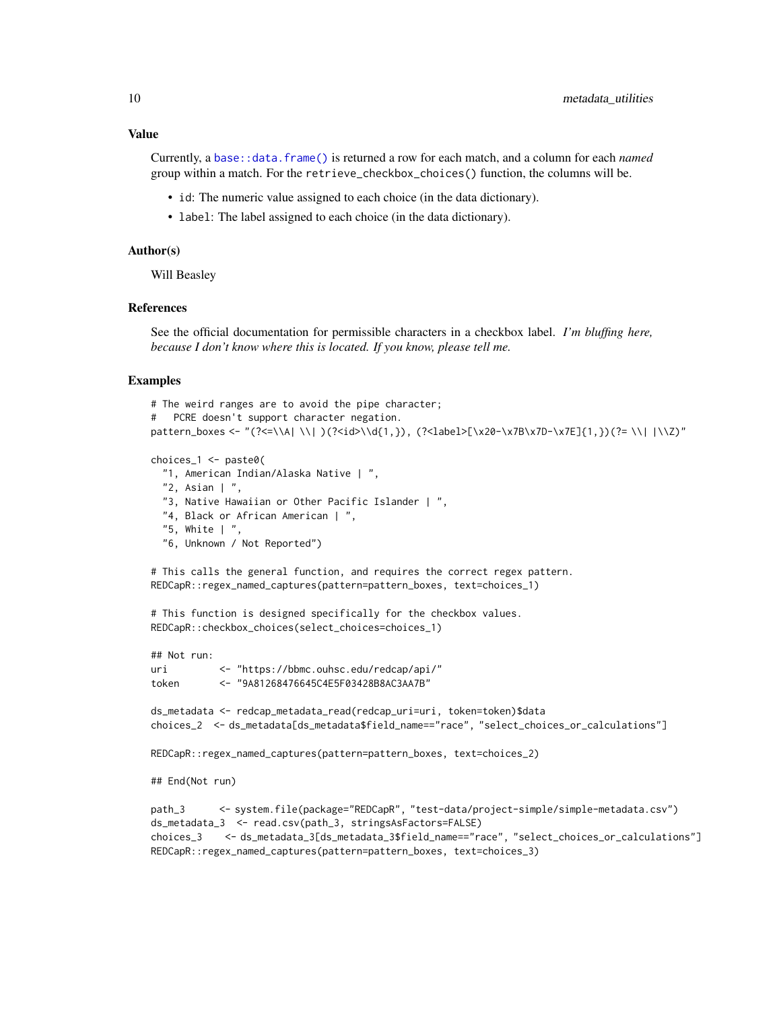Currently, a [base::data.frame\(\)](#page-0-0) is returned a row for each match, and a column for each *named* group within a match. For the retrieve\_checkbox\_choices() function, the columns will be.

- id: The numeric value assigned to each choice (in the data dictionary).
- label: The label assigned to each choice (in the data dictionary).

#### Author(s)

Will Beasley

## References

See the official documentation for permissible characters in a checkbox label. *I'm bluffing here, because I don't know where this is located. If you know, please tell me.*

#### Examples

```
# The weird ranges are to avoid the pipe character;
# PCRE doesn't support character negation.
pattern_boxes <- "(?<=\\A| \\| )(?<id>\\d{1,}), (?<label>[\x20-\x7B\x7D-\x7E]{1,})(?= \\| |\\Z)"
choices_1 <- paste0(
 "1, American Indian/Alaska Native | ",
 "2, Asian | ",
```

```
"3, Native Hawaiian or Other Pacific Islander | ",
"4, Black or African American | ",
"5, White | ",
"6, Unknown / Not Reported")
```
# This calls the general function, and requires the correct regex pattern. REDCapR::regex\_named\_captures(pattern=pattern\_boxes, text=choices\_1)

# This function is designed specifically for the checkbox values. REDCapR::checkbox\_choices(select\_choices=choices\_1)

```
## Not run:
uri <- "https://bbmc.ouhsc.edu/redcap/api/"
token <- "9A81268476645C4E5F03428B8AC3AA7B"
ds_metadata <- redcap_metadata_read(redcap_uri=uri, token=token)$data
choices_2 <- ds_metadata[ds_metadata$field_name=="race", "select_choices_or_calculations"]
REDCapR::regex_named_captures(pattern=pattern_boxes, text=choices_2)
## End(Not run)
path_3 <- system.file(package="REDCapR", "test-data/project-simple/simple-metadata.csv")
ds_metadata_3 <- read.csv(path_3, stringsAsFactors=FALSE)
choices_3 <- ds_metadata_3[ds_metadata_3$field_name=="race", "select_choices_or_calculations"]
REDCapR::regex_named_captures(pattern=pattern_boxes, text=choices_3)
```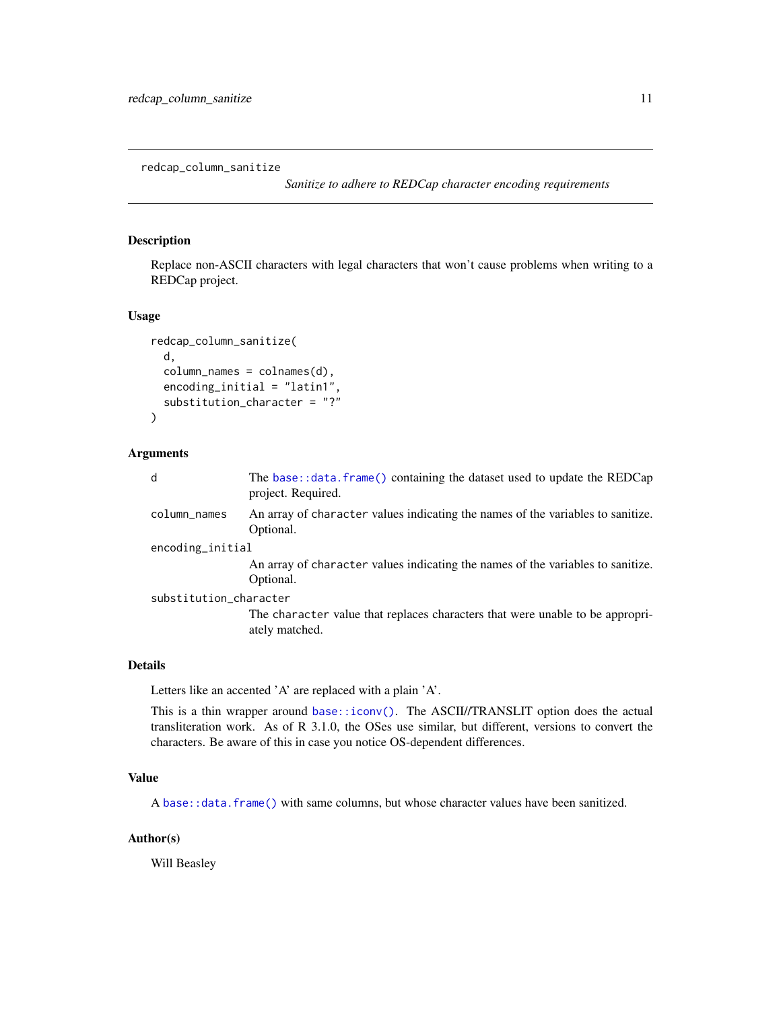<span id="page-10-0"></span>redcap\_column\_sanitize

*Sanitize to adhere to REDCap character encoding requirements*

## Description

Replace non-ASCII characters with legal characters that won't cause problems when writing to a REDCap project.

#### Usage

```
redcap_column_sanitize(
  d,
  column_names = colnames(d),
  encoding_initial = "latin1",
  substitution_character = "?"
)
```
## Arguments

| d                      | The base::data.frame() containing the dataset used to update the REDCap<br>project. Required.   |  |
|------------------------|-------------------------------------------------------------------------------------------------|--|
| column_names           | An array of character values indicating the names of the variables to sanitize.<br>Optional.    |  |
| encoding_initial       |                                                                                                 |  |
|                        | An array of character values indicating the names of the variables to sanitize.<br>Optional.    |  |
| substitution_character |                                                                                                 |  |
|                        | The character value that replaces characters that were unable to be appropri-<br>ately matched. |  |

#### Details

Letters like an accented 'A' are replaced with a plain 'A'.

This is a thin wrapper around [base::iconv\(\)](#page-0-0). The ASCII//TRANSLIT option does the actual transliteration work. As of R 3.1.0, the OSes use similar, but different, versions to convert the characters. Be aware of this in case you notice OS-dependent differences.

## Value

A [base::data.frame\(\)](#page-0-0) with same columns, but whose character values have been sanitized.

## Author(s)

Will Beasley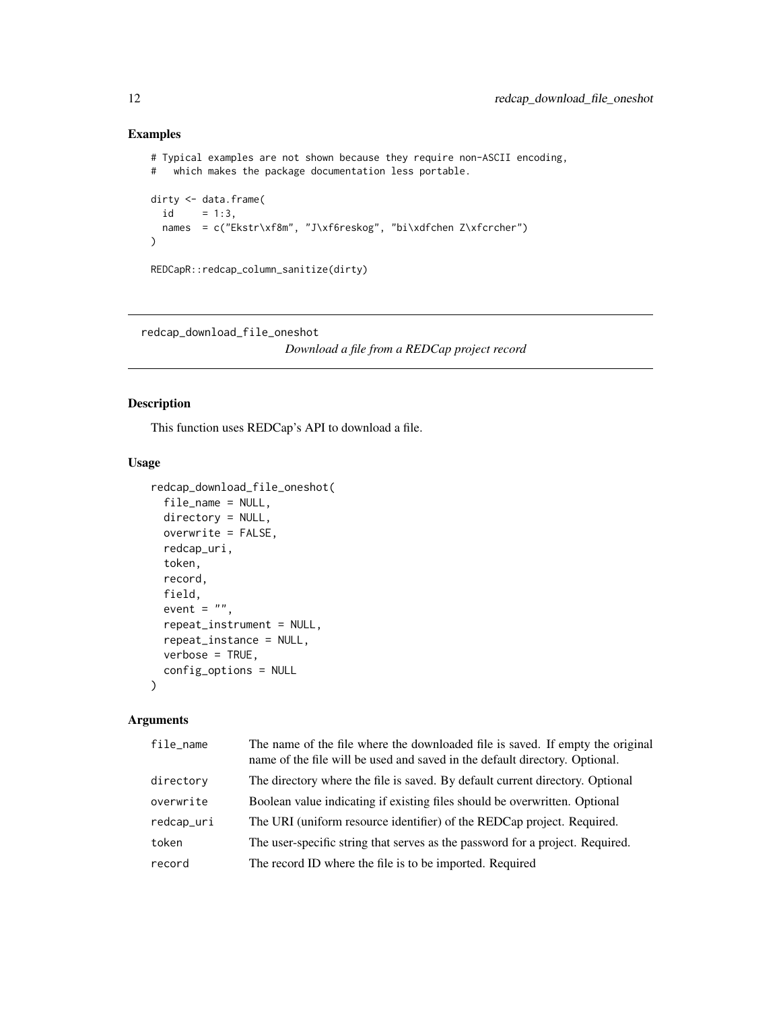## Examples

```
# Typical examples are not shown because they require non-ASCII encoding,
# which makes the package documentation less portable.
dirty <- data.frame(
  id = 1:3,
 names = c("Ekstr\xf8m", "J\xf6reskog", "bi\xdfchen Z\xfcrcher")
\mathcal{L}REDCapR::redcap_column_sanitize(dirty)
```
redcap\_download\_file\_oneshot

*Download a file from a REDCap project record*

#### Description

This function uses REDCap's API to download a file.

## Usage

```
redcap_download_file_oneshot(
  file_name = NULL,
 directory = NULL,
 overwrite = FALSE,
  redcap_uri,
  token,
  record,
 field,
  event = ",
  repeat_instrument = NULL,
  repeat_instance = NULL,
 verbose = TRUE,
  config_options = NULL
)
```
## Arguments

| file_name  | The name of the file where the downloaded file is saved. If empty the original<br>name of the file will be used and saved in the default directory. Optional. |
|------------|---------------------------------------------------------------------------------------------------------------------------------------------------------------|
| directory  | The directory where the file is saved. By default current directory. Optional                                                                                 |
| overwrite  | Boolean value indicating if existing files should be overwritten. Optional                                                                                    |
| redcap_uri | The URI (uniform resource identifier) of the REDCap project. Required.                                                                                        |
| token      | The user-specific string that serves as the password for a project. Required.                                                                                 |
| record     | The record ID where the file is to be imported. Required                                                                                                      |

<span id="page-11-0"></span>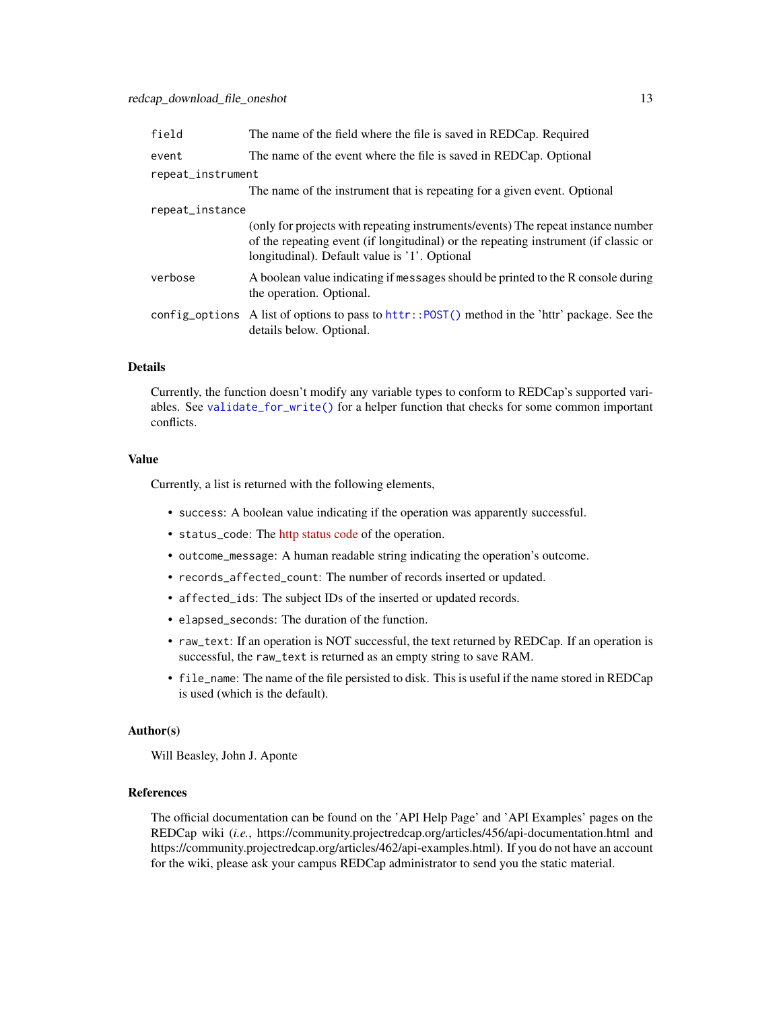<span id="page-12-0"></span>

| field             | The name of the field where the file is saved in REDCap. Required                                                                                                                                                        |  |
|-------------------|--------------------------------------------------------------------------------------------------------------------------------------------------------------------------------------------------------------------------|--|
| event             | The name of the event where the file is saved in REDCap. Optional                                                                                                                                                        |  |
| repeat_instrument |                                                                                                                                                                                                                          |  |
|                   | The name of the instrument that is repeating for a given event. Optional                                                                                                                                                 |  |
| repeat_instance   |                                                                                                                                                                                                                          |  |
|                   | (only for projects with repeating instruments/events) The repeat instance number<br>of the repeating event (if longitudinal) or the repeating instrument (if classic or<br>longitudinal). Default value is '1'. Optional |  |
| verbose           | A boolean value indicating if messages should be printed to the R console during<br>the operation. Optional.                                                                                                             |  |
|                   | config_options A list of options to pass to httr:: POST() method in the 'httr' package. See the<br>details below. Optional.                                                                                              |  |

## Details

Currently, the function doesn't modify any variable types to conform to REDCap's supported variables. See [validate\\_for\\_write\(\)](#page-51-1) for a helper function that checks for some common important conflicts.

## Value

Currently, a list is returned with the following elements,

- success: A boolean value indicating if the operation was apparently successful.
- status\_code: The [http status code](https://en.wikipedia.org/wiki/List_of_HTTP_status_codes) of the operation.
- outcome\_message: A human readable string indicating the operation's outcome.
- records\_affected\_count: The number of records inserted or updated.
- affected\_ids: The subject IDs of the inserted or updated records.
- elapsed\_seconds: The duration of the function.
- raw\_text: If an operation is NOT successful, the text returned by REDCap. If an operation is successful, the raw\_text is returned as an empty string to save RAM.
- file\_name: The name of the file persisted to disk. This is useful if the name stored in REDCap is used (which is the default).

#### Author(s)

Will Beasley, John J. Aponte

## References

The official documentation can be found on the 'API Help Page' and 'API Examples' pages on the REDCap wiki (*i.e.*, https://community.projectredcap.org/articles/456/api-documentation.html and https://community.projectredcap.org/articles/462/api-examples.html). If you do not have an account for the wiki, please ask your campus REDCap administrator to send you the static material.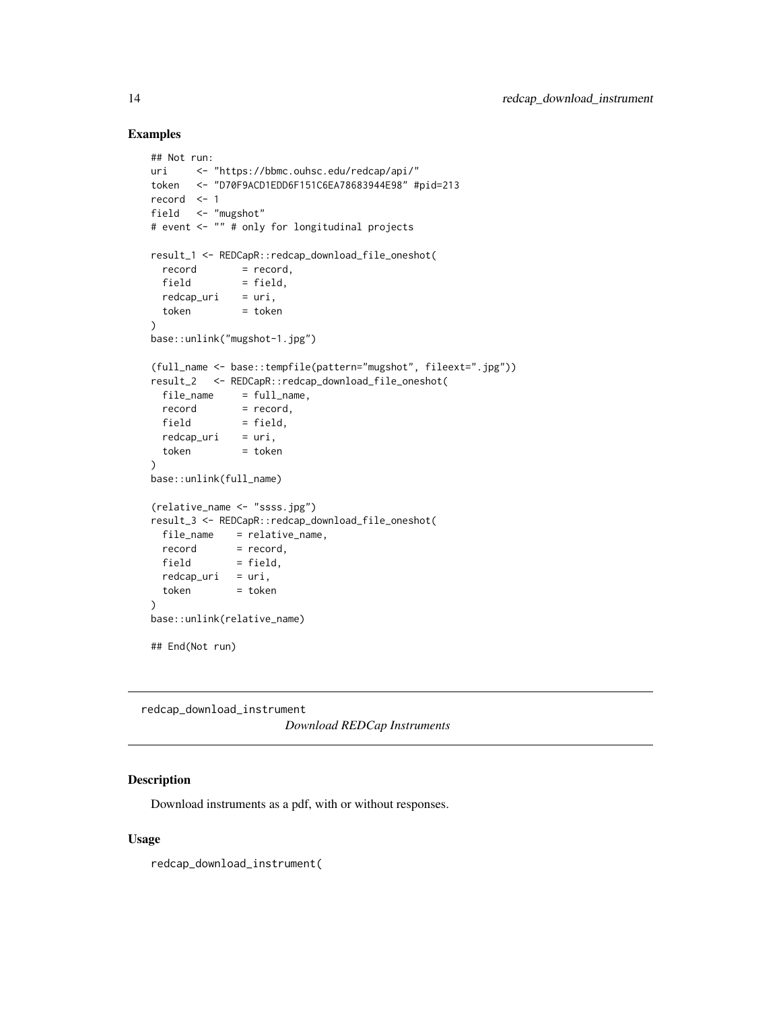## Examples

```
## Not run:
uri <- "https://bbmc.ouhsc.edu/redcap/api/"
token <- "D70F9ACD1EDD6F151C6EA78683944E98" #pid=213
record <- 1
field <- "mugshot"
# event <- "" # only for longitudinal projects
result_1 <- REDCapR::redcap_download_file_oneshot(
 record = record,
 field = field.
 redcap\_uri = uri,token = token
)
base::unlink("mugshot-1.jpg")
(full_name <- base::tempfile(pattern="mugshot", fileext=".jpg"))
result_2 <- REDCapR::redcap_download_file_oneshot(
 file_name = full_name,<br>record = record.
            = record,
 field = field,
 redcap\_uri = uri,token = token
)
base::unlink(full_name)
(relative_name <- "ssss.jpg")
result_3 <- REDCapR::redcap_download_file_oneshot(
 file_name = relative_name,
  record = record,
  field = field,
 redcap\_uri = uri,token = token
)
base::unlink(relative_name)
## End(Not run)
```
redcap\_download\_instrument

*Download REDCap Instruments*

## Description

Download instruments as a pdf, with or without responses.

## Usage

redcap\_download\_instrument(

<span id="page-13-0"></span>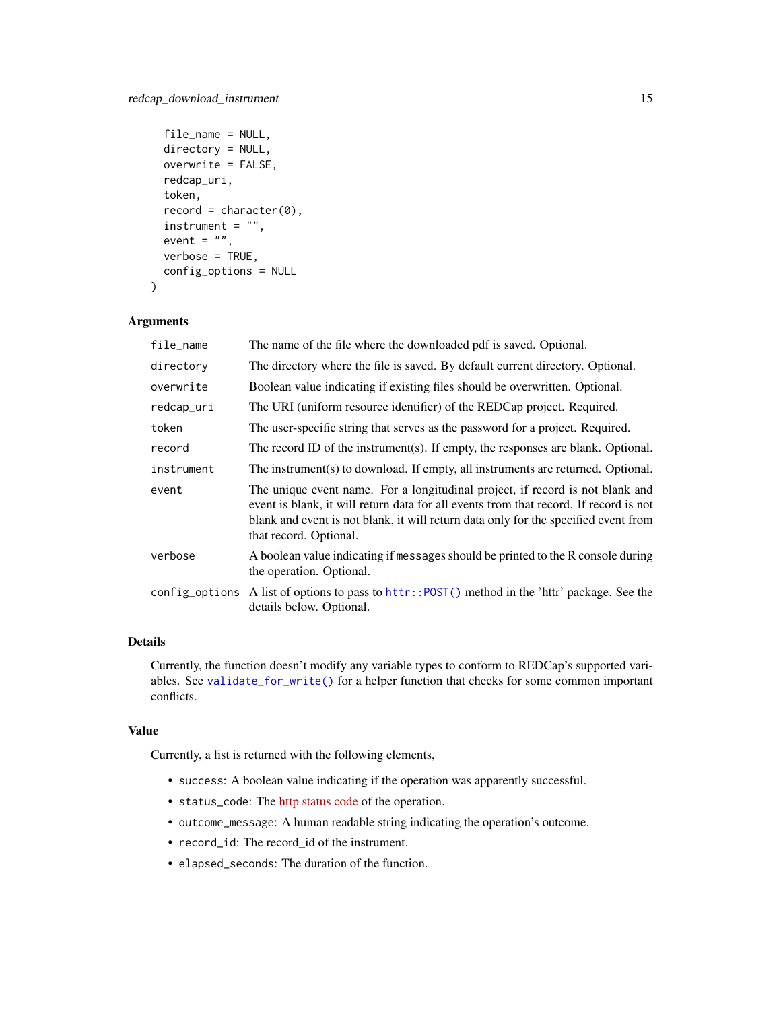```
file_name = NULL,
directory = NULL,
overwrite = FALSE,
redcap_uri,
token,
record = character(0),
instructor = "",event = ",
verbose = TRUE,
config_options = NULL
```
## Arguments

 $\mathcal{L}$ 

| file_name  | The name of the file where the downloaded pdf is saved. Optional.                                                                                                                                                                                                                       |
|------------|-----------------------------------------------------------------------------------------------------------------------------------------------------------------------------------------------------------------------------------------------------------------------------------------|
| directory  | The directory where the file is saved. By default current directory. Optional.                                                                                                                                                                                                          |
| overwrite  | Boolean value indicating if existing files should be overwritten. Optional.                                                                                                                                                                                                             |
| redcap_uri | The URI (uniform resource identifier) of the REDCap project. Required.                                                                                                                                                                                                                  |
| token      | The user-specific string that serves as the password for a project. Required.                                                                                                                                                                                                           |
| record     | The record ID of the instrument(s). If empty, the responses are blank. Optional.                                                                                                                                                                                                        |
| instrument | The instrument(s) to download. If empty, all instruments are returned. Optional.                                                                                                                                                                                                        |
| event      | The unique event name. For a longitudinal project, if record is not blank and<br>event is blank, it will return data for all events from that record. If record is not<br>blank and event is not blank, it will return data only for the specified event from<br>that record. Optional. |
| verbose    | A boolean value indicating if messages should be printed to the R console during<br>the operation. Optional.                                                                                                                                                                            |
|            | config_options A list of options to pass to httr::POST() method in the 'httr' package. See the<br>details below. Optional.                                                                                                                                                              |

## Details

Currently, the function doesn't modify any variable types to conform to REDCap's supported variables. See [validate\\_for\\_write\(\)](#page-51-1) for a helper function that checks for some common important conflicts.

## Value

Currently, a list is returned with the following elements,

- success: A boolean value indicating if the operation was apparently successful.
- status\_code: The [http status code](https://en.wikipedia.org/wiki/List_of_HTTP_status_codes) of the operation.
- outcome\_message: A human readable string indicating the operation's outcome.
- record\_id: The record\_id of the instrument.
- elapsed\_seconds: The duration of the function.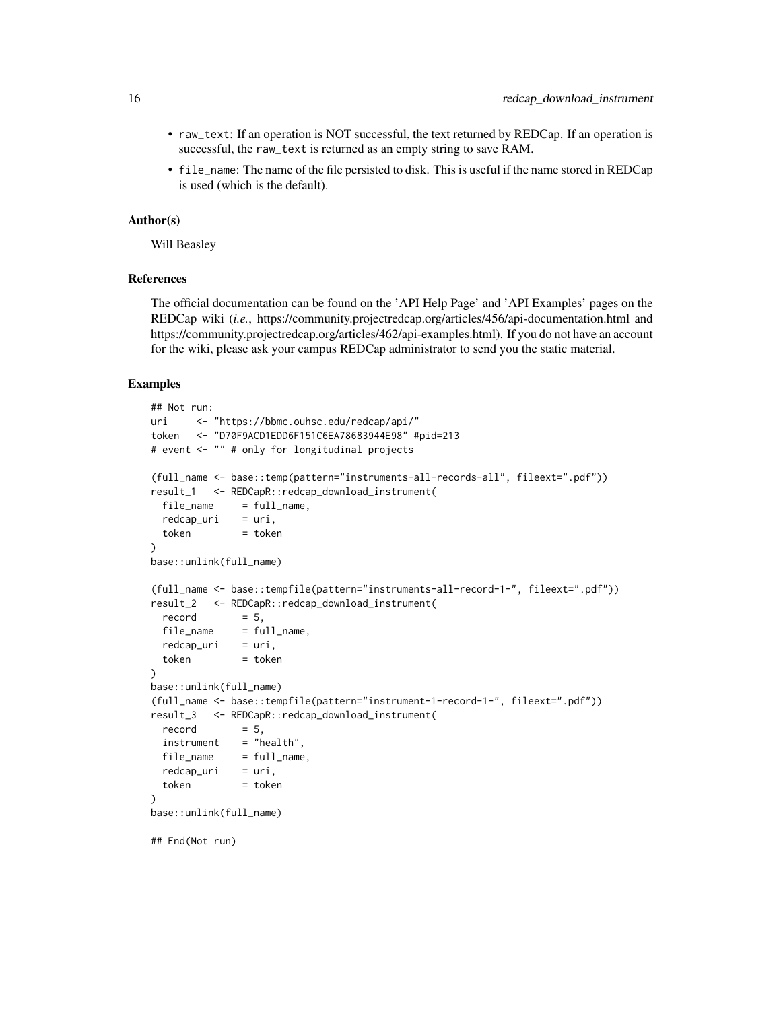- raw\_text: If an operation is NOT successful, the text returned by REDCap. If an operation is successful, the raw\_text is returned as an empty string to save RAM.
- file\_name: The name of the file persisted to disk. This is useful if the name stored in REDCap is used (which is the default).

#### Author(s)

Will Beasley

## References

The official documentation can be found on the 'API Help Page' and 'API Examples' pages on the REDCap wiki (*i.e.*, https://community.projectredcap.org/articles/456/api-documentation.html and https://community.projectredcap.org/articles/462/api-examples.html). If you do not have an account for the wiki, please ask your campus REDCap administrator to send you the static material.

#### Examples

```
## Not run:
uri <- "https://bbmc.ouhsc.edu/redcap/api/"
token <- "D70F9ACD1EDD6F151C6EA78683944E98" #pid=213
# event <- "" # only for longitudinal projects
(full_name <- base::temp(pattern="instruments-all-records-all", fileext=".pdf"))
result_1 <- REDCapR::redcap_download_instrument(
 file_name = full_name,redcap\_uri = uri,token = token
)
base::unlink(full_name)
(full_name <- base::tempfile(pattern="instruments-all-record-1-", fileext=".pdf"))
result_2 <- REDCapR::redcap_download_instrument(
 record = 5,
 file_name = full_name,
 redcap\_uri = uri,token = token
)
base::unlink(full_name)
(full_name <- base::tempfile(pattern="instrument-1-record-1-", fileext=".pdf"))
result_3 <- REDCapR::redcap_download_instrument(
 record = 5,instrument = "health",
 file_name = full_name,
 redcap\_uri = uri,token = token
\lambdabase::unlink(full_name)
## End(Not run)
```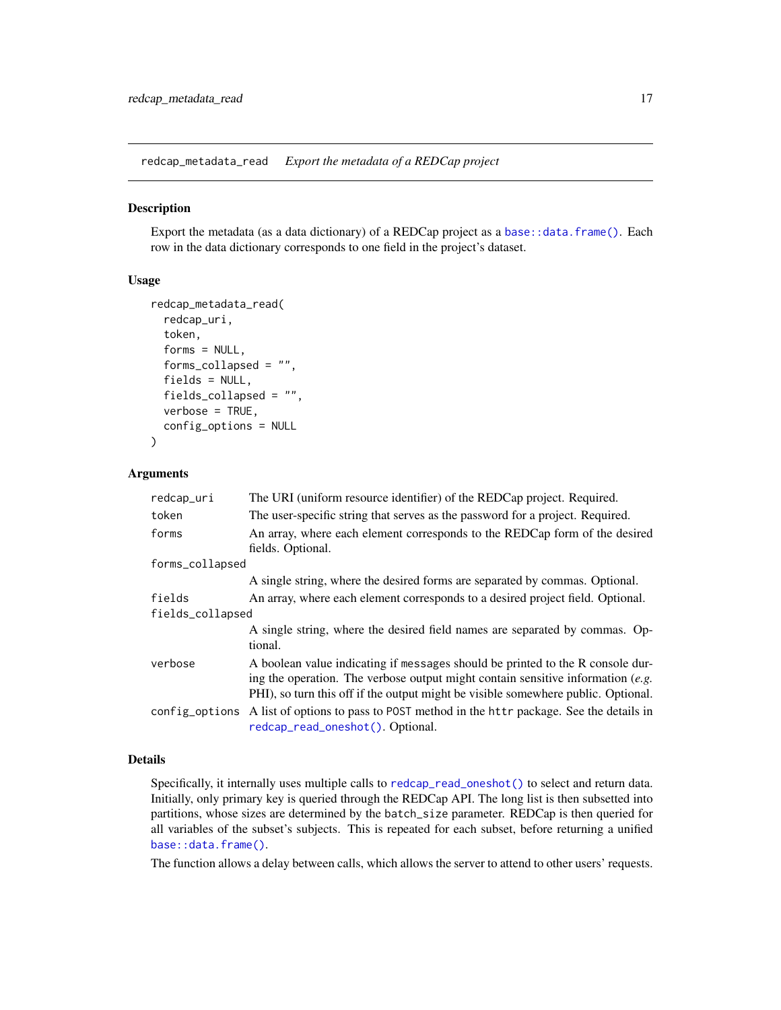<span id="page-16-0"></span>redcap\_metadata\_read *Export the metadata of a REDCap project*

#### **Description**

Export the metadata (as a data dictionary) of a REDCap project as a [base::data.frame\(\)](#page-0-0). Each row in the data dictionary corresponds to one field in the project's dataset.

## Usage

```
redcap_metadata_read(
  redcap_uri,
  token,
  forms = NULL,
  forms_collapsed = "",
  fields = NULL,
  fields_collapsed = "",
  verbose = TRUE,
  config_options = NULL
)
```
## Arguments

| redcap_uri       | The URI (uniform resource identifier) of the REDCap project. Required.                                                                                                                                                                                   |
|------------------|----------------------------------------------------------------------------------------------------------------------------------------------------------------------------------------------------------------------------------------------------------|
| token            | The user-specific string that serves as the password for a project. Required.                                                                                                                                                                            |
| forms            | An array, where each element corresponds to the REDCap form of the desired<br>fields. Optional.                                                                                                                                                          |
| forms_collapsed  |                                                                                                                                                                                                                                                          |
|                  | A single string, where the desired forms are separated by commas. Optional.                                                                                                                                                                              |
| fields           | An array, where each element corresponds to a desired project field. Optional.                                                                                                                                                                           |
| fields_collapsed |                                                                                                                                                                                                                                                          |
|                  | A single string, where the desired field names are separated by commas. Op-<br>tional.                                                                                                                                                                   |
| verbose          | A boolean value indicating if messages should be printed to the R console dur-<br>ing the operation. The verbose output might contain sensitive information $(e.g.$<br>PHI), so turn this off if the output might be visible somewhere public. Optional. |
| config_options   | A list of options to pass to POST method in the httr package. See the details in<br>redcap_read_oneshot(). Optional.                                                                                                                                     |

## Details

Specifically, it internally uses multiple calls to [redcap\\_read\\_oneshot\(\)](#page-26-1) to select and return data. Initially, only primary key is queried through the REDCap API. The long list is then subsetted into partitions, whose sizes are determined by the batch\_size parameter. REDCap is then queried for all variables of the subset's subjects. This is repeated for each subset, before returning a unified [base::data.frame\(\)](#page-0-0).

The function allows a delay between calls, which allows the server to attend to other users' requests.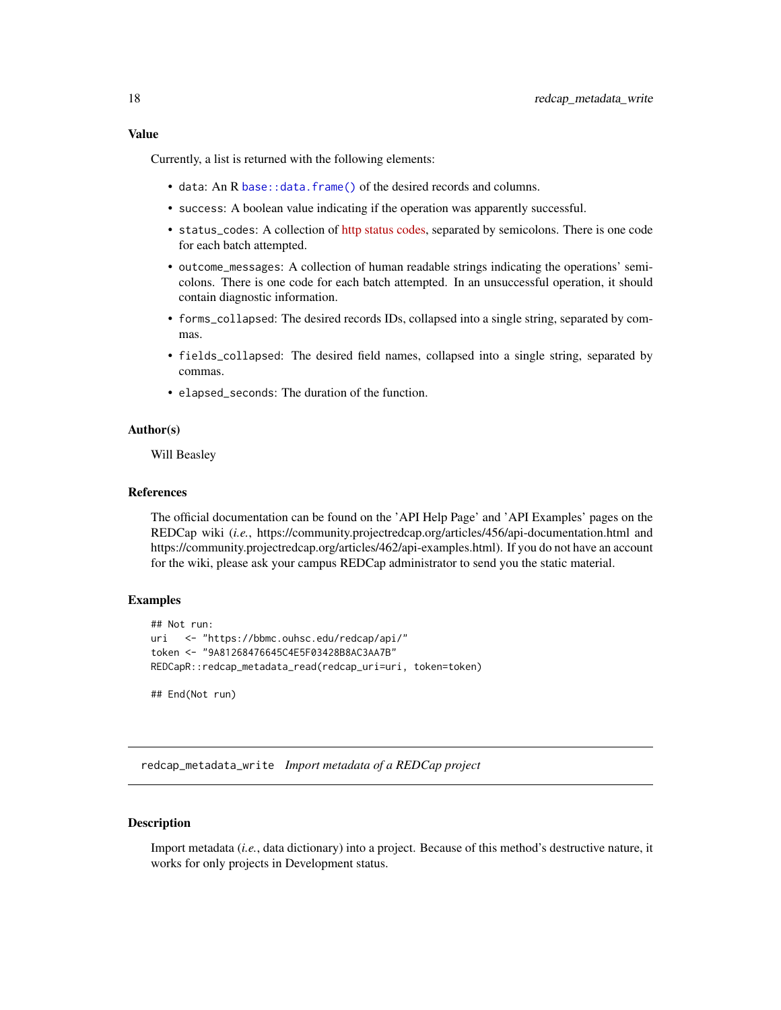## <span id="page-17-0"></span>Value

Currently, a list is returned with the following elements:

- data: An R [base::data.frame\(\)](#page-0-0) of the desired records and columns.
- success: A boolean value indicating if the operation was apparently successful.
- status\_codes: A collection of [http status codes,](https://en.wikipedia.org/wiki/List_of_HTTP_status_codes) separated by semicolons. There is one code for each batch attempted.
- outcome\_messages: A collection of human readable strings indicating the operations' semicolons. There is one code for each batch attempted. In an unsuccessful operation, it should contain diagnostic information.
- forms\_collapsed: The desired records IDs, collapsed into a single string, separated by commas.
- fields\_collapsed: The desired field names, collapsed into a single string, separated by commas.
- elapsed\_seconds: The duration of the function.

#### Author(s)

Will Beasley

## References

The official documentation can be found on the 'API Help Page' and 'API Examples' pages on the REDCap wiki (*i.e.*, https://community.projectredcap.org/articles/456/api-documentation.html and https://community.projectredcap.org/articles/462/api-examples.html). If you do not have an account for the wiki, please ask your campus REDCap administrator to send you the static material.

#### Examples

```
## Not run:
uri <- "https://bbmc.ouhsc.edu/redcap/api/"
token <- "9A81268476645C4E5F03428B8AC3AA7B"
REDCapR::redcap_metadata_read(redcap_uri=uri, token=token)
```
## End(Not run)

redcap\_metadata\_write *Import metadata of a REDCap project*

## **Description**

Import metadata (*i.e.*, data dictionary) into a project. Because of this method's destructive nature, it works for only projects in Development status.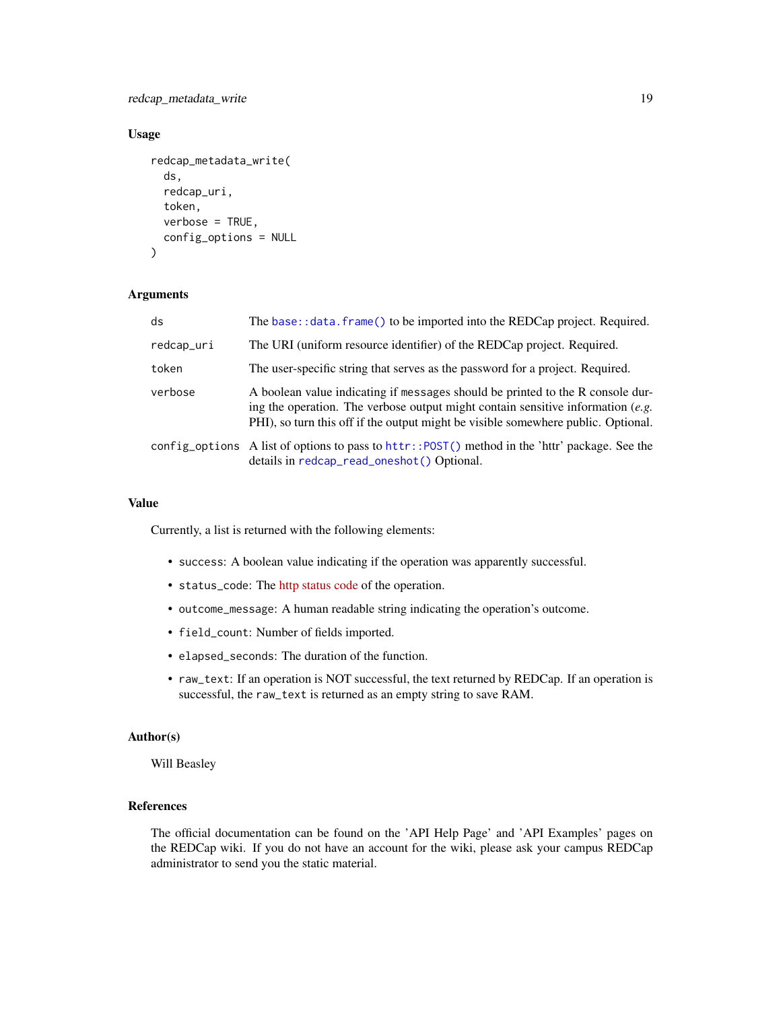<span id="page-18-0"></span>redcap\_metadata\_write 19

## Usage

```
redcap_metadata_write(
  ds,
  redcap_uri,
  token,
  verbose = TRUE,
  config_options = NULL
)
```
## Arguments

| ds         | The base: : data. frame() to be imported into the REDCap project. Required.                                                                                                                                                                              |
|------------|----------------------------------------------------------------------------------------------------------------------------------------------------------------------------------------------------------------------------------------------------------|
| redcap_uri | The URI (uniform resource identifier) of the REDCap project. Required.                                                                                                                                                                                   |
| token      | The user-specific string that serves as the password for a project. Required.                                                                                                                                                                            |
| verbose    | A boolean value indicating if messages should be printed to the R console dur-<br>ing the operation. The verbose output might contain sensitive information $(e.g.$<br>PHI), so turn this off if the output might be visible somewhere public. Optional. |
|            | config_options A list of options to pass to httr::POST() method in the 'httr' package. See the<br>details in redcap_read_oneshot() Optional.                                                                                                             |

## Value

Currently, a list is returned with the following elements:

- success: A boolean value indicating if the operation was apparently successful.
- status\_code: The [http status code](https://en.wikipedia.org/wiki/List_of_HTTP_status_codes) of the operation.
- outcome\_message: A human readable string indicating the operation's outcome.
- field\_count: Number of fields imported.
- elapsed\_seconds: The duration of the function.
- raw\_text: If an operation is NOT successful, the text returned by REDCap. If an operation is successful, the raw\_text is returned as an empty string to save RAM.

#### Author(s)

Will Beasley

## References

The official documentation can be found on the 'API Help Page' and 'API Examples' pages on the REDCap wiki. If you do not have an account for the wiki, please ask your campus REDCap administrator to send you the static material.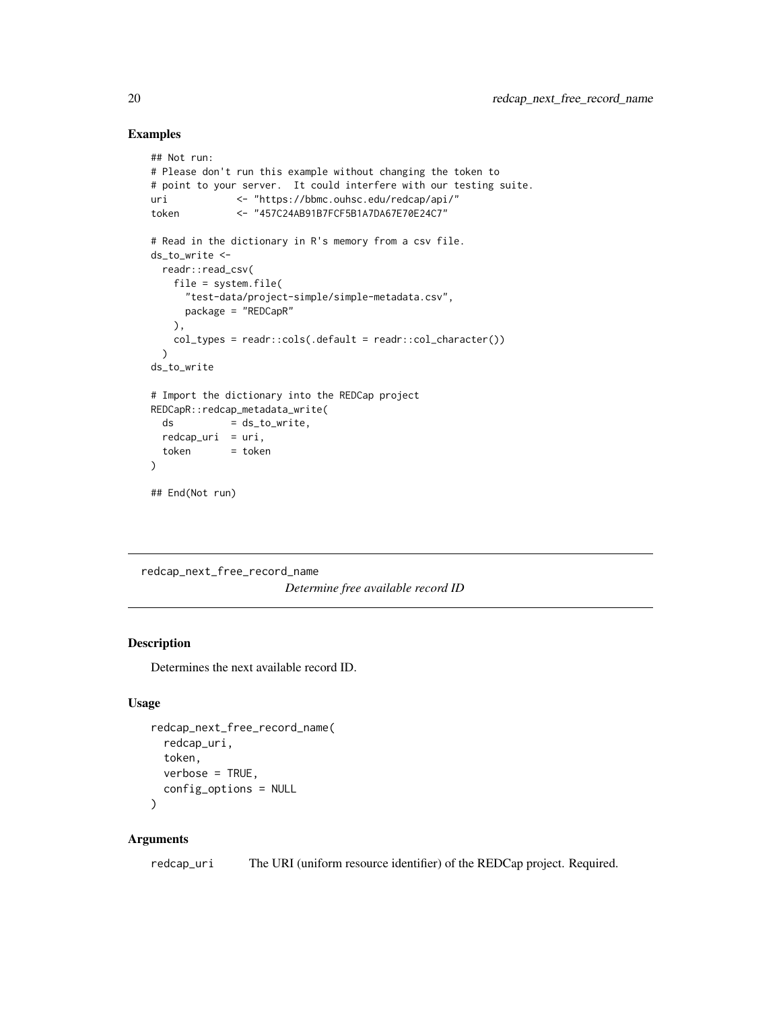## Examples

```
## Not run:
# Please don't run this example without changing the token to
# point to your server. It could interfere with our testing suite.
uri <- "https://bbmc.ouhsc.edu/redcap/api/"
token <- "457C24AB91B7FCF5B1A7DA67E70E24C7"
# Read in the dictionary in R's memory from a csv file.
ds_to_write <-
 readr::read_csv(
   file = system.file(
     "test-data/project-simple/simple-metadata.csv",
     package = "REDCapR"
   ),
   col_types = readr::cols(.default = readr::col_character())
 )
ds_to_write
# Import the dictionary into the REDCap project
REDCapR::redcap_metadata_write(
 ds = ds_to_write,redcap\_uri = uri,token = token
\mathcal{L}## End(Not run)
```
redcap\_next\_free\_record\_name *Determine free available record ID*

#### Description

Determines the next available record ID.

## Usage

```
redcap_next_free_record_name(
  redcap_uri,
 token,
 verbose = TRUE,
 config_options = NULL
)
```
#### Arguments

redcap\_uri The URI (uniform resource identifier) of the REDCap project. Required.

<span id="page-19-0"></span>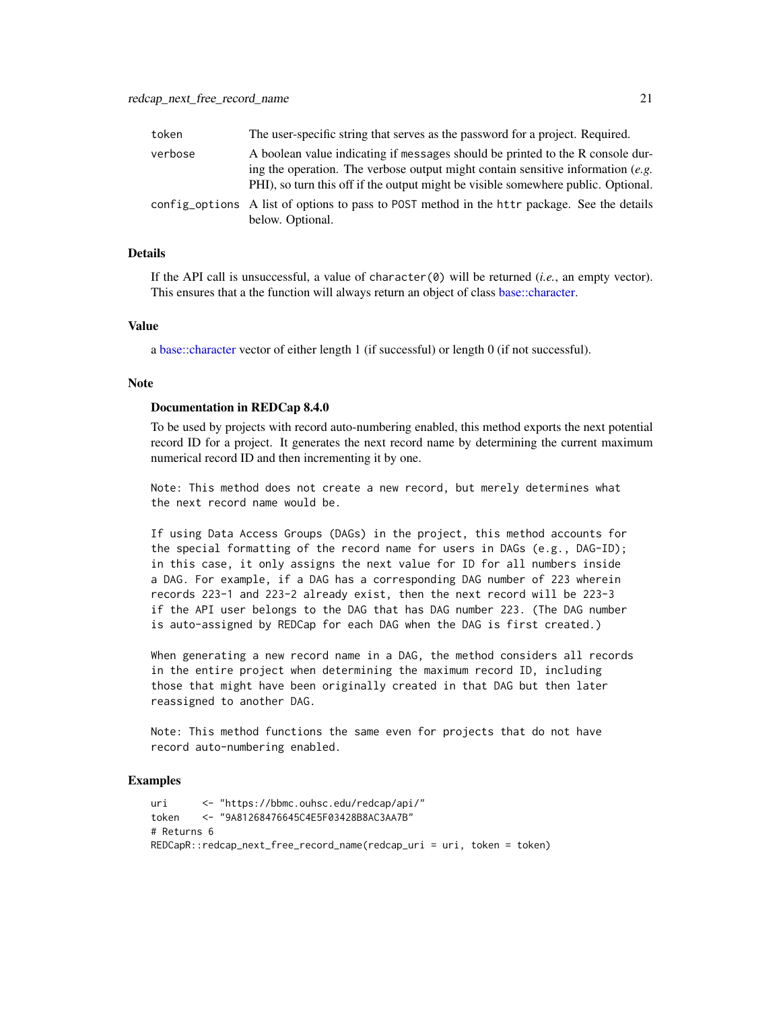<span id="page-20-0"></span>

| token   | The user-specific string that serves as the password for a project. Required.                                                                                                                                                                            |
|---------|----------------------------------------------------------------------------------------------------------------------------------------------------------------------------------------------------------------------------------------------------------|
| verbose | A boolean value indicating if messages should be printed to the R console dur-<br>ing the operation. The verbose output might contain sensitive information $(e.g.$<br>PHI), so turn this off if the output might be visible somewhere public. Optional. |
|         | config_options A list of options to pass to POST method in the httr package. See the details<br>below. Optional.                                                                                                                                         |

## Details

If the API call is unsuccessful, a value of character $(0)$  will be returned (*i.e.*, an empty vector). This ensures that a the function will always return an object of class [base::character.](#page-0-0)

#### Value

a [base::character](#page-0-0) vector of either length 1 (if successful) or length 0 (if not successful).

#### Note

#### Documentation in REDCap 8.4.0

To be used by projects with record auto-numbering enabled, this method exports the next potential record ID for a project. It generates the next record name by determining the current maximum numerical record ID and then incrementing it by one.

Note: This method does not create a new record, but merely determines what the next record name would be.

If using Data Access Groups (DAGs) in the project, this method accounts for the special formatting of the record name for users in DAGs (e.g., DAG-ID); in this case, it only assigns the next value for ID for all numbers inside a DAG. For example, if a DAG has a corresponding DAG number of 223 wherein records 223-1 and 223-2 already exist, then the next record will be 223-3 if the API user belongs to the DAG that has DAG number 223. (The DAG number is auto-assigned by REDCap for each DAG when the DAG is first created.)

When generating a new record name in a DAG, the method considers all records in the entire project when determining the maximum record ID, including those that might have been originally created in that DAG but then later reassigned to another DAG.

Note: This method functions the same even for projects that do not have record auto-numbering enabled.

## Examples

```
uri <- "https://bbmc.ouhsc.edu/redcap/api/"
token <- "9A81268476645C4E5F03428B8AC3AA7B"
# Returns 6
REDCapR::redcap_next_free_record_name(redcap_uri = uri, token = token)
```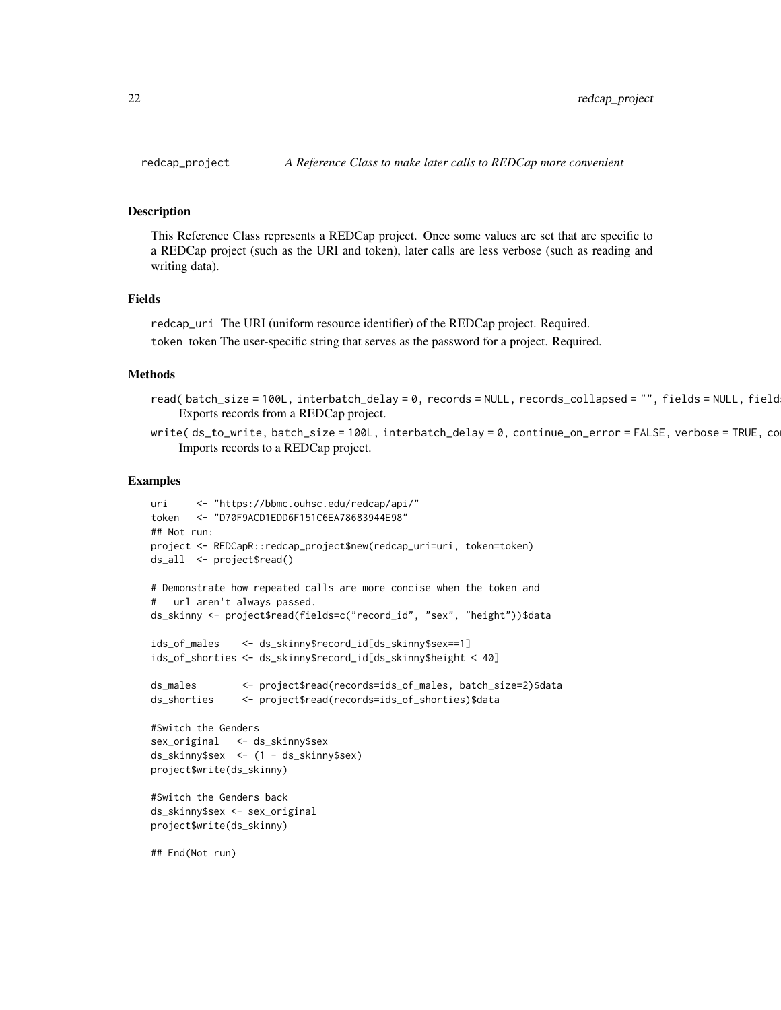<span id="page-21-0"></span>

#### **Description**

This Reference Class represents a REDCap project. Once some values are set that are specific to a REDCap project (such as the URI and token), later calls are less verbose (such as reading and writing data).

#### Fields

redcap\_uri The URI (uniform resource identifier) of the REDCap project. Required.

token token The user-specific string that serves as the password for a project. Required.

#### Methods

read(batch\_size=100L, interbatch\_delay=0, records=NULL, records\_collapsed="", fields=NULL, field Exports records from a REDCap project.

write( ds\_to\_write, batch\_size = 100L, interbatch\_delay = 0, continue\_on\_error = FALSE, verbose = TRUE, co Imports records to a REDCap project.

#### Examples

```
uri <- "https://bbmc.ouhsc.edu/redcap/api/"
token <- "D70F9ACD1EDD6F151C6EA78683944E98"
## Not run:
project <- REDCapR::redcap_project$new(redcap_uri=uri, token=token)
ds_all <- project$read()
# Demonstrate how repeated calls are more concise when the token and
# url aren't always passed.
ds_skinny <- project$read(fields=c("record_id", "sex", "height"))$data
ids_of_males <- ds_skinny$record_id[ds_skinny$sex==1]
ids_of_shorties <- ds_skinny$record_id[ds_skinny$height < 40]
ds_males <- project$read(records=ids_of_males, batch_size=2)$data
ds_shorties <- project$read(records=ids_of_shorties)$data
#Switch the Genders
sex_original <- ds_skinny$sex
ds_skinny$sex <- (1 - ds_skinny$sex)
project$write(ds_skinny)
#Switch the Genders back
ds_skinny$sex <- sex_original
project$write(ds_skinny)
```
## End(Not run)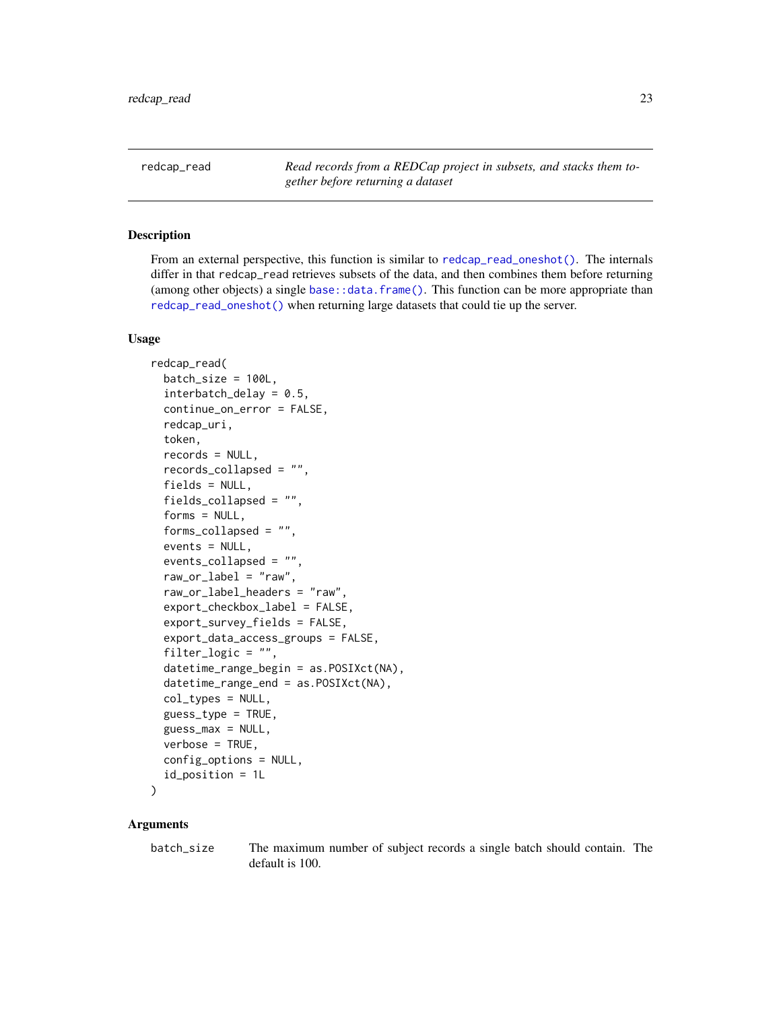<span id="page-22-1"></span><span id="page-22-0"></span>redcap\_read *Read records from a REDCap project in subsets, and stacks them together before returning a dataset*

## Description

From an external perspective, this function is similar to [redcap\\_read\\_oneshot\(\)](#page-26-1). The internals differ in that redcap\_read retrieves subsets of the data, and then combines them before returning (among other objects) a single base:  $:data, frame()$ . This function can be more appropriate than [redcap\\_read\\_oneshot\(\)](#page-26-1) when returning large datasets that could tie up the server.

#### Usage

```
redcap_read(
  batch_size = 100L,
  interbatch\_delay = 0.5,
  continue_on_error = FALSE,
  redcap_uri,
  token,
  records = NULL,
  records_collapsed = "",
  fields = NULL,
  fields_collapsed = "",
  forms = NULL,
  forms_collapsed = "",
  events = NULL,
  events_collapsed = "",
  raw_or_label = "raw",
  raw_or_label_headers = "raw",
  export_checkbox_label = FALSE,
  export_survey_fields = FALSE,
  export_data_access_groups = FALSE,
  filter_logic = "",
  datetime_range_begin = as.POSIXct(NA),
  datetime_range_end = as.POSIXct(NA),
  col_types = NULL,
  guess_type = TRUE,
  guess_max = NULL,
  verbose = TRUE,
  config_options = NULL,
  id_position = 1L
)
```
#### Arguments

batch\_size The maximum number of subject records a single batch should contain. The default is 100.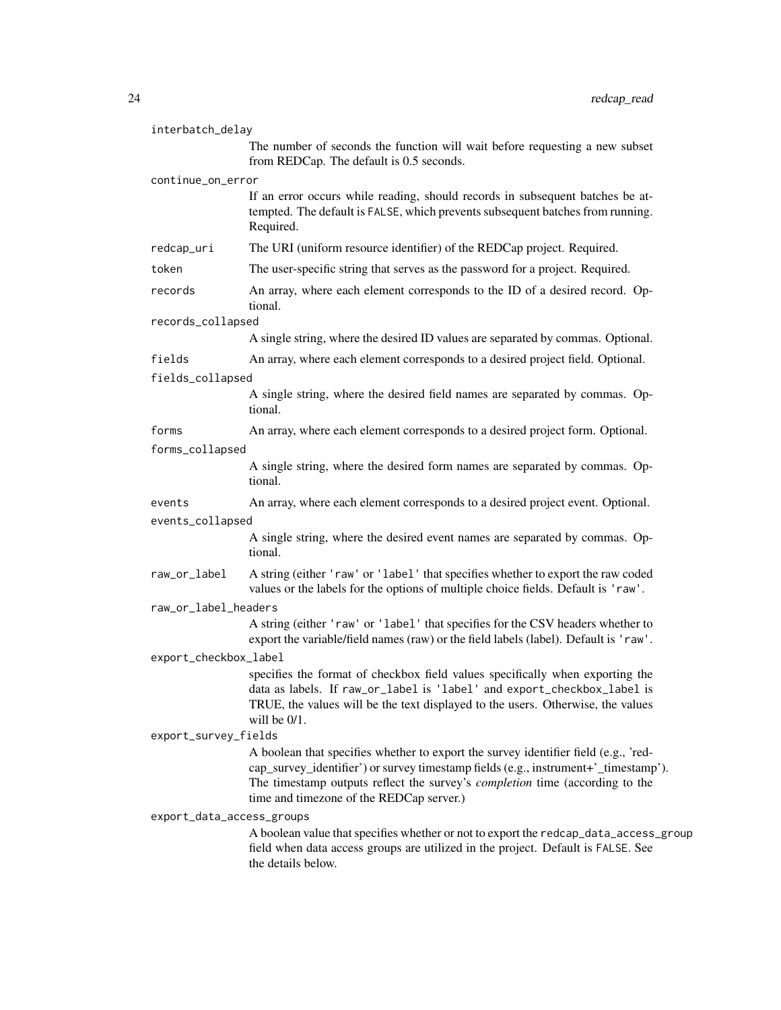| interbatch_delay          | The number of seconds the function will wait before requesting a new subset<br>from REDCap. The default is 0.5 seconds.                                                                                                                                                                                       |  |
|---------------------------|---------------------------------------------------------------------------------------------------------------------------------------------------------------------------------------------------------------------------------------------------------------------------------------------------------------|--|
| continue_on_error         |                                                                                                                                                                                                                                                                                                               |  |
|                           | If an error occurs while reading, should records in subsequent batches be at-<br>tempted. The default is FALSE, which prevents subsequent batches from running.<br>Required.                                                                                                                                  |  |
| redcap_uri                | The URI (uniform resource identifier) of the REDCap project. Required.                                                                                                                                                                                                                                        |  |
| token                     | The user-specific string that serves as the password for a project. Required.                                                                                                                                                                                                                                 |  |
| records                   | An array, where each element corresponds to the ID of a desired record. Op-<br>tional.                                                                                                                                                                                                                        |  |
| records_collapsed         |                                                                                                                                                                                                                                                                                                               |  |
|                           | A single string, where the desired ID values are separated by commas. Optional.                                                                                                                                                                                                                               |  |
| fields                    | An array, where each element corresponds to a desired project field. Optional.                                                                                                                                                                                                                                |  |
| fields_collapsed          |                                                                                                                                                                                                                                                                                                               |  |
|                           | A single string, where the desired field names are separated by commas. Op-<br>tional.                                                                                                                                                                                                                        |  |
| forms                     | An array, where each element corresponds to a desired project form. Optional.                                                                                                                                                                                                                                 |  |
| forms_collapsed           |                                                                                                                                                                                                                                                                                                               |  |
|                           | A single string, where the desired form names are separated by commas. Op-<br>tional.                                                                                                                                                                                                                         |  |
| events                    | An array, where each element corresponds to a desired project event. Optional.                                                                                                                                                                                                                                |  |
| events_collapsed          |                                                                                                                                                                                                                                                                                                               |  |
|                           | A single string, where the desired event names are separated by commas. Op-<br>tional.                                                                                                                                                                                                                        |  |
| raw_or_label              | A string (either 'raw' or 'label' that specifies whether to export the raw coded<br>values or the labels for the options of multiple choice fields. Default is 'raw'.                                                                                                                                         |  |
| raw_or_label_headers      |                                                                                                                                                                                                                                                                                                               |  |
|                           | A string (either 'raw' or 'label' that specifies for the CSV headers whether to<br>export the variable/field names (raw) or the field labels (label). Default is 'raw'.                                                                                                                                       |  |
| export_checkbox_label     |                                                                                                                                                                                                                                                                                                               |  |
|                           | specifies the format of checkbox field values specifically when exporting the<br>data as labels. If raw_or_label is 'label' and export_checkbox_label is<br>TRUE, the values will be the text displayed to the users. Otherwise, the values<br>will be 0/1.                                                   |  |
| export_survey_fields      |                                                                                                                                                                                                                                                                                                               |  |
|                           | A boolean that specifies whether to export the survey identifier field (e.g., 'red-<br>cap_survey_identifier') or survey timestamp fields (e.g., instrument+'_timestamp').<br>The timestamp outputs reflect the survey's <i>completion</i> time (according to the<br>time and timezone of the REDCap server.) |  |
| export_data_access_groups |                                                                                                                                                                                                                                                                                                               |  |
|                           | A boolean value that specifies whether or not to export the redcap_data_access_group<br>field when data access groups are utilized in the project. Default is FALSE. See<br>the details below.                                                                                                                |  |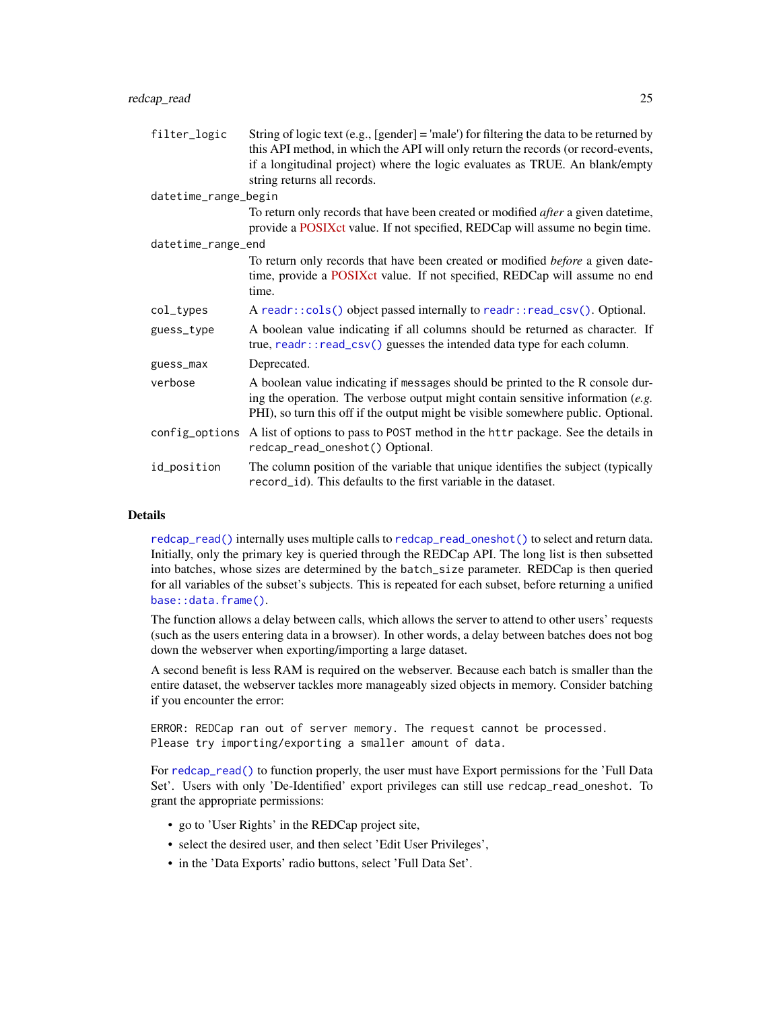<span id="page-24-0"></span>

| filter_logic         | String of logic text (e.g., [gender] = 'male') for filtering the data to be returned by<br>this API method, in which the API will only return the records (or record-events,<br>if a longitudinal project) where the logic evaluates as TRUE. An blank/empty<br>string returns all records. |
|----------------------|---------------------------------------------------------------------------------------------------------------------------------------------------------------------------------------------------------------------------------------------------------------------------------------------|
| datetime_range_begin |                                                                                                                                                                                                                                                                                             |
|                      | To return only records that have been created or modified <i>after</i> a given date time,                                                                                                                                                                                                   |
|                      | provide a POSIXct value. If not specified, REDCap will assume no begin time.                                                                                                                                                                                                                |
| datetime_range_end   |                                                                                                                                                                                                                                                                                             |
|                      | To return only records that have been created or modified <i>before</i> a given date-<br>time, provide a POSIXct value. If not specified, REDCap will assume no end<br>time.                                                                                                                |
| col_types            | A readr::cols() object passed internally to readr::read_csv(). Optional.                                                                                                                                                                                                                    |
| guess_type           | A boolean value indicating if all columns should be returned as character. If<br>true, readr::read_csv() guesses the intended data type for each column.                                                                                                                                    |
| guess_max            | Deprecated.                                                                                                                                                                                                                                                                                 |
| verbose              | A boolean value indicating if messages should be printed to the R console dur-<br>ing the operation. The verbose output might contain sensitive information $(e.g.$<br>PHI), so turn this off if the output might be visible somewhere public. Optional.                                    |
| config_options       | A list of options to pass to POST method in the httr package. See the details in<br>redcap_read_oneshot() Optional.                                                                                                                                                                         |
| id_position          | The column position of the variable that unique identifies the subject (typically<br>record_id). This defaults to the first variable in the dataset.                                                                                                                                        |

#### Details

[redcap\\_read\(\)](#page-22-1) internally uses multiple calls to [redcap\\_read\\_oneshot\(\)](#page-26-1) to select and return data. Initially, only the primary key is queried through the REDCap API. The long list is then subsetted into batches, whose sizes are determined by the batch\_size parameter. REDCap is then queried for all variables of the subset's subjects. This is repeated for each subset, before returning a unified [base::data.frame\(\)](#page-0-0).

The function allows a delay between calls, which allows the server to attend to other users' requests (such as the users entering data in a browser). In other words, a delay between batches does not bog down the webserver when exporting/importing a large dataset.

A second benefit is less RAM is required on the webserver. Because each batch is smaller than the entire dataset, the webserver tackles more manageably sized objects in memory. Consider batching if you encounter the error:

ERROR: REDCap ran out of server memory. The request cannot be processed. Please try importing/exporting a smaller amount of data.

For [redcap\\_read\(\)](#page-22-1) to function properly, the user must have Export permissions for the 'Full Data Set'. Users with only 'De-Identified' export privileges can still use redcap\_read\_oneshot. To grant the appropriate permissions:

- go to 'User Rights' in the REDCap project site,
- select the desired user, and then select 'Edit User Privileges',
- in the 'Data Exports' radio buttons, select 'Full Data Set'.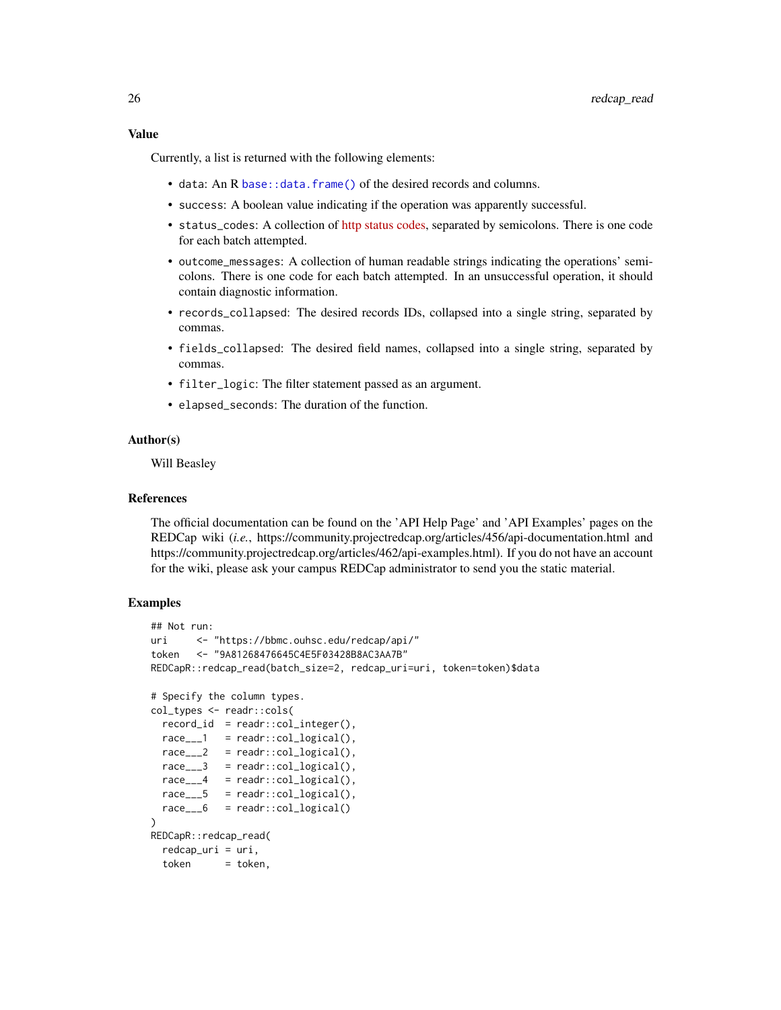<span id="page-25-0"></span>Currently, a list is returned with the following elements:

- data: An R [base::data.frame\(\)](#page-0-0) of the desired records and columns.
- success: A boolean value indicating if the operation was apparently successful.
- status\_codes: A collection of [http status codes,](https://en.wikipedia.org/wiki/List_of_HTTP_status_codes) separated by semicolons. There is one code for each batch attempted.
- outcome\_messages: A collection of human readable strings indicating the operations' semicolons. There is one code for each batch attempted. In an unsuccessful operation, it should contain diagnostic information.
- records\_collapsed: The desired records IDs, collapsed into a single string, separated by commas.
- fields\_collapsed: The desired field names, collapsed into a single string, separated by commas.
- filter\_logic: The filter statement passed as an argument.
- elapsed\_seconds: The duration of the function.

## Author(s)

Will Beasley

#### References

The official documentation can be found on the 'API Help Page' and 'API Examples' pages on the REDCap wiki (*i.e.*, https://community.projectredcap.org/articles/456/api-documentation.html and https://community.projectredcap.org/articles/462/api-examples.html). If you do not have an account for the wiki, please ask your campus REDCap administrator to send you the static material.

## Examples

```
## Not run:
uri <- "https://bbmc.ouhsc.edu/redcap/api/"
token <- "9A81268476645C4E5F03428B8AC3AA7B"
REDCapR::redcap_read(batch_size=2, redcap_uri=uri, token=token)$data
# Specify the column types.
col_types <- readr::cols(
 record_id = readr::col_interest = (race_{--}1 = readr::col\_logical(),
 race_{---}2 = readr::col\_logical(),race_{--}3 = readr::col\_logical(),
 race_{--}4 = readr::col\_logical(),race_{---}5 = readr::col\_logical(),race_{---}6 = readr::col\_logical())
REDCapR::redcap_read(
 redcap_uri = uri,
 token = token,
```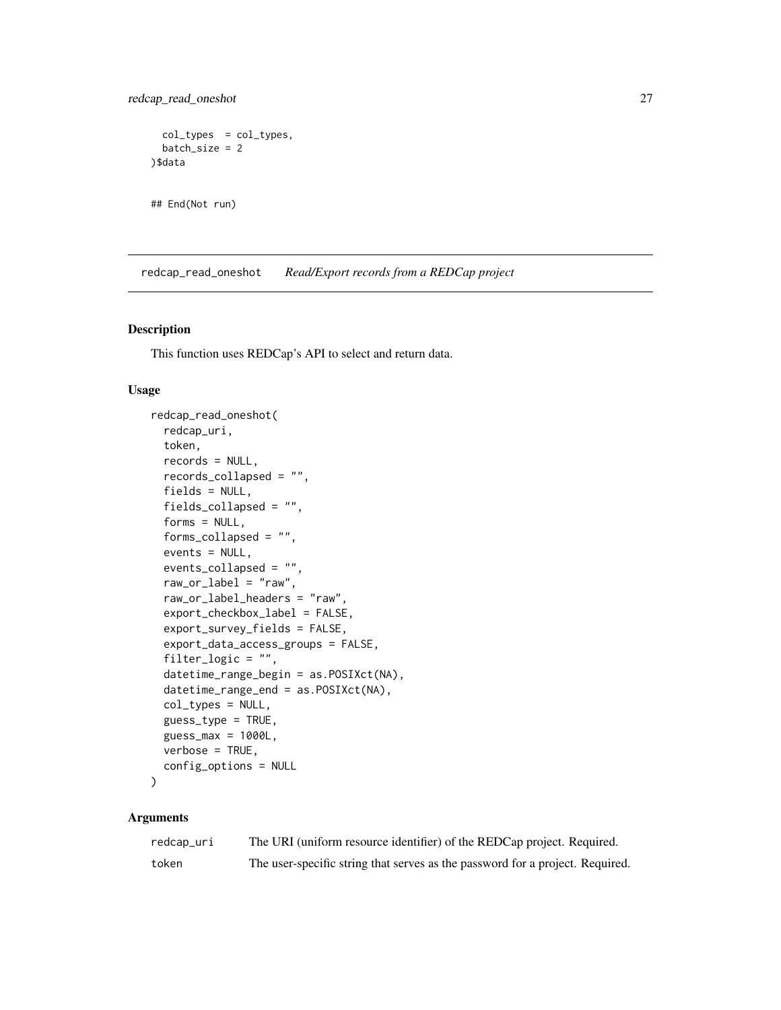<span id="page-26-0"></span>redcap\_read\_oneshot 27

```
col_types = col_types,
 batch_size = 2
)$data
```

```
## End(Not run)
```
<span id="page-26-1"></span>redcap\_read\_oneshot *Read/Export records from a REDCap project*

## Description

This function uses REDCap's API to select and return data.

#### Usage

```
redcap_read_oneshot(
  redcap_uri,
  token,
  records = NULL,
  records_collapsed = "",
  fields = NULL,fields_collapsed = "",
  forms = NULL,
  forms_collapsed = "",
  events = NULL,events_collapsed = "",
  raw_or\_label = "raw",raw_or_label_headers = "raw",
  export_checkbox_label = FALSE,
  export_survey_fields = FALSE,
  export_data_access_groups = FALSE,
  filter_logic = "",
  datetime_range_begin = as.POSIXct(NA),
  datetime_range_end = as.POSIXct(NA),
  col_types = NULL,
  guess_type = TRUE,
  guess_max = 1000L,
 verbose = TRUE,
  config_options = NULL
)
```
## Arguments

| redcap_uri | The URI (uniform resource identifier) of the REDCap project. Required.        |
|------------|-------------------------------------------------------------------------------|
| token      | The user-specific string that serves as the password for a project. Required. |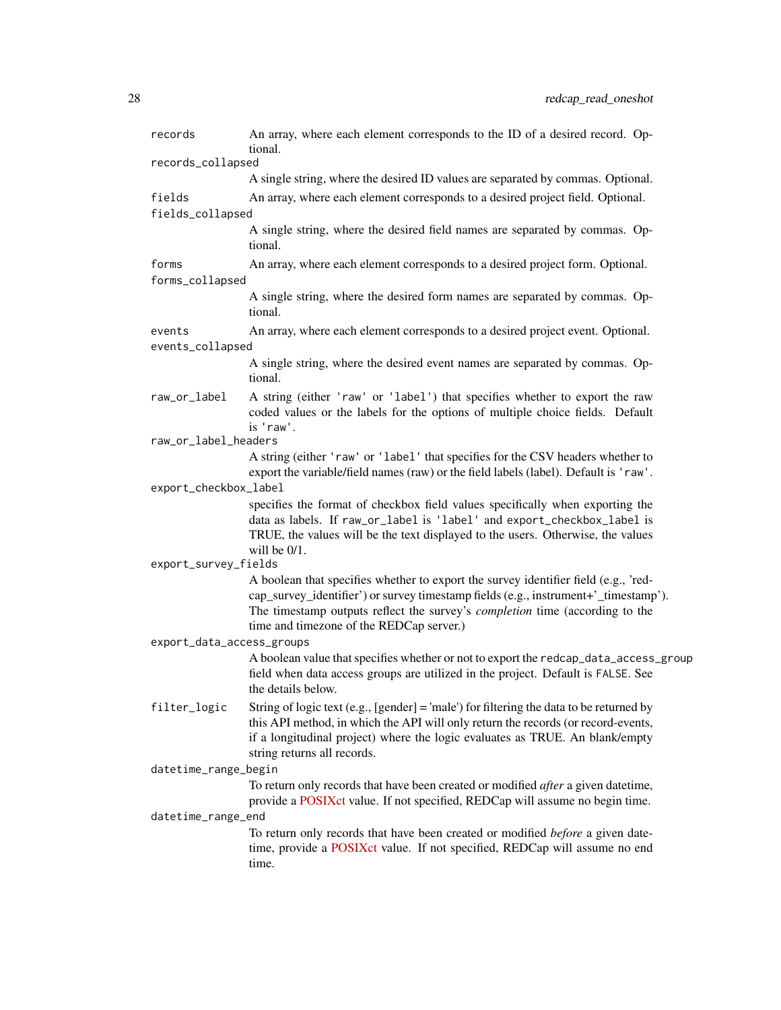| records                    | An array, where each element corresponds to the ID of a desired record. Op-<br>tional.                                                                                                                                                                                                                        |
|----------------------------|---------------------------------------------------------------------------------------------------------------------------------------------------------------------------------------------------------------------------------------------------------------------------------------------------------------|
| records_collapsed          |                                                                                                                                                                                                                                                                                                               |
|                            | A single string, where the desired ID values are separated by commas. Optional.                                                                                                                                                                                                                               |
| fields<br>fields_collapsed | An array, where each element corresponds to a desired project field. Optional.                                                                                                                                                                                                                                |
|                            | A single string, where the desired field names are separated by commas. Op-<br>tional.                                                                                                                                                                                                                        |
| forms<br>forms_collapsed   | An array, where each element corresponds to a desired project form. Optional.                                                                                                                                                                                                                                 |
|                            | A single string, where the desired form names are separated by commas. Op-<br>tional.                                                                                                                                                                                                                         |
| events                     | An array, where each element corresponds to a desired project event. Optional.                                                                                                                                                                                                                                |
| events_collapsed           |                                                                                                                                                                                                                                                                                                               |
|                            | A single string, where the desired event names are separated by commas. Op-<br>tional.                                                                                                                                                                                                                        |
| raw_or_label               | A string (either 'raw' or 'label') that specifies whether to export the raw<br>coded values or the labels for the options of multiple choice fields. Default<br>is 'raw'.                                                                                                                                     |
| raw_or_label_headers       |                                                                                                                                                                                                                                                                                                               |
|                            | A string (either 'raw' or 'label' that specifies for the CSV headers whether to<br>export the variable/field names (raw) or the field labels (label). Default is 'raw'.                                                                                                                                       |
| export_checkbox_label      |                                                                                                                                                                                                                                                                                                               |
|                            | specifies the format of checkbox field values specifically when exporting the<br>data as labels. If raw_or_label is 'label' and export_checkbox_label is<br>TRUE, the values will be the text displayed to the users. Otherwise, the values<br>will be $0/1$ .                                                |
| export_survey_fields       |                                                                                                                                                                                                                                                                                                               |
|                            | A boolean that specifies whether to export the survey identifier field (e.g., 'red-<br>cap_survey_identifier') or survey timestamp fields (e.g., instrument+'_timestamp').<br>The timestamp outputs reflect the survey's <i>completion</i> time (according to the<br>time and timezone of the REDCap server.) |
| export_data_access_groups  |                                                                                                                                                                                                                                                                                                               |
|                            | A boolean value that specifies whether or not to export the redcap_data_access_group<br>field when data access groups are utilized in the project. Default is FALSE. See<br>the details below.                                                                                                                |
| filter_logic               | String of logic text (e.g., [gender] = 'male') for filtering the data to be returned by<br>this API method, in which the API will only return the records (or record-events,<br>if a longitudinal project) where the logic evaluates as TRUE. An blank/empty<br>string returns all records.                   |
| datetime_range_begin       |                                                                                                                                                                                                                                                                                                               |
|                            | To return only records that have been created or modified <i>after</i> a given datetime,<br>provide a POSIXct value. If not specified, REDCap will assume no begin time.                                                                                                                                      |
| datetime_range_end         |                                                                                                                                                                                                                                                                                                               |
|                            | To return only records that have been created or modified before a given date-<br>time, provide a POSIXct value. If not specified, REDCap will assume no end<br>time.                                                                                                                                         |
|                            |                                                                                                                                                                                                                                                                                                               |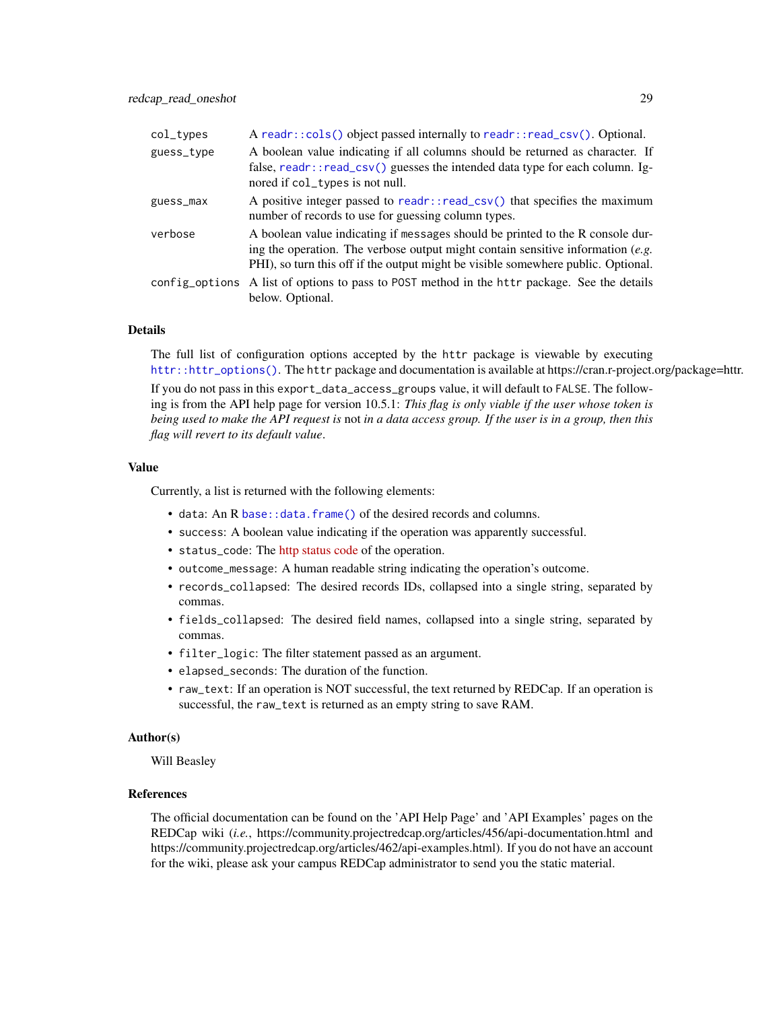<span id="page-28-0"></span>

| col_types  | A readr:: $\text{cols}()$ object passed internally to readr:: $\text{read\_csv()}$ . Optional.                                                                                                                                                           |
|------------|----------------------------------------------------------------------------------------------------------------------------------------------------------------------------------------------------------------------------------------------------------|
| guess_type | A boolean value indicating if all columns should be returned as character. If<br>false, readr::read_csv() guesses the intended data type for each column. Ig-<br>nored if col_types is not null.                                                         |
| guess_max  | A positive integer passed to readr::read_csv() that specifies the maximum<br>number of records to use for guessing column types.                                                                                                                         |
| verbose    | A boolean value indicating if messages should be printed to the R console dur-<br>ing the operation. The verbose output might contain sensitive information $(e.g.$<br>PHI), so turn this off if the output might be visible somewhere public. Optional. |
|            | config_options A list of options to pass to POST method in the httr package. See the details<br>below. Optional.                                                                                                                                         |

## Details

The full list of configuration options accepted by the httr package is viewable by executing [httr::httr\\_options\(\)](#page-0-0). The httr package and documentation is available at https://cran.r-project.org/package=httr.

If you do not pass in this export\_data\_access\_groups value, it will default to FALSE. The following is from the API help page for version 10.5.1: *This flag is only viable if the user whose token is being used to make the API request is* not *in a data access group. If the user is in a group, then this flag will revert to its default value*.

#### Value

Currently, a list is returned with the following elements:

- data: An R [base::data.frame\(\)](#page-0-0) of the desired records and columns.
- success: A boolean value indicating if the operation was apparently successful.
- status\_code: The [http status code](https://en.wikipedia.org/wiki/List_of_HTTP_status_codes) of the operation.
- outcome\_message: A human readable string indicating the operation's outcome.
- records\_collapsed: The desired records IDs, collapsed into a single string, separated by commas.
- fields\_collapsed: The desired field names, collapsed into a single string, separated by commas.
- filter\_logic: The filter statement passed as an argument.
- elapsed\_seconds: The duration of the function.
- raw\_text: If an operation is NOT successful, the text returned by REDCap. If an operation is successful, the raw\_text is returned as an empty string to save RAM.

#### Author(s)

Will Beasley

#### References

The official documentation can be found on the 'API Help Page' and 'API Examples' pages on the REDCap wiki (*i.e.*, https://community.projectredcap.org/articles/456/api-documentation.html and https://community.projectredcap.org/articles/462/api-examples.html). If you do not have an account for the wiki, please ask your campus REDCap administrator to send you the static material.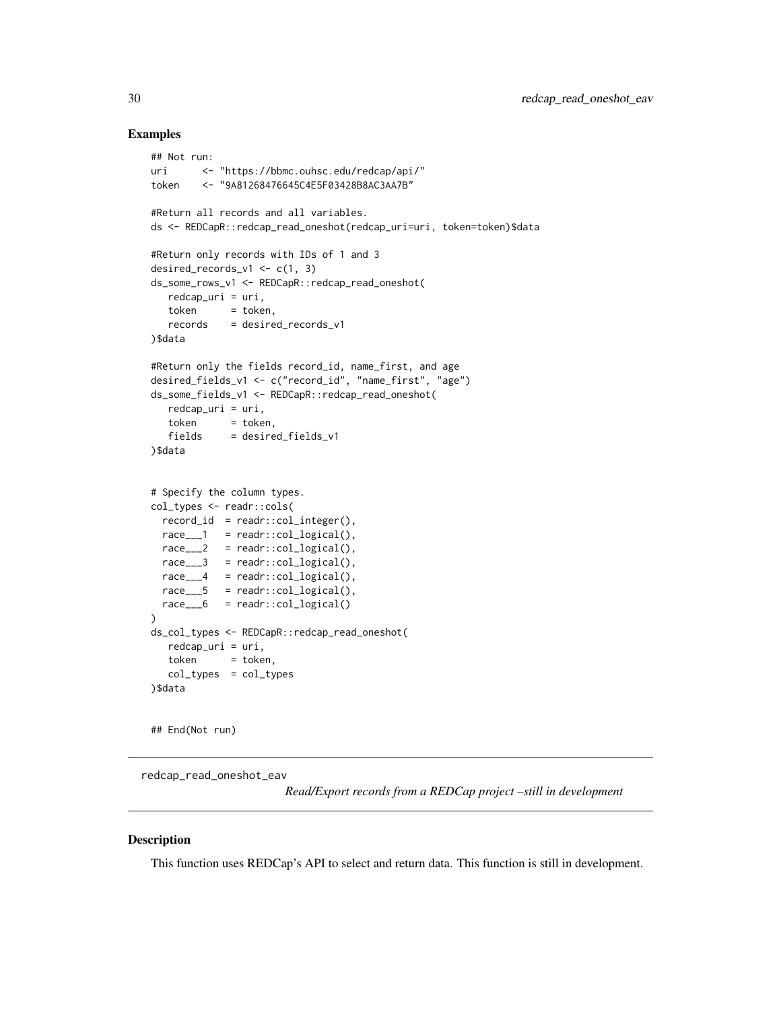## Examples

```
## Not run:
uri <- "https://bbmc.ouhsc.edu/redcap/api/"
token <- "9A81268476645C4E5F03428B8AC3AA7B"
#Return all records and all variables.
ds <- REDCapR::redcap_read_oneshot(redcap_uri=uri, token=token)$data
#Return only records with IDs of 1 and 3
desired_records_v1 <- c(1, 3)
ds_some_rows_v1 <- REDCapR::redcap_read_oneshot(
  redcap_uri = uri,
  token = token,
  records = desired_records_v1
)$data
#Return only the fields record_id, name_first, and age
desired_fields_v1 <- c("record_id", "name_first", "age")
ds_some_fields_v1 <- REDCapR::redcap_read_oneshot(
  redcap_uri = uri,
  token = token,
  fields = desired_fields_v1
)$data
# Specify the column types.
col_types <- readr::cols(
 record_id = readr::col_interest = (race_{--}1 = readr::col\_logical(),
 race_{---}2 = readr::col\_logical(),race_{--}3 = readr::col\_logical(),
 race_{--}4 = readr::col\_logical(),race_{---}5 = readr::col\_logical(),race___6 = readr::col_logical()
)
ds_col_types <- REDCapR::redcap_read_oneshot(
  redcap_uri = uri,
  token = token,
  col_types = col_types
)$data
## End(Not run)
```
redcap\_read\_oneshot\_eav

*Read/Export records from a REDCap project –still in development*

## **Description**

This function uses REDCap's API to select and return data. This function is still in development.

<span id="page-29-0"></span>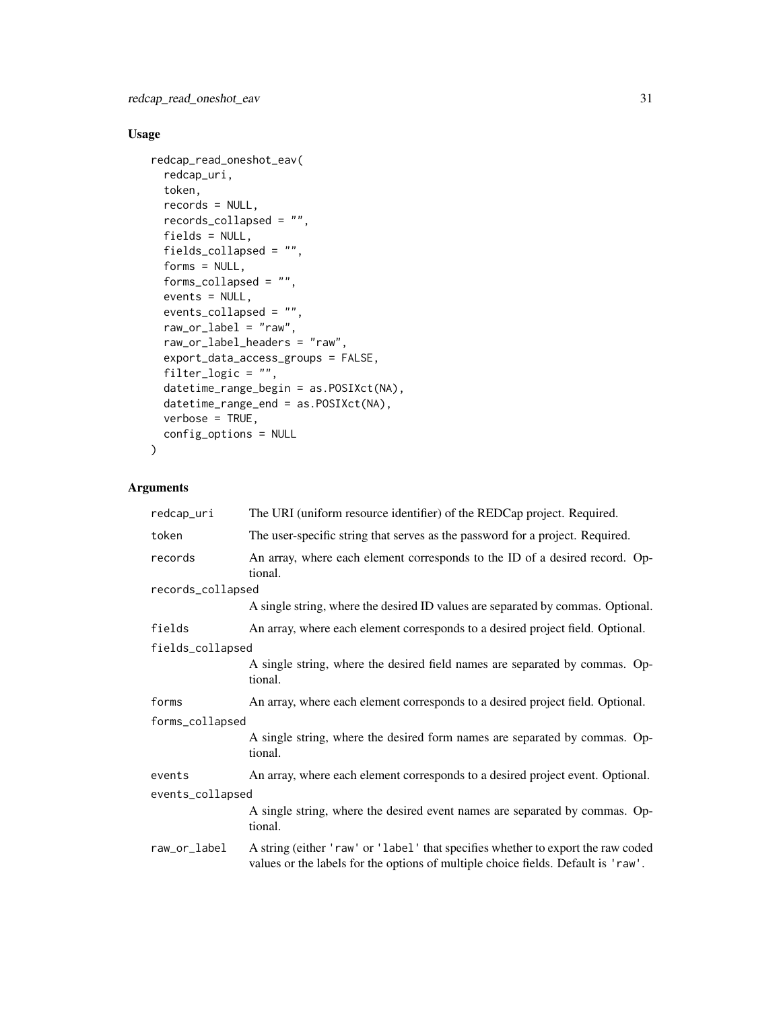## Usage

```
redcap_read_oneshot_eav(
  redcap_uri,
 token,
 records = NULL,
 records_collapsed = "",
  fields = NULL,fields_collapsed = "",
  forms = NULL,
  forms_collapsed = "",
 events = NULL,
 events_collapsed = "",
 raw_or_label = "raw",
  raw_or_label_headers = "raw",
  export_data_access_groups = FALSE,
  filter_logic = ",
 datetime_range_begin = as.POSIXct(NA),
  datetime_range_end = as.POSIXct(NA),
 verbose = TRUE,
 config_options = NULL
)
```
## Arguments

| redcap_uri        | The URI (uniform resource identifier) of the REDCap project. Required.                                                                                                |  |
|-------------------|-----------------------------------------------------------------------------------------------------------------------------------------------------------------------|--|
| token             | The user-specific string that serves as the password for a project. Required.                                                                                         |  |
| records           | An array, where each element corresponds to the ID of a desired record. Op-<br>tional.                                                                                |  |
| records_collapsed |                                                                                                                                                                       |  |
|                   | A single string, where the desired ID values are separated by commas. Optional.                                                                                       |  |
| fields            | An array, where each element corresponds to a desired project field. Optional.                                                                                        |  |
| fields_collapsed  |                                                                                                                                                                       |  |
|                   | A single string, where the desired field names are separated by commas. Op-<br>tional.                                                                                |  |
| forms             | An array, where each element corresponds to a desired project field. Optional.                                                                                        |  |
| forms_collapsed   |                                                                                                                                                                       |  |
|                   | A single string, where the desired form names are separated by commas. Op-<br>tional.                                                                                 |  |
| events            | An array, where each element corresponds to a desired project event. Optional.                                                                                        |  |
| events_collapsed  |                                                                                                                                                                       |  |
|                   | A single string, where the desired event names are separated by commas. Op-<br>tional.                                                                                |  |
| raw_or_label      | A string (either 'raw' or 'label' that specifies whether to export the raw coded<br>values or the labels for the options of multiple choice fields. Default is 'raw'. |  |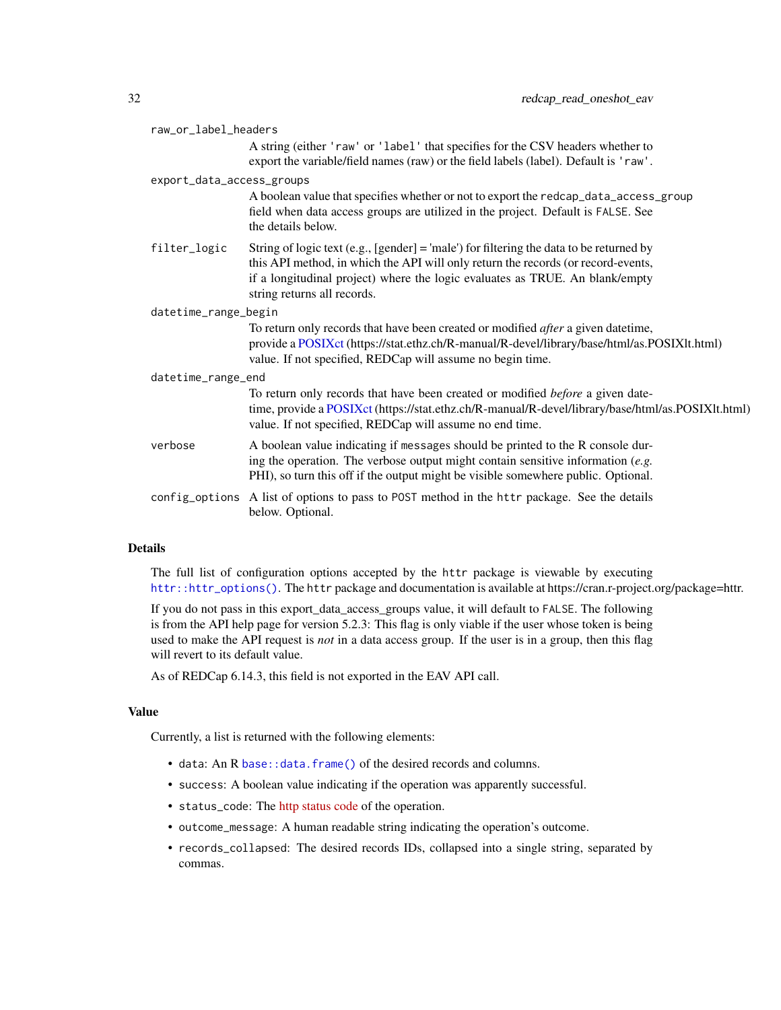<span id="page-31-0"></span>

|                           | raw_or_label_headers |                                                                                                                                                                                                                                                                                             |  |
|---------------------------|----------------------|---------------------------------------------------------------------------------------------------------------------------------------------------------------------------------------------------------------------------------------------------------------------------------------------|--|
|                           |                      | A string (either 'raw' or 'label' that specifies for the CSV headers whether to                                                                                                                                                                                                             |  |
|                           |                      | export the variable/field names (raw) or the field labels (label). Default is 'raw'.                                                                                                                                                                                                        |  |
| export_data_access_groups |                      |                                                                                                                                                                                                                                                                                             |  |
|                           |                      | A boolean value that specifies whether or not to export the redcap_data_access_group<br>field when data access groups are utilized in the project. Default is FALSE. See<br>the details below.                                                                                              |  |
|                           | filter_logic         | String of logic text (e.g., [gender] = 'male') for filtering the data to be returned by<br>this API method, in which the API will only return the records (or record-events,<br>if a longitudinal project) where the logic evaluates as TRUE. An blank/empty<br>string returns all records. |  |
| datetime_range_begin      |                      |                                                                                                                                                                                                                                                                                             |  |
|                           |                      | To return only records that have been created or modified <i>after</i> a given date time,<br>provide a POSIXct (https://stat.ethz.ch/R-manual/R-devel/library/base/html/as.POSIXlt.html)<br>value. If not specified, REDCap will assume no begin time.                                      |  |
| datetime_range_end        |                      |                                                                                                                                                                                                                                                                                             |  |
|                           |                      | To return only records that have been created or modified before a given date-<br>time, provide a POSIXct (https://stat.ethz.ch/R-manual/R-devel/library/base/html/as.POSIXlt.html)<br>value. If not specified, REDCap will assume no end time.                                             |  |
|                           | verbose              | A boolean value indicating if messages should be printed to the R console dur-<br>ing the operation. The verbose output might contain sensitive information $(e.g.$<br>PHI), so turn this off if the output might be visible somewhere public. Optional.                                    |  |
|                           | config_options       | A list of options to pass to POST method in the httr package. See the details<br>below. Optional.                                                                                                                                                                                           |  |

## Details

The full list of configuration options accepted by the httr package is viewable by executing [httr::httr\\_options\(\)](#page-0-0). The httr package and documentation is available at https://cran.r-project.org/package=httr.

If you do not pass in this export\_data\_access\_groups value, it will default to FALSE. The following is from the API help page for version 5.2.3: This flag is only viable if the user whose token is being used to make the API request is *not* in a data access group. If the user is in a group, then this flag will revert to its default value.

As of REDCap 6.14.3, this field is not exported in the EAV API call.

## Value

Currently, a list is returned with the following elements:

- data: An R [base::data.frame\(\)](#page-0-0) of the desired records and columns.
- success: A boolean value indicating if the operation was apparently successful.
- status\_code: The [http status code](https://en.wikipedia.org/wiki/List_of_HTTP_status_codes) of the operation.
- outcome\_message: A human readable string indicating the operation's outcome.
- records\_collapsed: The desired records IDs, collapsed into a single string, separated by commas.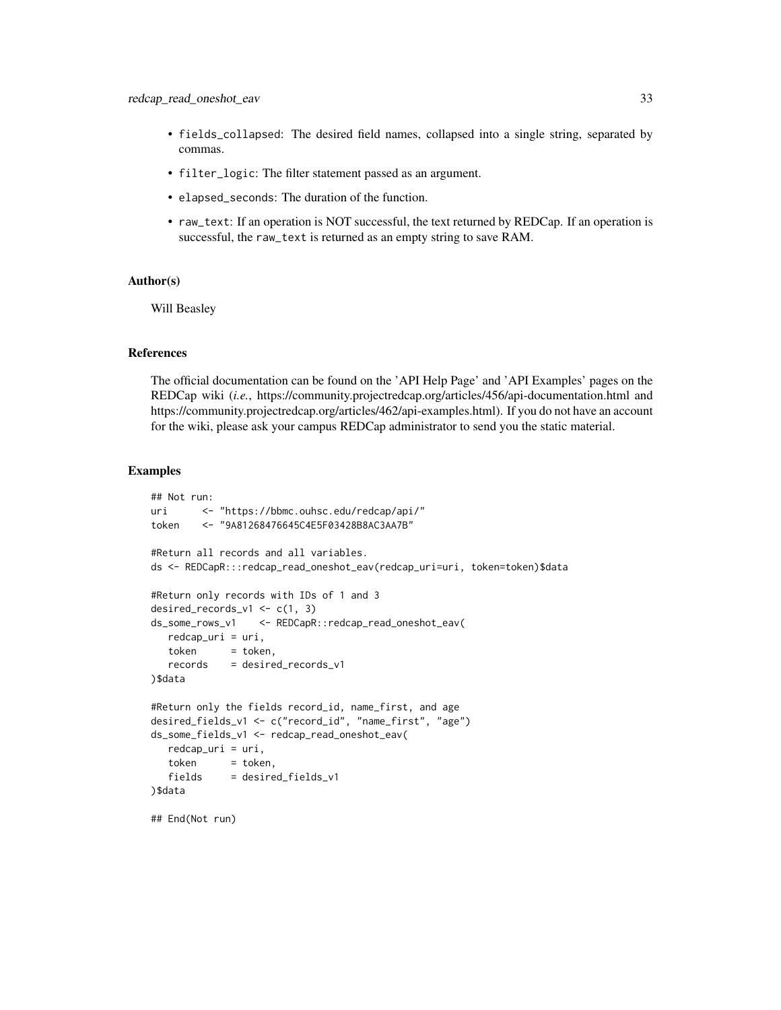- fields\_collapsed: The desired field names, collapsed into a single string, separated by commas.
- filter\_logic: The filter statement passed as an argument.
- elapsed\_seconds: The duration of the function.
- raw\_text: If an operation is NOT successful, the text returned by REDCap. If an operation is successful, the raw\_text is returned as an empty string to save RAM.

## Author(s)

Will Beasley

#### References

The official documentation can be found on the 'API Help Page' and 'API Examples' pages on the REDCap wiki (*i.e.*, https://community.projectredcap.org/articles/456/api-documentation.html and https://community.projectredcap.org/articles/462/api-examples.html). If you do not have an account for the wiki, please ask your campus REDCap administrator to send you the static material.

## Examples

```
## Not run:
uri <- "https://bbmc.ouhsc.edu/redcap/api/"
token <- "9A81268476645C4E5F03428B8AC3AA7B"
#Return all records and all variables.
ds <- REDCapR:::redcap_read_oneshot_eav(redcap_uri=uri, token=token)$data
#Return only records with IDs of 1 and 3
desired_records_v1 <- c(1, 3)ds_some_rows_v1 <- REDCapR::redcap_read_oneshot_eav(
  redcap_uri = uri,
  token = token.
  records = desired_records_v1
)$data
#Return only the fields record_id, name_first, and age
desired_fields_v1 <- c("record_id", "name_first", "age")
ds_some_fields_v1 <- redcap_read_oneshot_eav(
  redcap_uri = uri,
  token = token,
  fields = desired_fields_v1
)$data
## End(Not run)
```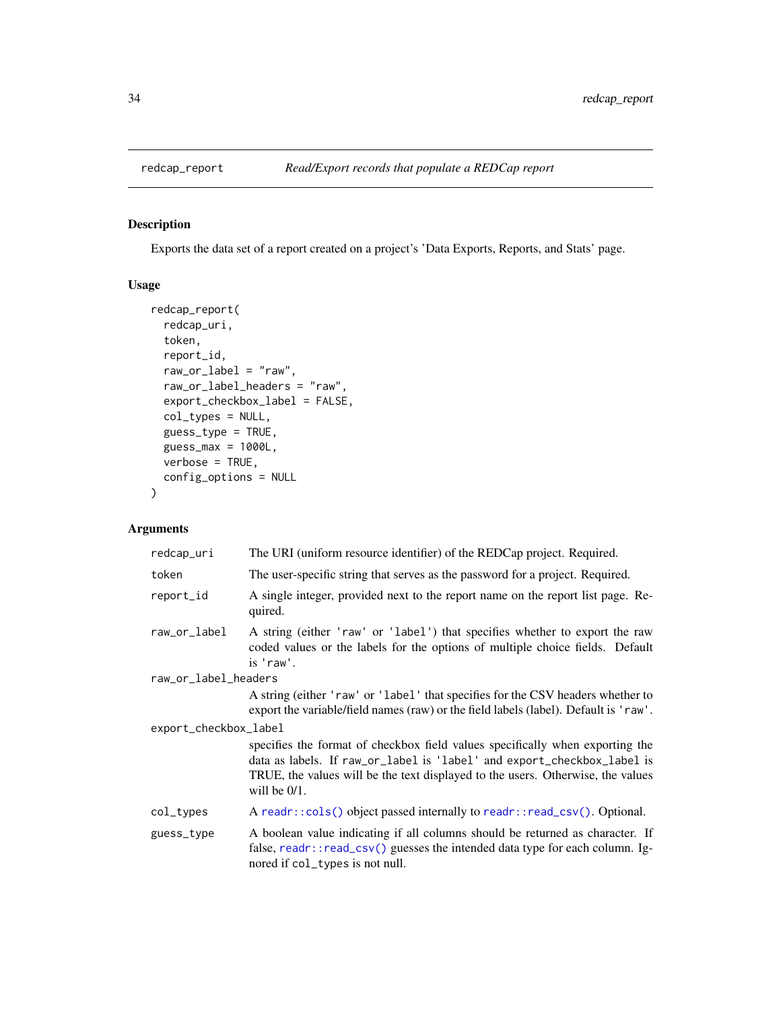<span id="page-33-0"></span>

## Description

Exports the data set of a report created on a project's 'Data Exports, Reports, and Stats' page.

## Usage

```
redcap_report(
  redcap_uri,
  token,
  report_id,
  raw_or_label = "raw",
  raw_or_label_headers = "raw",
 export_checkbox_label = FALSE,
  col_types = NULL,
 guess_type = TRUE,
 guess_max = 1000L,
 verbose = TRUE,
  config_options = NULL
\mathcal{L}
```
## Arguments

| redcap_uri            | The URI (uniform resource identifier) of the REDCap project. Required.                                                                                                                                                                                         |  |
|-----------------------|----------------------------------------------------------------------------------------------------------------------------------------------------------------------------------------------------------------------------------------------------------------|--|
| token                 | The user-specific string that serves as the password for a project. Required.                                                                                                                                                                                  |  |
| report_id             | A single integer, provided next to the report name on the report list page. Re-<br>quired.                                                                                                                                                                     |  |
| raw_or_label          | A string (either 'raw' or 'label') that specifies whether to export the raw<br>coded values or the labels for the options of multiple choice fields. Default<br>is 'raw'.                                                                                      |  |
| raw_or_label_headers  |                                                                                                                                                                                                                                                                |  |
|                       | A string (either 'raw' or 'label' that specifies for the CSV headers whether to<br>export the variable/field names (raw) or the field labels (label). Default is 'raw'.                                                                                        |  |
| export_checkbox_label |                                                                                                                                                                                                                                                                |  |
|                       | specifies the format of checkbox field values specifically when exporting the<br>data as labels. If raw_or_label is 'label' and export_checkbox_label is<br>TRUE, the values will be the text displayed to the users. Otherwise, the values<br>will be $0/1$ . |  |
| col_types             | A readr::cols() object passed internally to readr::read_csv(). Optional.                                                                                                                                                                                       |  |
| guess_type            | A boolean value indicating if all columns should be returned as character. If<br>false, readr::read_csv() guesses the intended data type for each column. Ig-<br>nored if col_types is not null.                                                               |  |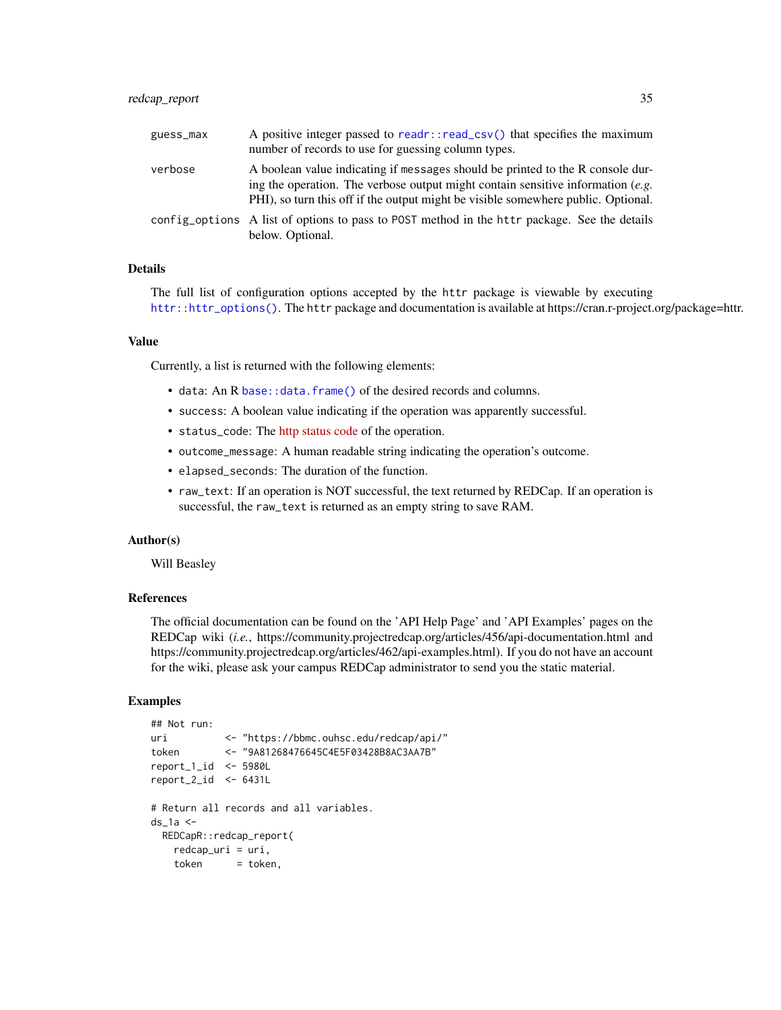## <span id="page-34-0"></span>redcap\_report 35

| guess_max | A positive integer passed to readr::read_csv() that specifies the maximum<br>number of records to use for guessing column types.                                                                                                                         |
|-----------|----------------------------------------------------------------------------------------------------------------------------------------------------------------------------------------------------------------------------------------------------------|
| verbose   | A boolean value indicating if messages should be printed to the R console dur-<br>ing the operation. The verbose output might contain sensitive information $(e.g.$<br>PHI), so turn this off if the output might be visible somewhere public. Optional. |
|           | config_options A list of options to pass to POST method in the httr package. See the details<br>below. Optional.                                                                                                                                         |

#### Details

The full list of configuration options accepted by the httr package is viewable by executing [httr::httr\\_options\(\)](#page-0-0). The httr package and documentation is available at https://cran.r-project.org/package=httr.

#### Value

Currently, a list is returned with the following elements:

- data: An R [base::data.frame\(\)](#page-0-0) of the desired records and columns.
- success: A boolean value indicating if the operation was apparently successful.
- status\_code: The [http status code](https://en.wikipedia.org/wiki/List_of_HTTP_status_codes) of the operation.
- outcome\_message: A human readable string indicating the operation's outcome.
- elapsed\_seconds: The duration of the function.
- raw\_text: If an operation is NOT successful, the text returned by REDCap. If an operation is successful, the raw\_text is returned as an empty string to save RAM.

## Author(s)

Will Beasley

## References

The official documentation can be found on the 'API Help Page' and 'API Examples' pages on the REDCap wiki (*i.e.*, https://community.projectredcap.org/articles/456/api-documentation.html and https://community.projectredcap.org/articles/462/api-examples.html). If you do not have an account for the wiki, please ask your campus REDCap administrator to send you the static material.

## Examples

```
## Not run:
uri <- "https://bbmc.ouhsc.edu/redcap/api/"
token <- "9A81268476645C4E5F03428B8AC3AA7B"
report_1_id <- 5980L
report_2_id <- 6431L
# Return all records and all variables.
ds_1a < -REDCapR::redcap_report(
   redcap_uri = uri,
   token = token,
```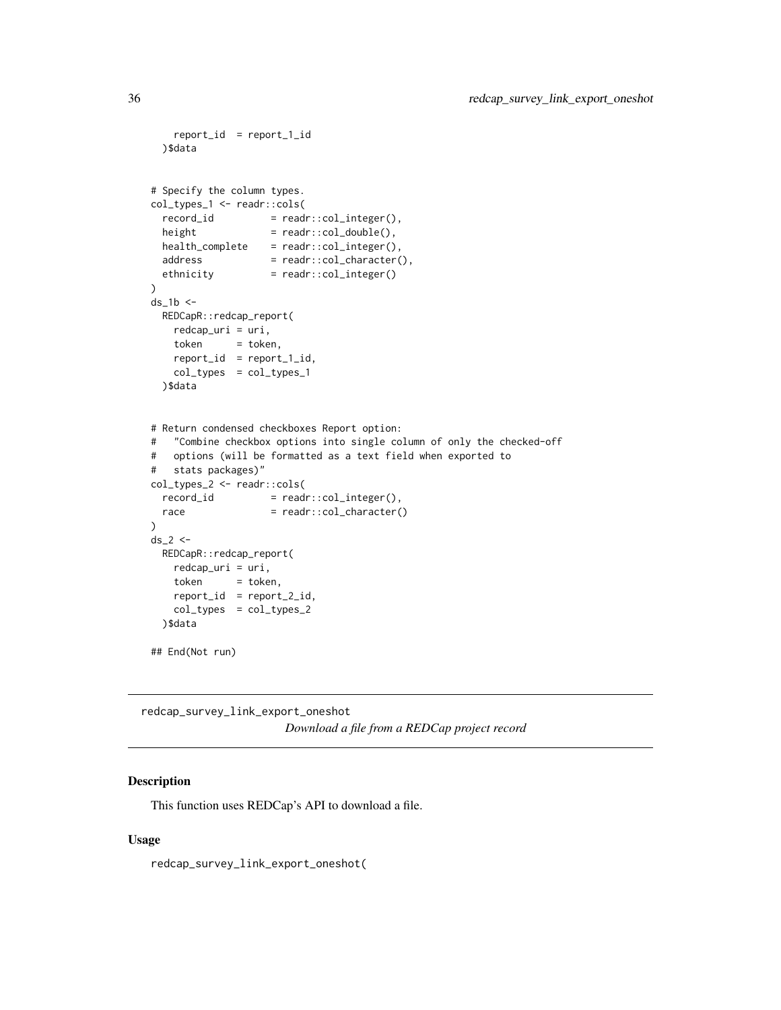```
report_id = report_1_id
 )$data
# Specify the column types.
col_types_1 <- readr::cols(
  record\_id = readr::col\_integer(),height = readr::col\_double(),health\_complete = readr::col\_integer(),
 address = readr::col_character(),
 duuress<br>ethnicity = readr::col_integer()
\mathcal{L}ds_1b < -REDCapR::redcap_report(
   redcap_uri = uri,
   token = token,
   report_id = report_1_id,
   col_types = col_types_1
 )$data
# Return condensed checkboxes Report option:
# "Combine checkbox options into single column of only the checked-off
# options (will be formatted as a text field when exported to
# stats packages)"
col_types_2 <- readr::cols(
 record_id = read::col\_integer(),race = readr::col_character()
)
ds_2 < -REDCapR::redcap_report(
   redcap_uri = uri,
   token = token,
   report_id = report_2_id,col_types = col_types_2
 )$data
## End(Not run)
```
redcap\_survey\_link\_export\_oneshot *Download a file from a REDCap project record*

## Description

This function uses REDCap's API to download a file.

## Usage

redcap\_survey\_link\_export\_oneshot(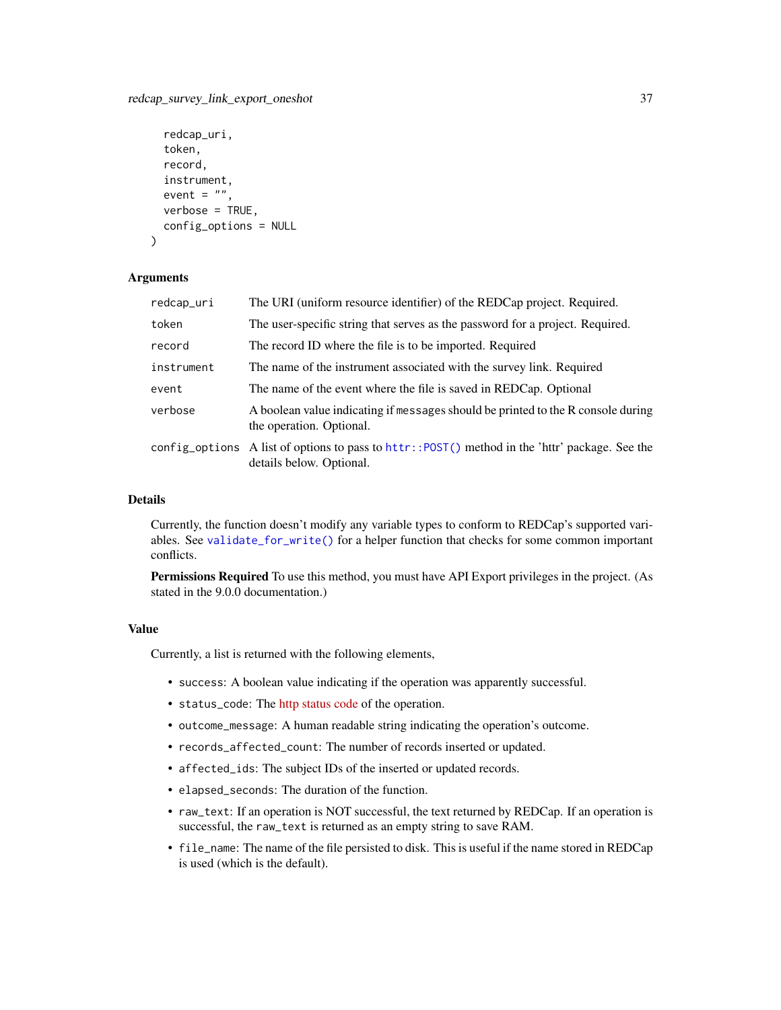## <span id="page-36-0"></span>redcap\_survey\_link\_export\_oneshot 37

```
redcap_uri,
  token,
  record,
  instrument,
  event = ",
  verbose = TRUE,
  config_options = NULL
\lambda
```
## Arguments

| redcap_uri | The URI (uniform resource identifier) of the REDCap project. Required.                                                      |
|------------|-----------------------------------------------------------------------------------------------------------------------------|
| token      | The user-specific string that serves as the password for a project. Required.                                               |
| record     | The record ID where the file is to be imported. Required                                                                    |
| instrument | The name of the instrument associated with the survey link. Required                                                        |
| event      | The name of the event where the file is saved in REDCap. Optional                                                           |
| verbose    | A boolean value indicating if messages should be printed to the R console during<br>the operation. Optional.                |
|            | config_options A list of options to pass to httr:: POST() method in the 'httr' package. See the<br>details below. Optional. |

## Details

Currently, the function doesn't modify any variable types to conform to REDCap's supported variables. See [validate\\_for\\_write\(\)](#page-51-1) for a helper function that checks for some common important conflicts.

Permissions Required To use this method, you must have API Export privileges in the project. (As stated in the 9.0.0 documentation.)

#### Value

Currently, a list is returned with the following elements,

- success: A boolean value indicating if the operation was apparently successful.
- status\_code: The [http status code](https://en.wikipedia.org/wiki/List_of_HTTP_status_codes) of the operation.
- outcome\_message: A human readable string indicating the operation's outcome.
- records\_affected\_count: The number of records inserted or updated.
- affected\_ids: The subject IDs of the inserted or updated records.
- elapsed\_seconds: The duration of the function.
- raw\_text: If an operation is NOT successful, the text returned by REDCap. If an operation is successful, the raw\_text is returned as an empty string to save RAM.
- file\_name: The name of the file persisted to disk. This is useful if the name stored in REDCap is used (which is the default).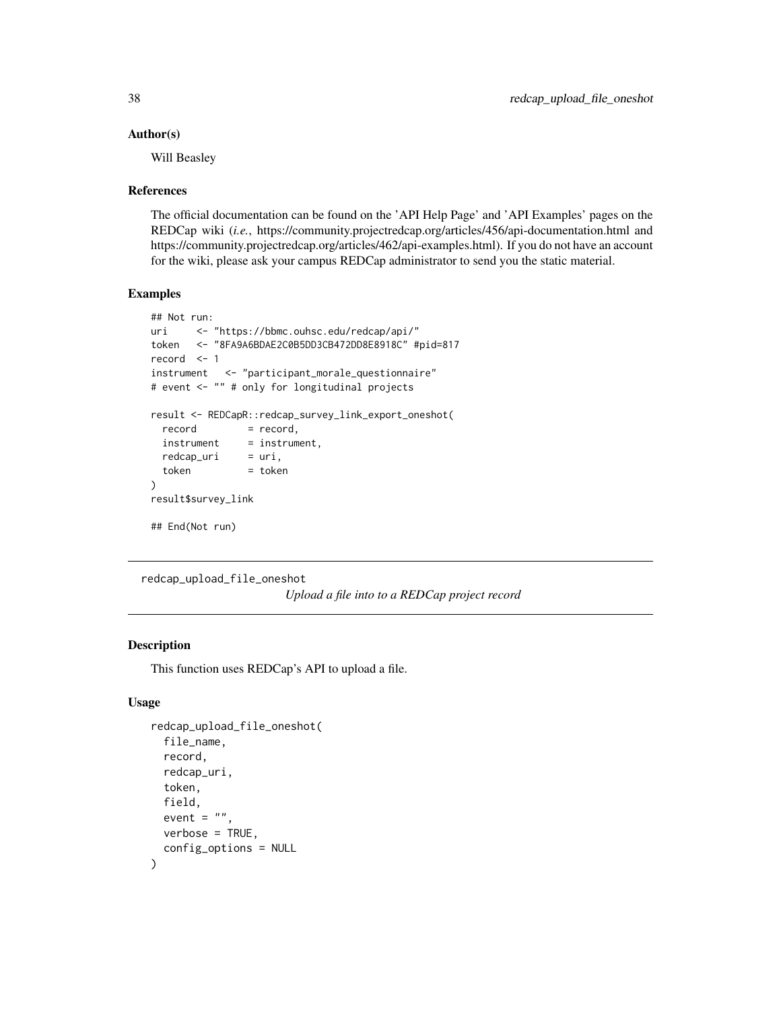#### <span id="page-37-0"></span>Author(s)

Will Beasley

#### References

The official documentation can be found on the 'API Help Page' and 'API Examples' pages on the REDCap wiki (*i.e.*, https://community.projectredcap.org/articles/456/api-documentation.html and https://community.projectredcap.org/articles/462/api-examples.html). If you do not have an account for the wiki, please ask your campus REDCap administrator to send you the static material.

## Examples

```
## Not run:
uri <- "https://bbmc.ouhsc.edu/redcap/api/"
token <- "8FA9A6BDAE2C0B5DD3CB472DD8E8918C" #pid=817
record <- 1
instrument <- "participant_morale_questionnaire"
# event <- "" # only for longitudinal projects
result <- REDCapR::redcap_survey_link_export_oneshot(
 record = record,
 instrument = instrument,redcap\_uri = uri,
 token = token
)
result$survey_link
## End(Not run)
```

```
redcap_upload_file_oneshot
```
*Upload a file into to a REDCap project record*

## Description

This function uses REDCap's API to upload a file.

## Usage

```
redcap_upload_file_oneshot(
  file_name,
  record,
  redcap_uri,
  token,
 field,
  event = ".
 verbose = TRUE,
  config_options = NULL
)
```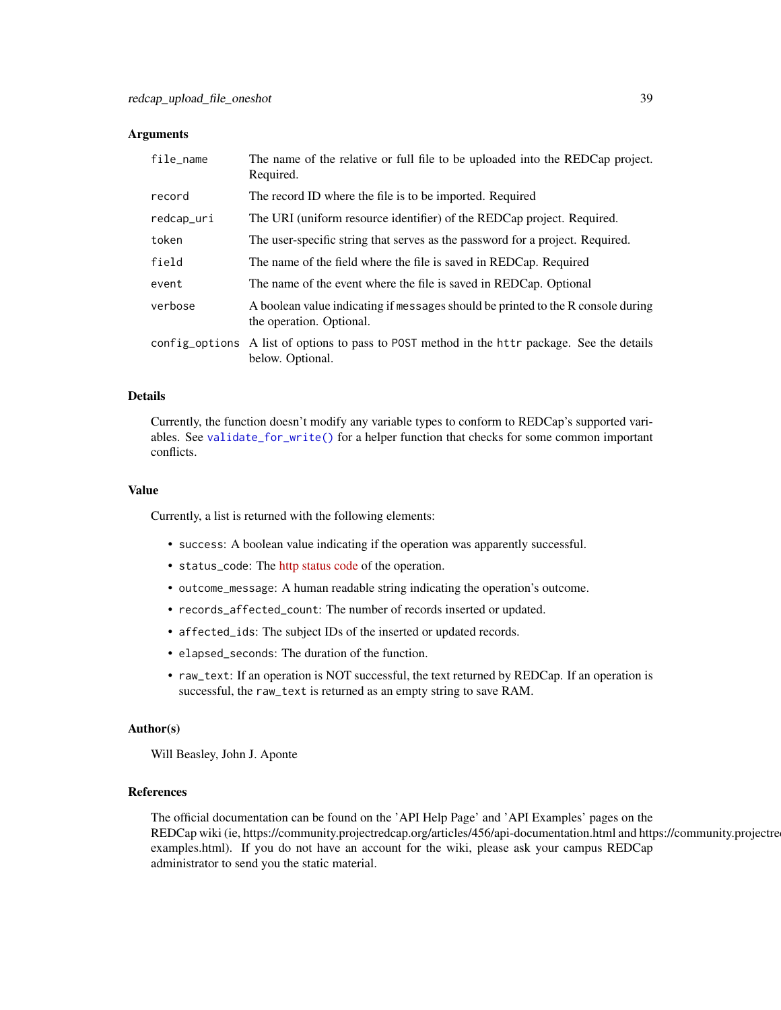## <span id="page-38-0"></span>Arguments

| file_name  | The name of the relative or full file to be uploaded into the REDCap project.<br>Required.                       |
|------------|------------------------------------------------------------------------------------------------------------------|
| record     | The record ID where the file is to be imported. Required                                                         |
| redcap_uri | The URI (uniform resource identifier) of the REDCap project. Required.                                           |
| token      | The user-specific string that serves as the password for a project. Required.                                    |
| field      | The name of the field where the file is saved in REDCap. Required                                                |
| event      | The name of the event where the file is saved in REDCap. Optional                                                |
| verbose    | A boolean value indicating if messages should be printed to the R console during<br>the operation. Optional.     |
|            | config_options A list of options to pass to POST method in the httr package. See the details<br>below. Optional. |

#### Details

Currently, the function doesn't modify any variable types to conform to REDCap's supported variables. See [validate\\_for\\_write\(\)](#page-51-1) for a helper function that checks for some common important conflicts.

## Value

Currently, a list is returned with the following elements:

- success: A boolean value indicating if the operation was apparently successful.
- status\_code: The [http status code](https://en.wikipedia.org/wiki/List_of_HTTP_status_codes) of the operation.
- outcome\_message: A human readable string indicating the operation's outcome.
- records\_affected\_count: The number of records inserted or updated.
- affected\_ids: The subject IDs of the inserted or updated records.
- elapsed\_seconds: The duration of the function.
- raw\_text: If an operation is NOT successful, the text returned by REDCap. If an operation is successful, the raw\_text is returned as an empty string to save RAM.

## Author(s)

Will Beasley, John J. Aponte

## References

The official documentation can be found on the 'API Help Page' and 'API Examples' pages on the REDCap wiki (ie, https://community.projectredcap.org/articles/456/api-documentation.html and https://community.projectre examples.html). If you do not have an account for the wiki, please ask your campus REDCap administrator to send you the static material.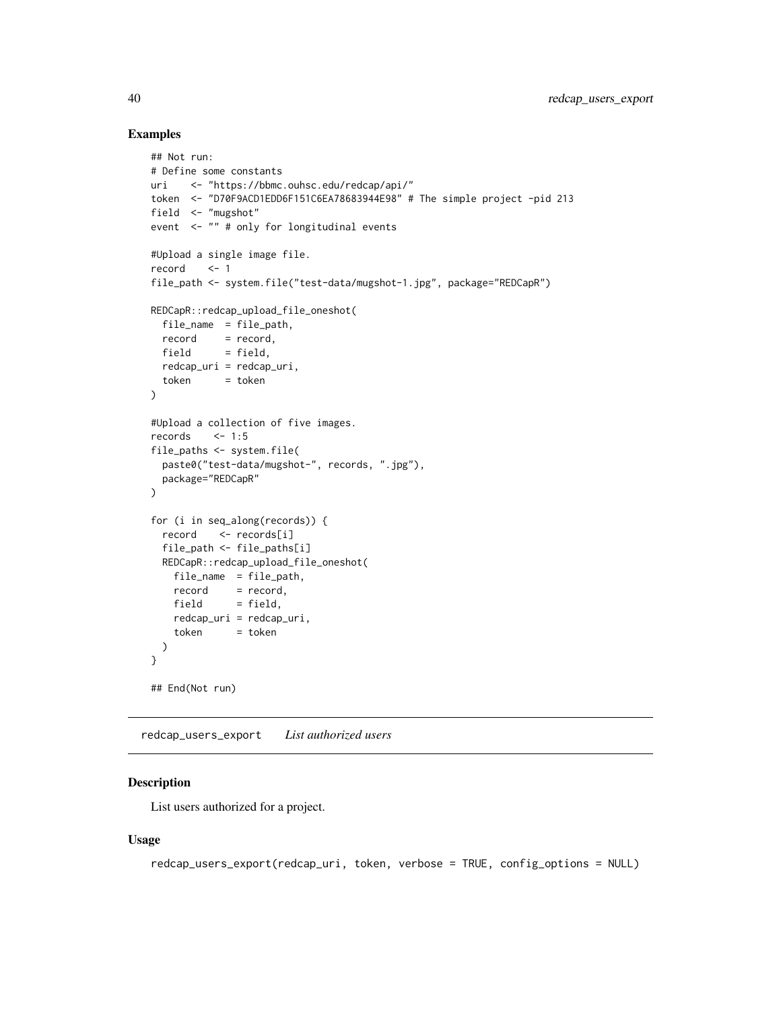## Examples

```
## Not run:
# Define some constants
uri <- "https://bbmc.ouhsc.edu/redcap/api/"
token <- "D70F9ACD1EDD6F151C6EA78683944E98" # The simple project -pid 213
field <- "mugshot"
event <- "" # only for longitudinal events
#Upload a single image file.
record <- 1
file_path <- system.file("test-data/mugshot-1.jpg", package="REDCapR")
REDCapR::redcap_upload_file_oneshot(
 file_name = file_path,
 record = record,
 field = field,
 redcap_uri = redcap_uri,
 token = token
\lambda#Upload a collection of five images.
records <- 1:5
file_paths <- system.file(
 paste0("test-data/mugshot-", records, ".jpg"),
 package="REDCapR"
)
for (i in seq_along(records)) {
 record <- records[i]
 file_path <- file_paths[i]
 REDCapR::redcap_upload_file_oneshot(
   file_name = file_path,
   record = record,
   field = field,
   redcap_uri = redcap_uri,
   token = token
 )
}
## End(Not run)
```
redcap\_users\_export *List authorized users*

## Description

List users authorized for a project.

## Usage

```
redcap_users_export(redcap_uri, token, verbose = TRUE, config_options = NULL)
```
<span id="page-39-0"></span>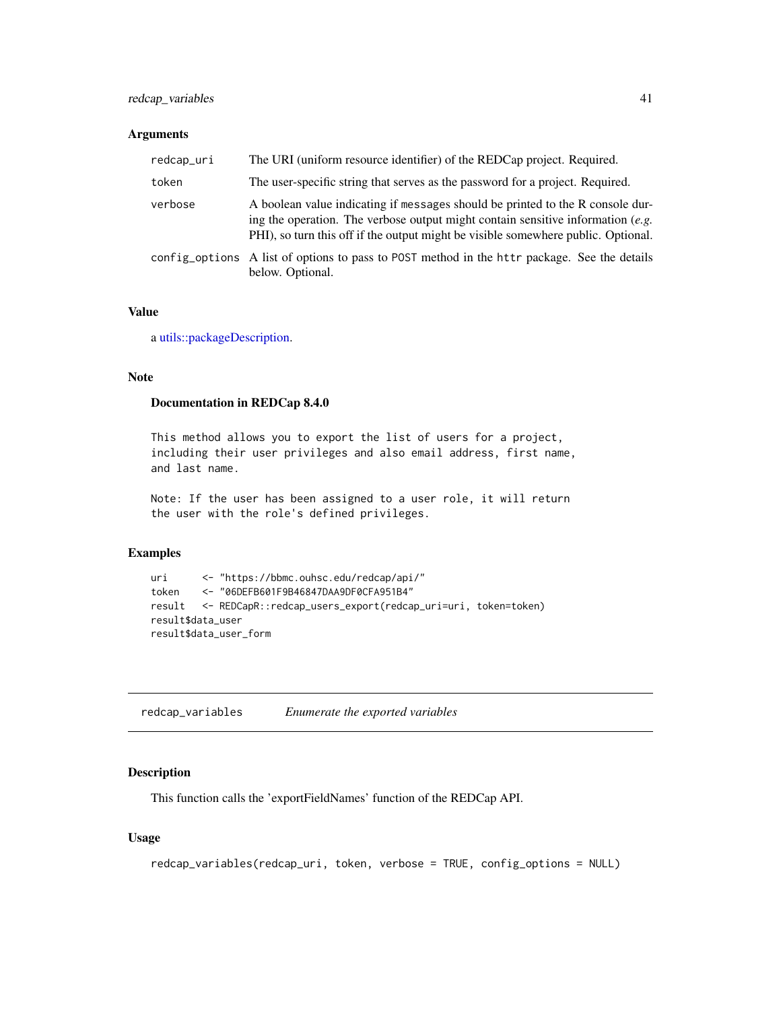## <span id="page-40-0"></span>Arguments

| redcap_uri | The URI (uniform resource identifier) of the REDCap project. Required.                                                                                                                                                                                 |  |
|------------|--------------------------------------------------------------------------------------------------------------------------------------------------------------------------------------------------------------------------------------------------------|--|
| token      | The user-specific string that serves as the password for a project. Required.                                                                                                                                                                          |  |
| verbose    | A boolean value indicating if messages should be printed to the R console dur-<br>ing the operation. The verbose output might contain sensitive information (e.g.<br>PHI), so turn this off if the output might be visible somewhere public. Optional. |  |
|            | config_options A list of options to pass to POST method in the httr package. See the details<br>below. Optional.                                                                                                                                       |  |

## Value

a [utils::packageDescription.](#page-0-0)

## Note

#### Documentation in REDCap 8.4.0

This method allows you to export the list of users for a project, including their user privileges and also email address, first name, and last name.

Note: If the user has been assigned to a user role, it will return the user with the role's defined privileges.

## Examples

```
uri <- "https://bbmc.ouhsc.edu/redcap/api/"
token <- "06DEFB601F9B46847DAA9DF0CFA951B4"
result <- REDCapR::redcap_users_export(redcap_uri=uri, token=token)
result$data_user
result$data_user_form
```
redcap\_variables *Enumerate the exported variables*

## Description

This function calls the 'exportFieldNames' function of the REDCap API.

#### Usage

```
redcap_variables(redcap_uri, token, verbose = TRUE, config_options = NULL)
```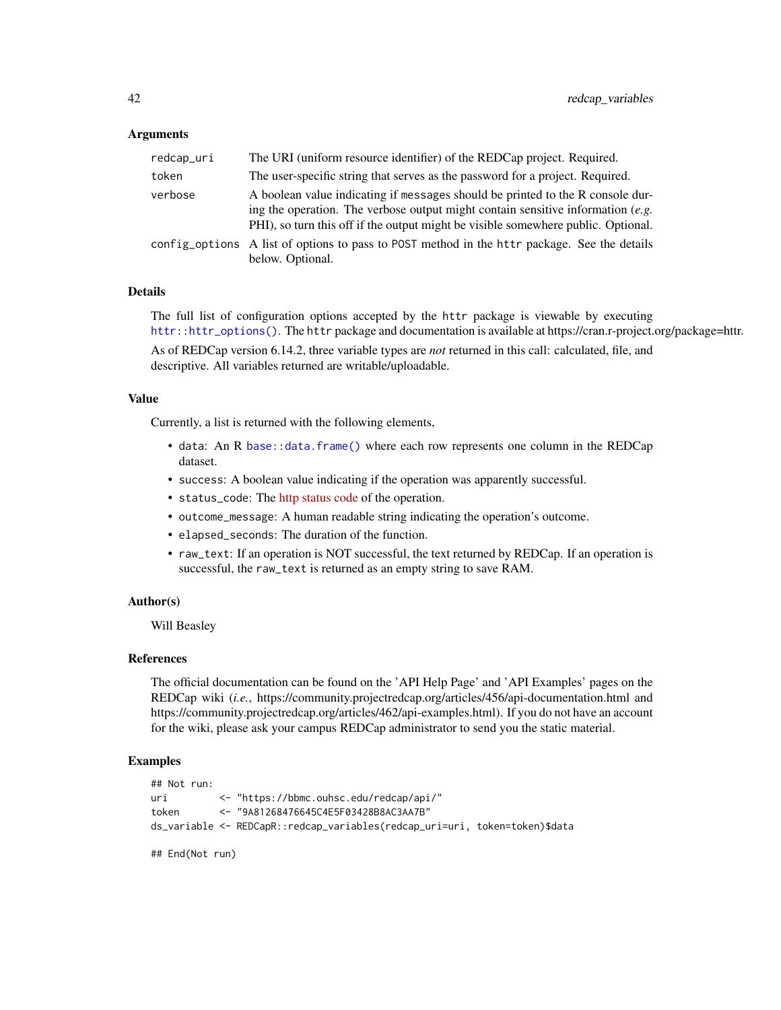#### <span id="page-41-0"></span>Arguments

| redcap_uri | The URI (uniform resource identifier) of the REDCap project. Required.                                                                                                                                                                                   |
|------------|----------------------------------------------------------------------------------------------------------------------------------------------------------------------------------------------------------------------------------------------------------|
| token      | The user-specific string that serves as the password for a project. Required.                                                                                                                                                                            |
| verbose    | A boolean value indicating if messages should be printed to the R console dur-<br>ing the operation. The verbose output might contain sensitive information $(e.g.$<br>PHI), so turn this off if the output might be visible somewhere public. Optional. |
|            | config_options A list of options to pass to POST method in the httr package. See the details<br>below. Optional.                                                                                                                                         |

## Details

The full list of configuration options accepted by the httr package is viewable by executing [httr::httr\\_options\(\)](#page-0-0). The httr package and documentation is available at https://cran.r-project.org/package=httr.

As of REDCap version 6.14.2, three variable types are *not* returned in this call: calculated, file, and descriptive. All variables returned are writable/uploadable.

## Value

Currently, a list is returned with the following elements,

- data: An R [base::data.frame\(\)](#page-0-0) where each row represents one column in the REDCap dataset.
- success: A boolean value indicating if the operation was apparently successful.
- status\_code: The [http status code](https://en.wikipedia.org/wiki/List_of_HTTP_status_codes) of the operation.
- outcome\_message: A human readable string indicating the operation's outcome.
- elapsed\_seconds: The duration of the function.
- raw\_text: If an operation is NOT successful, the text returned by REDCap. If an operation is successful, the raw\_text is returned as an empty string to save RAM.

#### Author(s)

Will Beasley

## References

The official documentation can be found on the 'API Help Page' and 'API Examples' pages on the REDCap wiki (*i.e.*, https://community.projectredcap.org/articles/456/api-documentation.html and https://community.projectredcap.org/articles/462/api-examples.html). If you do not have an account for the wiki, please ask your campus REDCap administrator to send you the static material.

## Examples

```
## Not run:
uri <- "https://bbmc.ouhsc.edu/redcap/api/"
token <- "9A81268476645C4E5F03428B8AC3AA7B"
ds_variable <- REDCapR::redcap_variables(redcap_uri=uri, token=token)$data
```
## End(Not run)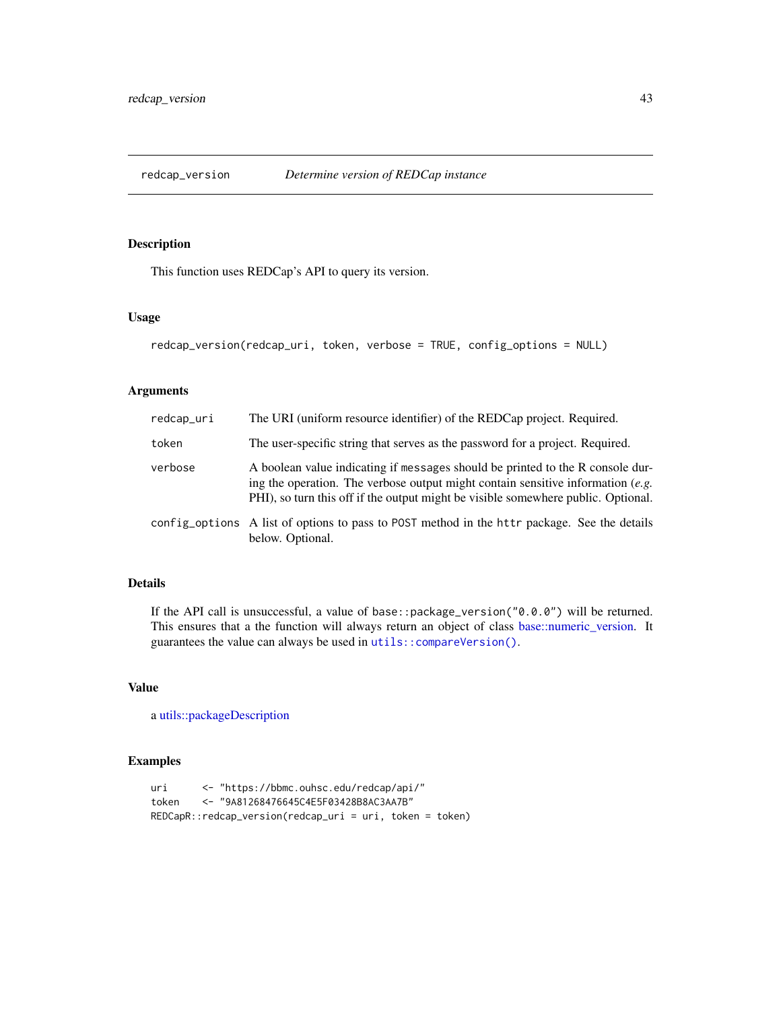<span id="page-42-0"></span>

## Description

This function uses REDCap's API to query its version.

## Usage

```
redcap_version(redcap_uri, token, verbose = TRUE, config_options = NULL)
```
## Arguments

| redcap_uri | The URI (uniform resource identifier) of the REDCap project. Required.                                                                                                                                                                                      |  |
|------------|-------------------------------------------------------------------------------------------------------------------------------------------------------------------------------------------------------------------------------------------------------------|--|
| token      | The user-specific string that serves as the password for a project. Required.                                                                                                                                                                               |  |
| verbose    | A boolean value indicating if messages should be printed to the R console dur-<br>ing the operation. The verbose output might contain sensitive information $(e.g.,\)$<br>PHI), so turn this off if the output might be visible somewhere public. Optional. |  |
|            | config_options A list of options to pass to POST method in the httr package. See the details<br>below. Optional.                                                                                                                                            |  |

## Details

If the API call is unsuccessful, a value of base::package\_version("0.0.0") will be returned. This ensures that a the function will always return an object of class [base::numeric\\_version.](#page-0-0) It guarantees the value can always be used in [utils::compareVersion\(\)](#page-0-0).

## Value

a [utils::packageDescription](#page-0-0)

## Examples

```
uri <- "https://bbmc.ouhsc.edu/redcap/api/"
token <- "9A81268476645C4E5F03428B8AC3AA7B"
REDCapR::redcap_version(redcap_uri = uri, token = token)
```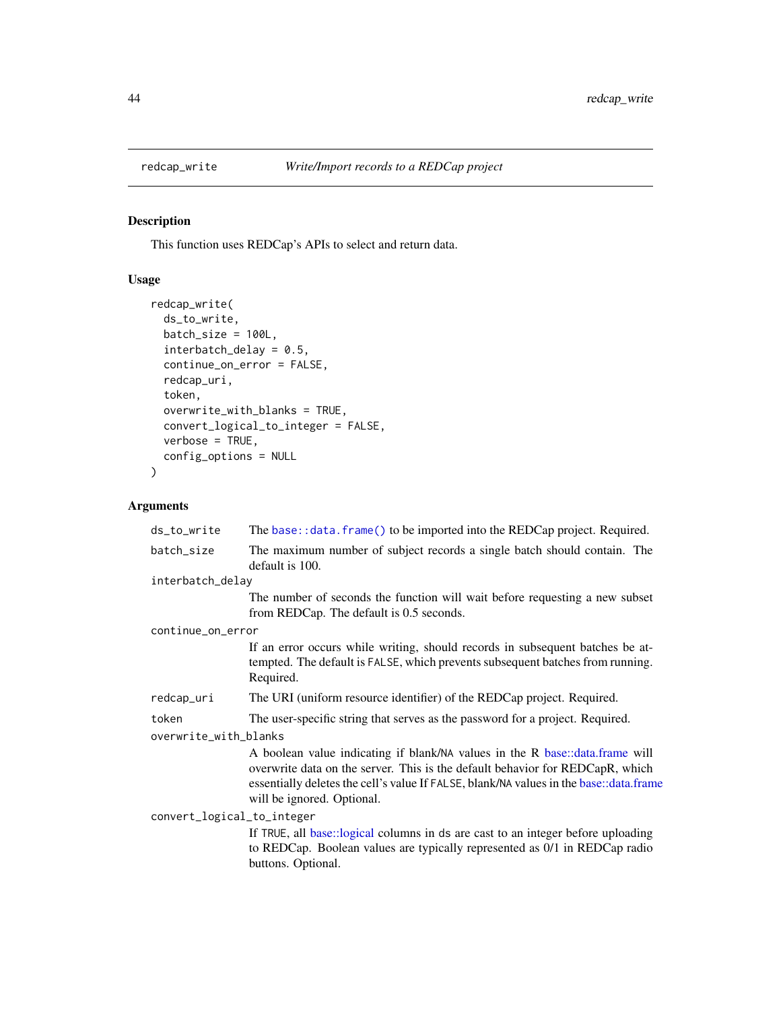<span id="page-43-0"></span>

## Description

This function uses REDCap's APIs to select and return data.

## Usage

```
redcap_write(
  ds_to_write,
 batch_size = 100L,
  interbatch_delay = 0.5,
  continue_on_error = FALSE,
  redcap_uri,
  token,
  overwrite_with_blanks = TRUE,
  convert_logical_to_integer = FALSE,
  verbose = TRUE,
  config_options = NULL
)
```
## Arguments

| ds_to_write                | The base: : data. frame() to be imported into the REDCap project. Required.                                                                                                                                                                                                           |  |
|----------------------------|---------------------------------------------------------------------------------------------------------------------------------------------------------------------------------------------------------------------------------------------------------------------------------------|--|
| batch_size                 | The maximum number of subject records a single batch should contain. The<br>default is 100.                                                                                                                                                                                           |  |
| interbatch_delay           |                                                                                                                                                                                                                                                                                       |  |
|                            | The number of seconds the function will wait before requesting a new subset<br>from REDCap. The default is 0.5 seconds.                                                                                                                                                               |  |
| continue_on_error          |                                                                                                                                                                                                                                                                                       |  |
|                            | If an error occurs while writing, should records in subsequent batches be at-<br>tempted. The default is FALSE, which prevents subsequent batches from running.<br>Required.                                                                                                          |  |
| redcap_uri                 | The URI (uniform resource identifier) of the REDCap project. Required.                                                                                                                                                                                                                |  |
| token                      | The user-specific string that serves as the password for a project. Required.                                                                                                                                                                                                         |  |
| overwrite_with_blanks      |                                                                                                                                                                                                                                                                                       |  |
|                            | A boolean value indicating if blank/NA values in the R base::data.frame will<br>overwrite data on the server. This is the default behavior for REDCapR, which<br>essentially deletes the cell's value If FALSE, blank/NA values in the base::data.frame<br>will be ignored. Optional. |  |
| convert_logical_to_integer | If TRUE, all base::logical columns in ds are cast to an integer before uploading<br>to REDCap. Boolean values are typically represented as 0/1 in REDCap radio<br>buttons. Optional.                                                                                                  |  |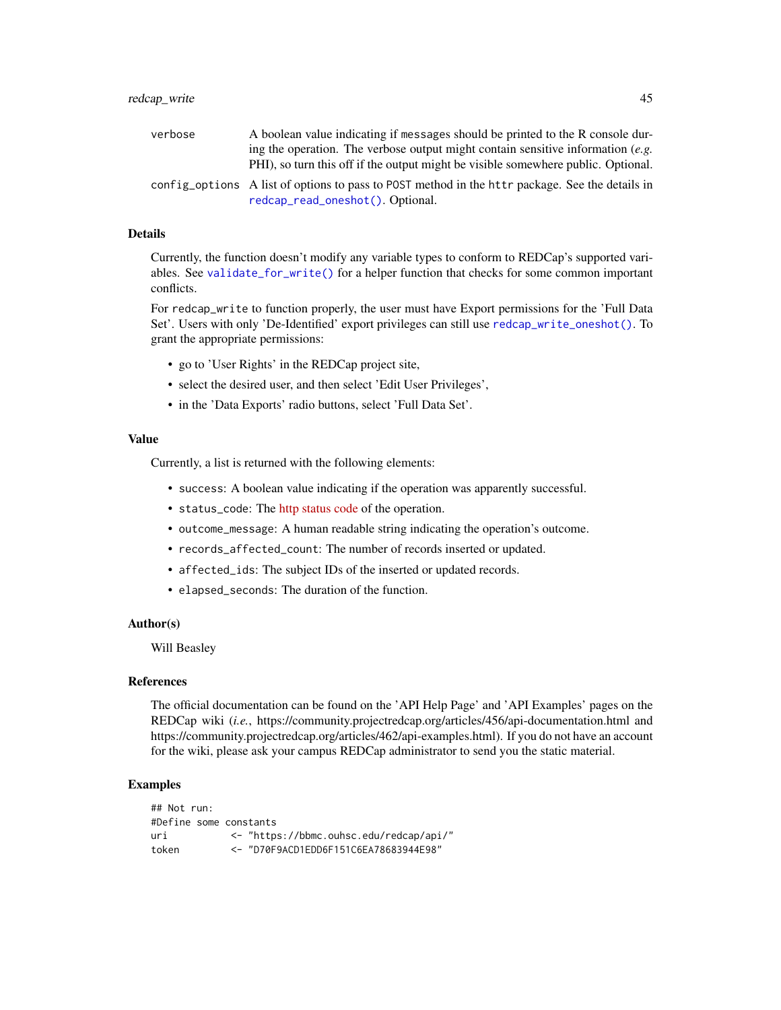<span id="page-44-0"></span>

| verbose | A boolean value indicating if messages should be printed to the R console dur-                                                      |
|---------|-------------------------------------------------------------------------------------------------------------------------------------|
|         | ing the operation. The verbose output might contain sensitive information $(e.g.$                                                   |
|         | PHI), so turn this off if the output might be visible somewhere public. Optional.                                                   |
|         | config options A list of options to pass to POST method in the httr package. See the details in<br>redcap_read_oneshot(). Optional. |

## Details

Currently, the function doesn't modify any variable types to conform to REDCap's supported variables. See [validate\\_for\\_write\(\)](#page-51-1) for a helper function that checks for some common important conflicts.

For redcap\_write to function properly, the user must have Export permissions for the 'Full Data Set'. Users with only 'De-Identified' export privileges can still use [redcap\\_write\\_oneshot\(\)](#page-45-1). To grant the appropriate permissions:

- go to 'User Rights' in the REDCap project site,
- select the desired user, and then select 'Edit User Privileges',
- in the 'Data Exports' radio buttons, select 'Full Data Set'.

## Value

Currently, a list is returned with the following elements:

- success: A boolean value indicating if the operation was apparently successful.
- status\_code: The [http status code](https://en.wikipedia.org/wiki/List_of_HTTP_status_codes) of the operation.
- outcome\_message: A human readable string indicating the operation's outcome.
- records\_affected\_count: The number of records inserted or updated.
- affected\_ids: The subject IDs of the inserted or updated records.
- elapsed\_seconds: The duration of the function.

## Author(s)

Will Beasley

## References

The official documentation can be found on the 'API Help Page' and 'API Examples' pages on the REDCap wiki (*i.e.*, https://community.projectredcap.org/articles/456/api-documentation.html and https://community.projectredcap.org/articles/462/api-examples.html). If you do not have an account for the wiki, please ask your campus REDCap administrator to send you the static material.

## Examples

```
## Not run:
#Define some constants
uri <- "https://bbmc.ouhsc.edu/redcap/api/"
token <- "D70F9ACD1EDD6F151C6EA78683944E98"
```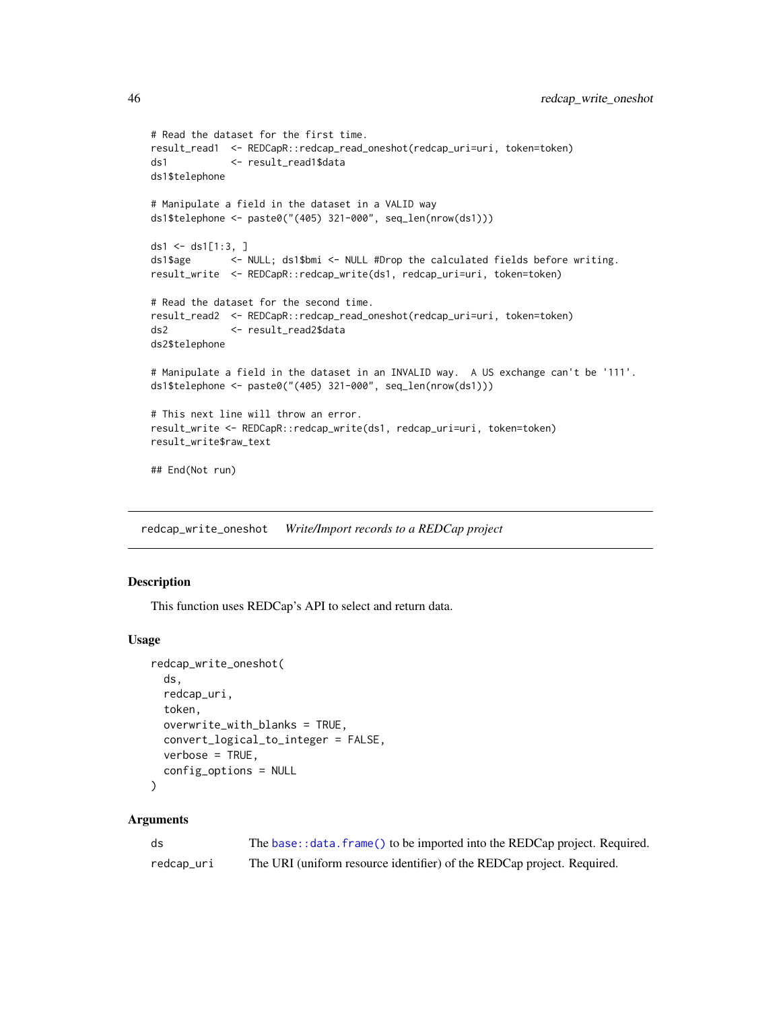```
# Read the dataset for the first time.
result_read1 <- REDCapR::redcap_read_oneshot(redcap_uri=uri, token=token)
ds1 <- result_read1$data
ds1$telephone
# Manipulate a field in the dataset in a VALID way
ds1$telephone <- paste0("(405) 321-000", seq_len(nrow(ds1)))
ds1 <- ds1[1:3, ]
ds1$age <- NULL; ds1$bmi <- NULL #Drop the calculated fields before writing.
result_write <- REDCapR::redcap_write(ds1, redcap_uri=uri, token=token)
# Read the dataset for the second time.
result_read2 <- REDCapR::redcap_read_oneshot(redcap_uri=uri, token=token)
ds2 <- result_read2$data
ds2$telephone
# Manipulate a field in the dataset in an INVALID way. A US exchange can't be '111'.
ds1$telephone <- paste0("(405) 321-000", seq_len(nrow(ds1)))
# This next line will throw an error.
result_write <- REDCapR::redcap_write(ds1, redcap_uri=uri, token=token)
result_write$raw_text
## End(Not run)
```
<span id="page-45-1"></span>redcap\_write\_oneshot *Write/Import records to a REDCap project*

## Description

This function uses REDCap's API to select and return data.

## Usage

```
redcap_write_oneshot(
  ds,
 redcap_uri,
 token,
 overwrite_with_blanks = TRUE,
  convert_logical_to_integer = FALSE,
 verbose = TRUE,
  config_options = NULL
)
```
#### Arguments

| ds         | The base: : data. frame() to be imported into the REDCap project. Required. |
|------------|-----------------------------------------------------------------------------|
| redcap_uri | The URI (uniform resource identifier) of the REDCap project. Required.      |

<span id="page-45-0"></span>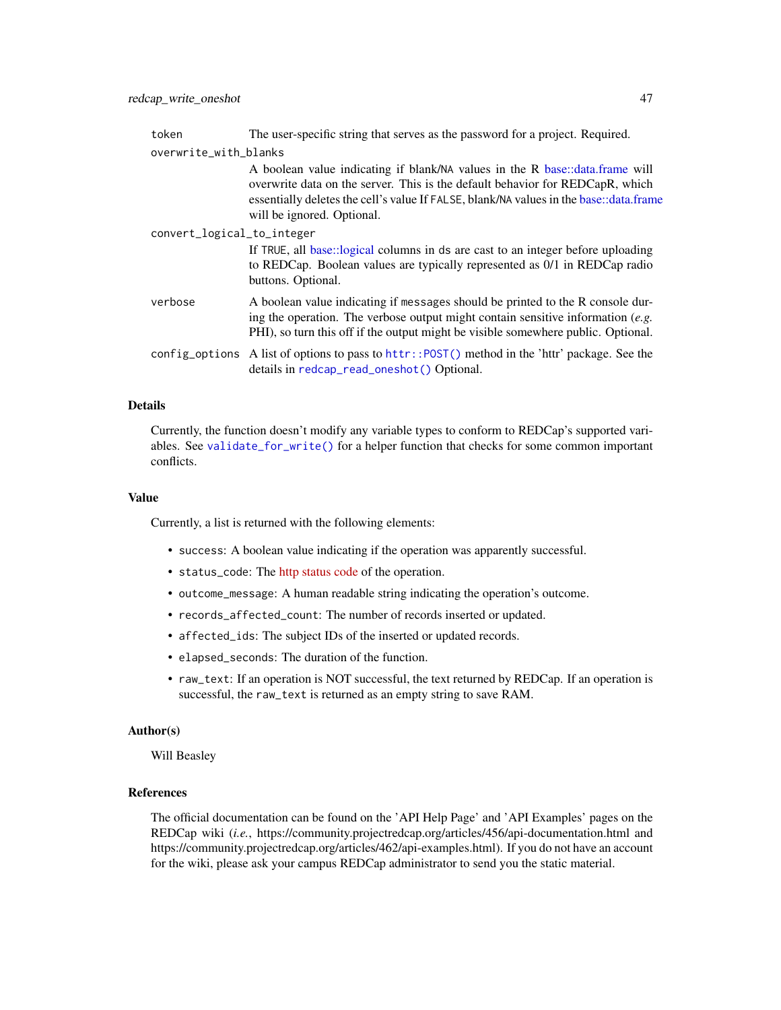<span id="page-46-0"></span>

| token                      | The user-specific string that serves as the password for a project. Required.                                                                                                                                                                                                         |
|----------------------------|---------------------------------------------------------------------------------------------------------------------------------------------------------------------------------------------------------------------------------------------------------------------------------------|
| overwrite_with_blanks      |                                                                                                                                                                                                                                                                                       |
|                            | A boolean value indicating if blank/NA values in the R base::data.frame will<br>overwrite data on the server. This is the default behavior for REDCapR, which<br>essentially deletes the cell's value If FALSE, blank/NA values in the base::data.frame<br>will be ignored. Optional. |
| convert_logical_to_integer |                                                                                                                                                                                                                                                                                       |
|                            | If TRUE, all base::logical columns in ds are cast to an integer before uploading<br>to REDCap. Boolean values are typically represented as 0/1 in REDCap radio<br>buttons. Optional.                                                                                                  |
| verbose                    | A boolean value indicating if messages should be printed to the R console dur-<br>ing the operation. The verbose output might contain sensitive information $(e.g.$<br>PHI), so turn this off if the output might be visible somewhere public. Optional.                              |
|                            | config_options A list of options to pass to httr:: POST() method in the 'httr' package. See the<br>details in redcap_read_oneshot() Optional.                                                                                                                                         |

## Details

Currently, the function doesn't modify any variable types to conform to REDCap's supported variables. See [validate\\_for\\_write\(\)](#page-51-1) for a helper function that checks for some common important conflicts.

## Value

Currently, a list is returned with the following elements:

- success: A boolean value indicating if the operation was apparently successful.
- status\_code: The [http status code](https://en.wikipedia.org/wiki/List_of_HTTP_status_codes) of the operation.
- outcome\_message: A human readable string indicating the operation's outcome.
- records\_affected\_count: The number of records inserted or updated.
- affected\_ids: The subject IDs of the inserted or updated records.
- elapsed\_seconds: The duration of the function.
- raw\_text: If an operation is NOT successful, the text returned by REDCap. If an operation is successful, the raw\_text is returned as an empty string to save RAM.

#### Author(s)

Will Beasley

## References

The official documentation can be found on the 'API Help Page' and 'API Examples' pages on the REDCap wiki (*i.e.*, https://community.projectredcap.org/articles/456/api-documentation.html and https://community.projectredcap.org/articles/462/api-examples.html). If you do not have an account for the wiki, please ask your campus REDCap administrator to send you the static material.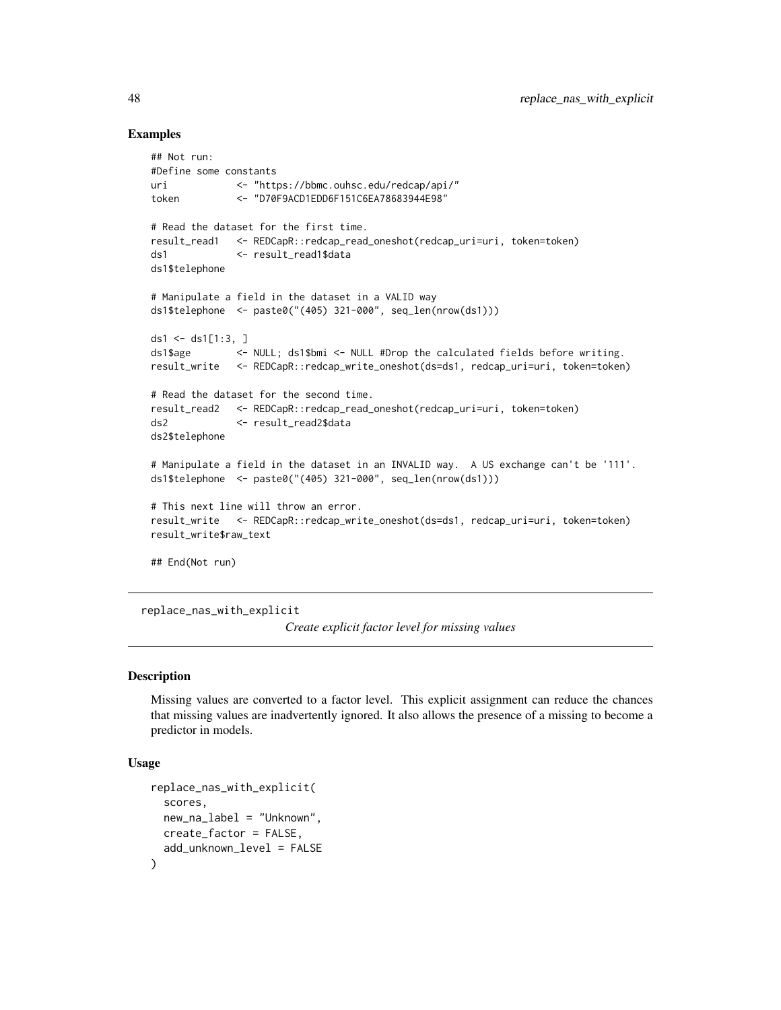## Examples

```
## Not run:
#Define some constants
uri <- "https://bbmc.ouhsc.edu/redcap/api/"
token <- "D70F9ACD1EDD6F151C6EA78683944E98"
# Read the dataset for the first time.
result_read1 <- REDCapR::redcap_read_oneshot(redcap_uri=uri, token=token)
ds1 <- result_read1$data
ds1$telephone
# Manipulate a field in the dataset in a VALID way
ds1$telephone <- paste0("(405) 321-000", seq_len(nrow(ds1)))
ds1 <- ds1[1:3, ]
ds1$age <- NULL; ds1$bmi <- NULL #Drop the calculated fields before writing.
result_write <- REDCapR::redcap_write_oneshot(ds=ds1, redcap_uri=uri, token=token)
# Read the dataset for the second time.
result_read2 <- REDCapR::redcap_read_oneshot(redcap_uri=uri, token=token)
ds2 <- result_read2$data
ds2$telephone
# Manipulate a field in the dataset in an INVALID way. A US exchange can't be '111'.
ds1$telephone <- paste0("(405) 321-000", seq_len(nrow(ds1)))
# This next line will throw an error.
result_write <- REDCapR::redcap_write_oneshot(ds=ds1, redcap_uri=uri, token=token)
result_write$raw_text
## End(Not run)
```
replace\_nas\_with\_explicit

*Create explicit factor level for missing values*

#### **Description**

Missing values are converted to a factor level. This explicit assignment can reduce the chances that missing values are inadvertently ignored. It also allows the presence of a missing to become a predictor in models.

## Usage

```
replace_nas_with_explicit(
  scores,
 new_na_label = "Unknown",
 create_factor = FALSE,
  add_unknown_level = FALSE
)
```
<span id="page-47-0"></span>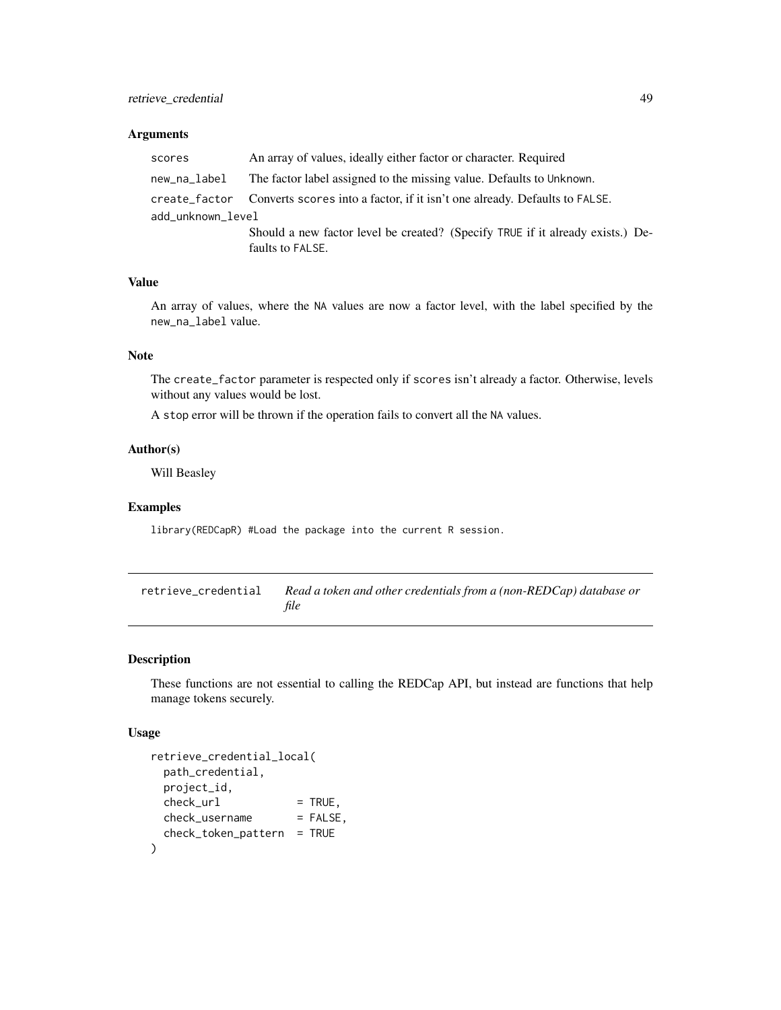## <span id="page-48-0"></span>Arguments

| scores            | An array of values, ideally either factor or character. Required                         |  |
|-------------------|------------------------------------------------------------------------------------------|--|
| new_na_label      | The factor label assigned to the missing value. Defaults to Unknown.                     |  |
|                   | create_factor Converts scores into a factor, if it isn't one already. Defaults to FALSE. |  |
| add_unknown_level |                                                                                          |  |
|                   | Should a new factor level be created? (Specify TRUE if it already exists.) De-           |  |
|                   | faults to FALSE.                                                                         |  |

## Value

An array of values, where the NA values are now a factor level, with the label specified by the new\_na\_label value.

## Note

The create\_factor parameter is respected only if scores isn't already a factor. Otherwise, levels without any values would be lost.

A stop error will be thrown if the operation fails to convert all the NA values.

## Author(s)

Will Beasley

#### Examples

library(REDCapR) #Load the package into the current R session.

| retrieve credential | Read a token and other credentials from a (non-REDCap) database or |
|---------------------|--------------------------------------------------------------------|
|                     | file                                                               |

## Description

These functions are not essential to calling the REDCap API, but instead are functions that help manage tokens securely.

## Usage

```
retrieve_credential_local(
 path_credential,
 project_id,
 check\_url = TRUE,
 check_username = FALSE,
 check_token_pattern = TRUE
)
```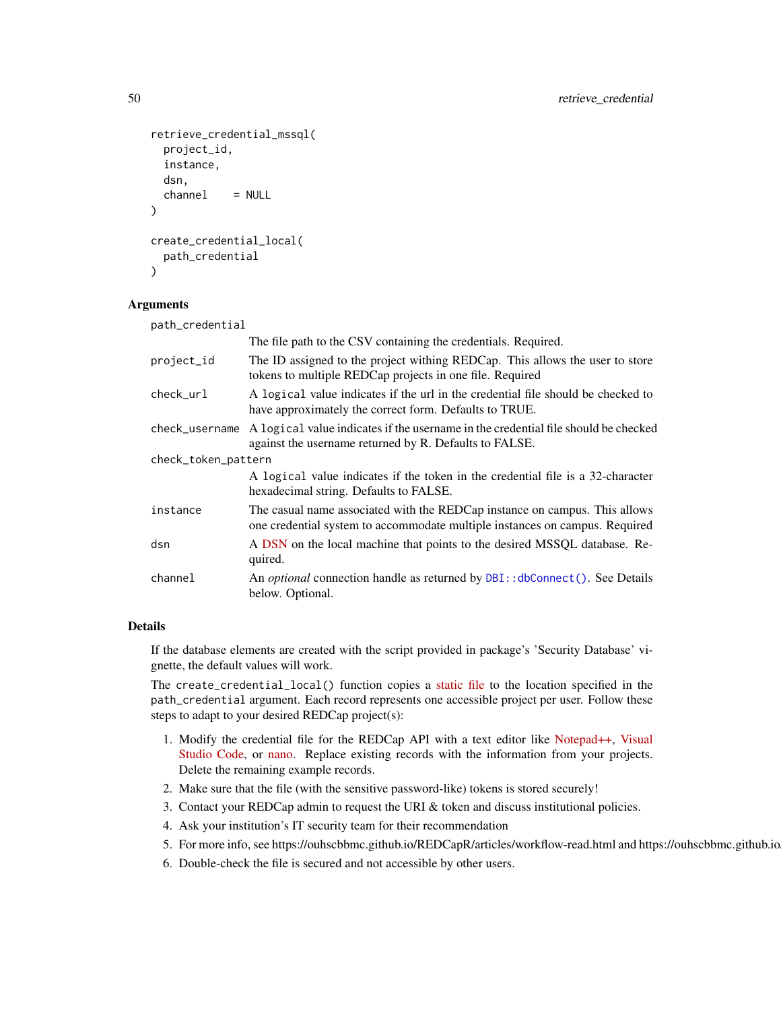```
retrieve_credential_mssql(
 project_id,
  instance,
 dsn,
  channel = NULL
)
create_credential_local(
 path_credential
\lambda
```
#### Arguments

| path_credential     |                                                                                                                                                           |  |
|---------------------|-----------------------------------------------------------------------------------------------------------------------------------------------------------|--|
|                     | The file path to the CSV containing the credentials. Required.                                                                                            |  |
| project_id          | The ID assigned to the project withing REDCap. This allows the user to store<br>tokens to multiple REDCap projects in one file. Required                  |  |
| check_url           | A logical value indicates if the url in the credential file should be checked to<br>have approximately the correct form. Defaults to TRUE.                |  |
| check username      | A logical value indicates if the username in the credential file should be checked<br>against the username returned by R. Defaults to FALSE.              |  |
| check_token_pattern |                                                                                                                                                           |  |
|                     | A logical value indicates if the token in the credential file is a 32-character<br>hexadecimal string. Defaults to FALSE.                                 |  |
| instance            | The casual name associated with the REDCap instance on campus. This allows<br>one credential system to accommodate multiple instances on campus. Required |  |
| dsn                 | A DSN on the local machine that points to the desired MSSQL database. Re-<br>quired.                                                                      |  |
| channel             | An <i>optional</i> connection handle as returned by DBI:: dbConnect(). See Details<br>below. Optional.                                                    |  |

#### Details

If the database elements are created with the script provided in package's 'Security Database' vignette, the default values will work.

The create\_credential\_local() function copies a [static file](https://github.com/OuhscBbmc/REDCapR/blob/master/inst/misc/skeleton.credentials) to the location specified in the path\_credential argument. Each record represents one accessible project per user. Follow these steps to adapt to your desired REDCap project(s):

- 1. Modify the credential file for the REDCap API with a text editor like [Notepad++,](https://notepad-plus-plus.org/) [Visual](https://code.visualstudio.com/) [Studio Code,](https://code.visualstudio.com/) or [nano.](https://www.nano-editor.org/) Replace existing records with the information from your projects. Delete the remaining example records.
- 2. Make sure that the file (with the sensitive password-like) tokens is stored securely!
- 3. Contact your REDCap admin to request the URI & token and discuss institutional policies.
- 4. Ask your institution's IT security team for their recommendation
- 5. For more info, see https://ouhscbbmc.github.io/REDCapR/articles/workflow-read.html and https://ouhscbbmc.github.io
- 6. Double-check the file is secured and not accessible by other users.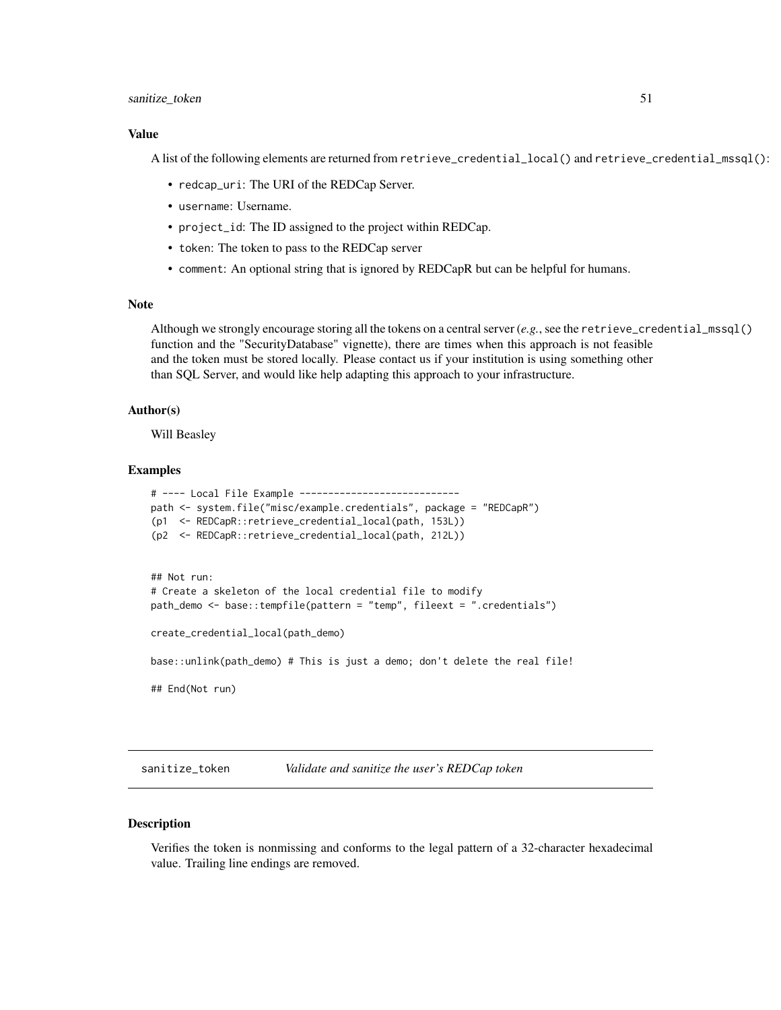#### <span id="page-50-0"></span>sanitize\_token 51

#### Value

A list of the following elements are returned from retrieve\_credential\_local() and retrieve\_credential\_mssql():

- redcap\_uri: The URI of the REDCap Server.
- username: Username.
- project\_id: The ID assigned to the project within REDCap.
- token: The token to pass to the REDCap server
- comment: An optional string that is ignored by REDCapR but can be helpful for humans.

## Note

Although we strongly encourage storing all the tokens on a central server (*e.g.*, see the retrieve\_credential\_mssql() function and the "SecurityDatabase" vignette), there are times when this approach is not feasible and the token must be stored locally. Please contact us if your institution is using something other than SQL Server, and would like help adapting this approach to your infrastructure.

#### Author(s)

Will Beasley

## Examples

```
# ---- Local File Example ----------------------------
path <- system.file("misc/example.credentials", package = "REDCapR")
(p1 <- REDCapR::retrieve_credential_local(path, 153L))
(p2 <- REDCapR::retrieve_credential_local(path, 212L))
## Not run:
# Create a skeleton of the local credential file to modify
path_demo <- base::tempfile(pattern = "temp", fileext = ".credentials")
create_credential_local(path_demo)
base::unlink(path_demo) # This is just a demo; don't delete the real file!
## End(Not run)
```
sanitize\_token *Validate and sanitize the user's REDCap token*

#### **Description**

Verifies the token is nonmissing and conforms to the legal pattern of a 32-character hexadecimal value. Trailing line endings are removed.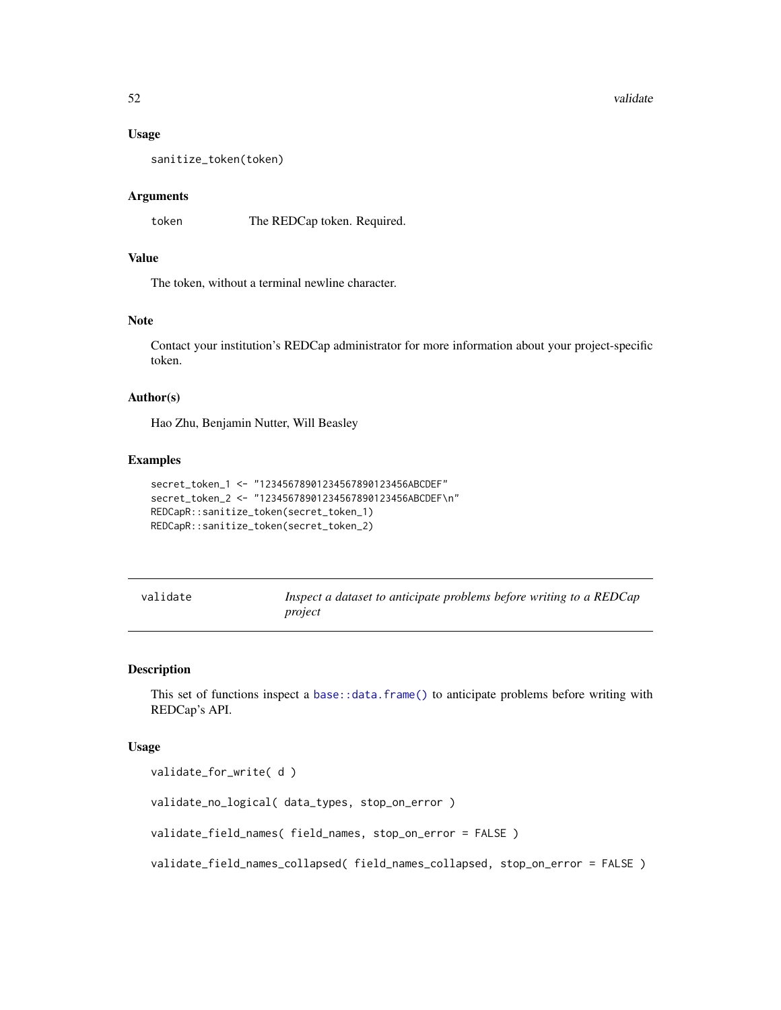#### <span id="page-51-0"></span>52 validate values of the state of the state of the state of the state of the state of the state of the state of the state of the state of the state of the state of the state of the state of the state of the state of the s

#### Usage

sanitize\_token(token)

## Arguments

token The REDCap token. Required.

## Value

The token, without a terminal newline character.

#### **Note**

Contact your institution's REDCap administrator for more information about your project-specific token.

## Author(s)

Hao Zhu, Benjamin Nutter, Will Beasley

## Examples

```
secret_token_1 <- "12345678901234567890123456ABCDEF"
secret_token_2 <- "12345678901234567890123456ABCDEF\n"
REDCapR::sanitize_token(secret_token_1)
REDCapR::sanitize_token(secret_token_2)
```

| validate | Inspect a dataset to anticipate problems before writing to a REDCap |
|----------|---------------------------------------------------------------------|
|          | project                                                             |

## <span id="page-51-1"></span>Description

This set of functions inspect a [base::data.frame\(\)](#page-0-0) to anticipate problems before writing with REDCap's API.

#### Usage

```
validate_for_write( d )
```
validate\_no\_logical( data\_types, stop\_on\_error )

validate\_field\_names( field\_names, stop\_on\_error = FALSE )

validate\_field\_names\_collapsed( field\_names\_collapsed, stop\_on\_error = FALSE )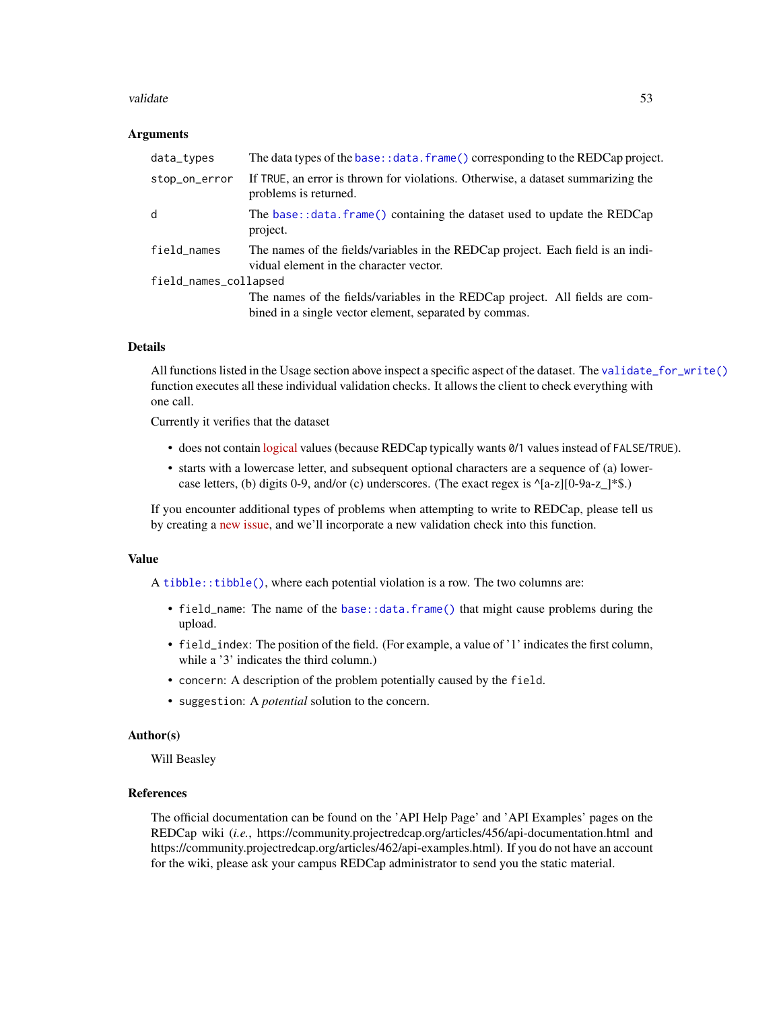#### <span id="page-52-0"></span>validate 53

#### Arguments

| data_types            | The data types of the base: : data. frame () corresponding to the REDCap project.                                          |  |
|-----------------------|----------------------------------------------------------------------------------------------------------------------------|--|
| stop_on_error         | If TRUE, an error is thrown for violations. Otherwise, a dataset summarizing the<br>problems is returned.                  |  |
| d                     | The base::data.frame() containing the dataset used to update the REDCap<br>project.                                        |  |
| field_names           | The names of the fields/variables in the REDCap project. Each field is an indi-<br>vidual element in the character vector. |  |
| field_names_collapsed |                                                                                                                            |  |
|                       | The names of the fields/variables in the REDCap project. All fields are com-                                               |  |
|                       | bined in a single vector element, separated by commas.                                                                     |  |

#### Details

All functions listed in the Usage section above inspect a specific aspect of the dataset. The [validate\\_for\\_write\(\)](#page-51-1) function executes all these individual validation checks. It allows the client to check everything with one call.

Currently it verifies that the dataset

- does not contain [logical](https://stat.ethz.ch/R-manual/R-devel/library/base/html/logical.html) values (because REDCap typically wants 0/1 values instead of FALSE/TRUE).
- starts with a lowercase letter, and subsequent optional characters are a sequence of (a) lowercase letters, (b) digits 0-9, and/or (c) underscores. (The exact regex is  $\text{A}[a-z][0-9a-z]$ \*\$.)

If you encounter additional types of problems when attempting to write to REDCap, please tell us by creating a [new issue,](https://github.com/OuhscBbmc/REDCapR/issues) and we'll incorporate a new validation check into this function.

#### Value

A [tibble::tibble\(\)](#page-0-0), where each potential violation is a row. The two columns are:

- field\_name: The name of the [base::data.frame\(\)](#page-0-0) that might cause problems during the upload.
- field\_index: The position of the field. (For example, a value of '1' indicates the first column, while a '3' indicates the third column.)
- concern: A description of the problem potentially caused by the field.
- suggestion: A *potential* solution to the concern.

## Author(s)

Will Beasley

## References

The official documentation can be found on the 'API Help Page' and 'API Examples' pages on the REDCap wiki (*i.e.*, https://community.projectredcap.org/articles/456/api-documentation.html and https://community.projectredcap.org/articles/462/api-examples.html). If you do not have an account for the wiki, please ask your campus REDCap administrator to send you the static material.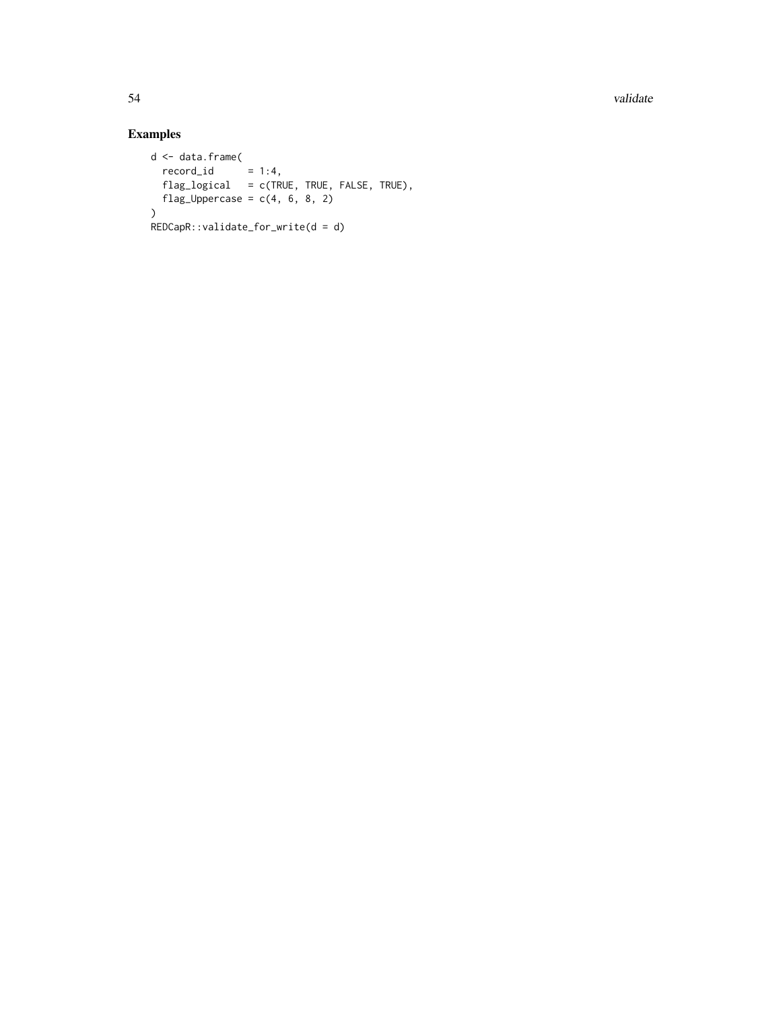54 validate et al. 2003 et al. 2004 et al. 2004 et al. 2004 et al. 2004 et al. 2004 et al. 2004 et al. 2004 et

## Examples

```
d <- data.frame(
  record\_id = 1:4,
  flag_logical = c(TRUE, TRUE, FALSE, TRUE),
flag_Uppercase = c(4, 6, 8, 2)\lambdaREDCapR::validate_for_write(d = d)
```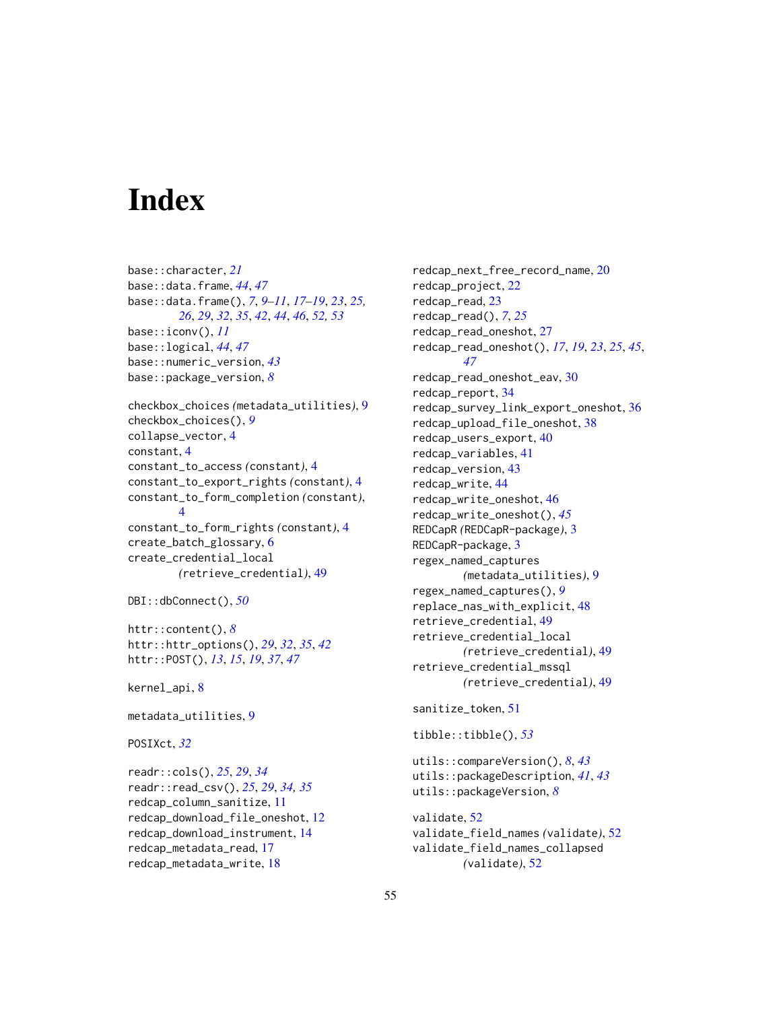# <span id="page-54-0"></span>**Index**

base::character, *[21](#page-20-0)* base::data.frame, *[44](#page-43-0)*, *[47](#page-46-0)* base::data.frame(), *[7](#page-6-0)*, *[9–](#page-8-0)[11](#page-10-0)*, *[17–](#page-16-0)[19](#page-18-0)*, *[23](#page-22-0)*, *[25,](#page-24-0) [26](#page-25-0)*, *[29](#page-28-0)*, *[32](#page-31-0)*, *[35](#page-34-0)*, *[42](#page-41-0)*, *[44](#page-43-0)*, *[46](#page-45-0)*, *[52,](#page-51-0) [53](#page-52-0)* base::iconv(), *[11](#page-10-0)* base::logical, *[44](#page-43-0)*, *[47](#page-46-0)* base::numeric\_version, *[43](#page-42-0)* base::package\_version, *[8](#page-7-0)* checkbox\_choices *(*metadata\_utilities*)*, [9](#page-8-0) checkbox\_choices(), *[9](#page-8-0)* collapse\_vector, [4](#page-3-0) constant, [4](#page-3-0) constant\_to\_access *(*constant*)*, [4](#page-3-0) constant\_to\_export\_rights *(*constant*)*, [4](#page-3-0) constant\_to\_form\_completion *(*constant*)*, [4](#page-3-0) constant\_to\_form\_rights *(*constant*)*, [4](#page-3-0) create\_batch\_glossary, [6](#page-5-0) create\_credential\_local *(*retrieve\_credential*)*, [49](#page-48-0) DBI::dbConnect(), *[50](#page-49-0)*

httr::content(), *[8](#page-7-0)* httr::httr\_options(), *[29](#page-28-0)*, *[32](#page-31-0)*, *[35](#page-34-0)*, *[42](#page-41-0)* httr::POST(), *[13](#page-12-0)*, *[15](#page-14-0)*, *[19](#page-18-0)*, *[37](#page-36-0)*, *[47](#page-46-0)*

kernel\_api, [8](#page-7-0)

metadata\_utilities, [9](#page-8-0)

POSIXct, *[32](#page-31-0)*

readr::cols(), *[25](#page-24-0)*, *[29](#page-28-0)*, *[34](#page-33-0)* readr::read\_csv(), *[25](#page-24-0)*, *[29](#page-28-0)*, *[34,](#page-33-0) [35](#page-34-0)* redcap\_column\_sanitize, [11](#page-10-0) redcap\_download\_file\_oneshot, [12](#page-11-0) redcap\_download\_instrument, [14](#page-13-0) redcap\_metadata\_read, [17](#page-16-0) redcap\_metadata\_write, [18](#page-17-0)

redcap\_next\_free\_record\_name, [20](#page-19-0) redcap\_project, [22](#page-21-0) redcap\_read, [23](#page-22-0) redcap\_read(), *[7](#page-6-0)*, *[25](#page-24-0)* redcap\_read\_oneshot, [27](#page-26-0) redcap\_read\_oneshot(), *[17](#page-16-0)*, *[19](#page-18-0)*, *[23](#page-22-0)*, *[25](#page-24-0)*, *[45](#page-44-0)*, *[47](#page-46-0)* redcap\_read\_oneshot\_eav, [30](#page-29-0) redcap\_report, [34](#page-33-0) redcap\_survey\_link\_export\_oneshot, [36](#page-35-0) redcap\_upload\_file\_oneshot, [38](#page-37-0) redcap\_users\_export, [40](#page-39-0) redcap\_variables, [41](#page-40-0) redcap\_version, [43](#page-42-0) redcap\_write, [44](#page-43-0) redcap\_write\_oneshot, [46](#page-45-0) redcap\_write\_oneshot(), *[45](#page-44-0)* REDCapR *(*REDCapR-package*)*, [3](#page-2-0) REDCapR-package, [3](#page-2-0) regex\_named\_captures *(*metadata\_utilities*)*, [9](#page-8-0) regex\_named\_captures(), *[9](#page-8-0)* replace\_nas\_with\_explicit, [48](#page-47-0) retrieve\_credential, [49](#page-48-0) retrieve\_credential\_local *(*retrieve\_credential*)*, [49](#page-48-0) retrieve\_credential\_mssql *(*retrieve\_credential*)*, [49](#page-48-0) sanitize\_token, [51](#page-50-0) tibble::tibble(), *[53](#page-52-0)* utils::compareVersion(), *[8](#page-7-0)*, *[43](#page-42-0)* utils::packageDescription, *[41](#page-40-0)*, *[43](#page-42-0)* utils::packageVersion, *[8](#page-7-0)*

validate, [52](#page-51-0) validate\_field\_names *(*validate*)*, [52](#page-51-0) validate\_field\_names\_collapsed *(*validate*)*, [52](#page-51-0)